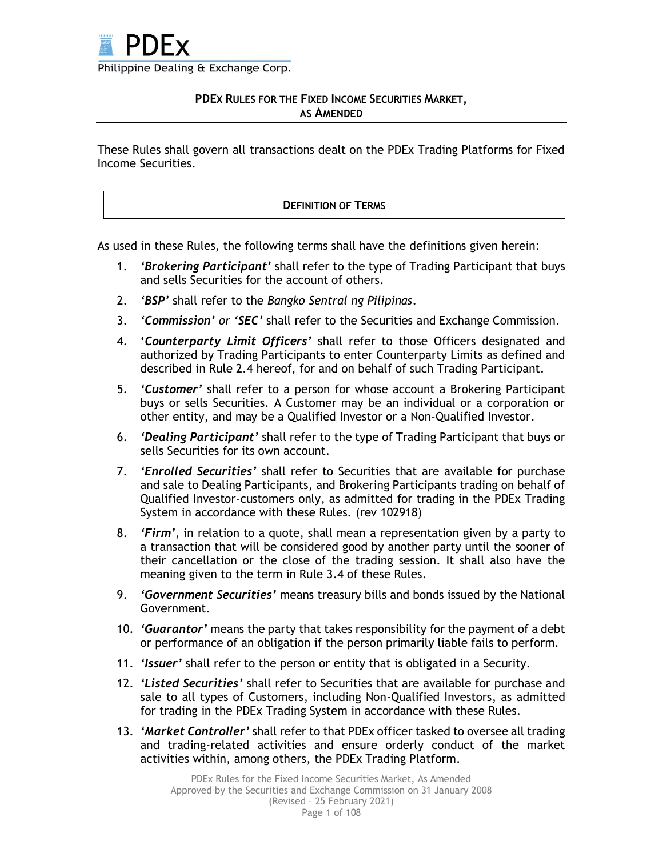

## **PDEX RULES FOR THE FIXED INCOME SECURITIES MARKET, AS AMENDED**

These Rules shall govern all transactions dealt on the PDEx Trading Platforms for Fixed Income Securities.

#### **DEFINITION OF TERMS**

As used in these Rules, the following terms shall have the definitions given herein:

- 1. *'Brokering Participant'* shall refer to the type of Trading Participant that buys and sells Securities for the account of others.
- 2. *'BSP'* shall refer to the *Bangko Sentral ng Pilipinas*.
- 3. *'Commission' or 'SEC'* shall refer to the Securities and Exchange Commission.
- 4. **'***Counterparty Limit Officers'* shall refer to those Officers designated and authorized by Trading Participants to enter Counterparty Limits as defined and described in Rule 2.4 hereof, for and on behalf of such Trading Participant.
- 5. *'Customer'* shall refer to a person for whose account a Brokering Participant buys or sells Securities. A Customer may be an individual or a corporation or other entity, and may be a Qualified Investor or a Non-Qualified Investor.
- 6. *'Dealing Participant'* shall refer to the type of Trading Participant that buys or sells Securities for its own account.
- 7. *'Enrolled Securities'* shall refer to Securities that are available for purchase and sale to Dealing Participants, and Brokering Participants trading on behalf of Qualified Investor-customers only, as admitted for trading in the PDEx Trading System in accordance with these Rules. (rev 102918)
- 8. *'Firm'*, in relation to a quote, shall mean a representation given by a party to a transaction that will be considered good by another party until the sooner of their cancellation or the close of the trading session. It shall also have the meaning given to the term in Rule 3.4 of these Rules.
- 9. *'Government Securities'* means treasury bills and bonds issued by the National Government.
- 10. *'Guarantor'* means the party that takes responsibility for the payment of a debt or performance of an obligation if the person primarily liable fails to perform.
- 11. *'Issuer'* shall refer to the person or entity that is obligated in a Security.
- 12. *'Listed Securities'* shall refer to Securities that are available for purchase and sale to all types of Customers, including Non-Qualified Investors, as admitted for trading in the PDEx Trading System in accordance with these Rules.
- 13. *'Market Controller'* shall refer to that PDEx officer tasked to oversee all trading and trading-related activities and ensure orderly conduct of the market activities within, among others, the PDEx Trading Platform.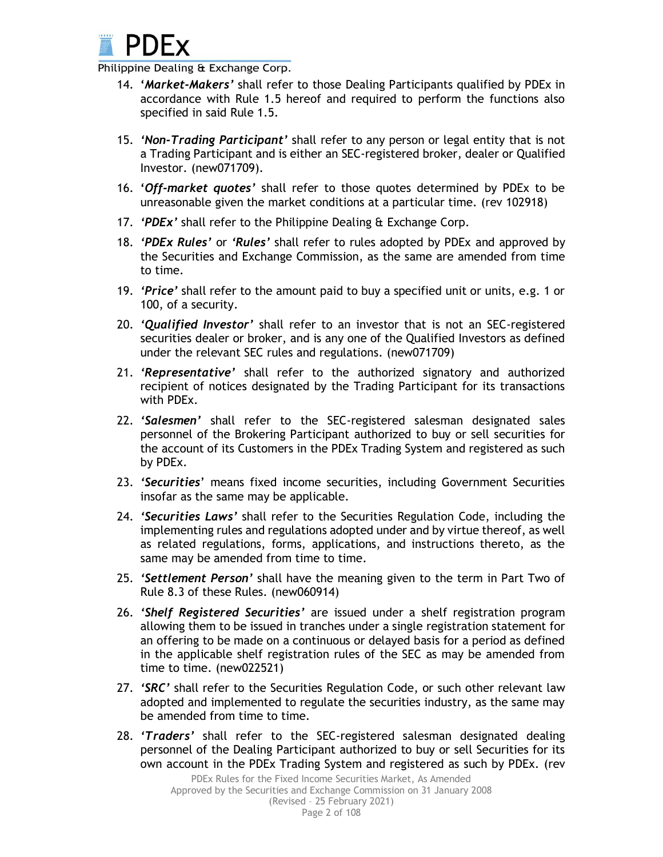

- 14. **'***Market-Makers'* shall refer to those Dealing Participants qualified by PDEx in accordance with Rule 1.5 hereof and required to perform the functions also specified in said Rule 1.5.
- 15. *'Non-Trading Participant'* shall refer to any person or legal entity that is not a Trading Participant and is either an SEC-registered broker, dealer or Qualified Investor. (new071709).
- 16. **'***Off-market quotes'* shall refer to those quotes determined by PDEx to be unreasonable given the market conditions at a particular time. (rev 102918)
- 17. *'PDEx'* shall refer to the Philippine Dealing & Exchange Corp.
- 18. *'PDEx Rules'* or *'Rules'* shall refer to rules adopted by PDEx and approved by the Securities and Exchange Commission, as the same are amended from time to time.
- 19. *'Price'* shall refer to the amount paid to buy a specified unit or units, e.g. 1 or 100, of a security.
- 20. *'Qualified Investor'* shall refer to an investor that is not an SEC-registered securities dealer or broker, and is any one of the Qualified Investors as defined under the relevant SEC rules and regulations. (new071709)
- 21. *'Representative'* shall refer to the authorized signatory and authorized recipient of notices designated by the Trading Participant for its transactions with PDEx.
- 22. *'Salesmen'* shall refer to the SEC-registered salesman designated sales personnel of the Brokering Participant authorized to buy or sell securities for the account of its Customers in the PDEx Trading System and registered as such by PDEx.
- 23. *'Securities*' means fixed income securities, including Government Securities insofar as the same may be applicable.
- 24. *'Securities Laws'* shall refer to the Securities Regulation Code, including the implementing rules and regulations adopted under and by virtue thereof, as well as related regulations, forms, applications, and instructions thereto, as the same may be amended from time to time.
- 25. *'Settlement Person'* shall have the meaning given to the term in Part Two of Rule 8.3 of these Rules. (new060914)
- 26. *'Shelf Registered Securities'* are issued under a shelf registration program allowing them to be issued in tranches under a single registration statement for an offering to be made on a continuous or delayed basis for a period as defined in the applicable shelf registration rules of the SEC as may be amended from time to time. (new022521)
- 27. *'SRC'* shall refer to the Securities Regulation Code, or such other relevant law adopted and implemented to regulate the securities industry, as the same may be amended from time to time.
- 28. *'Traders'* shall refer to the SEC-registered salesman designated dealing personnel of the Dealing Participant authorized to buy or sell Securities for its own account in the PDEx Trading System and registered as such by PDEx. (rev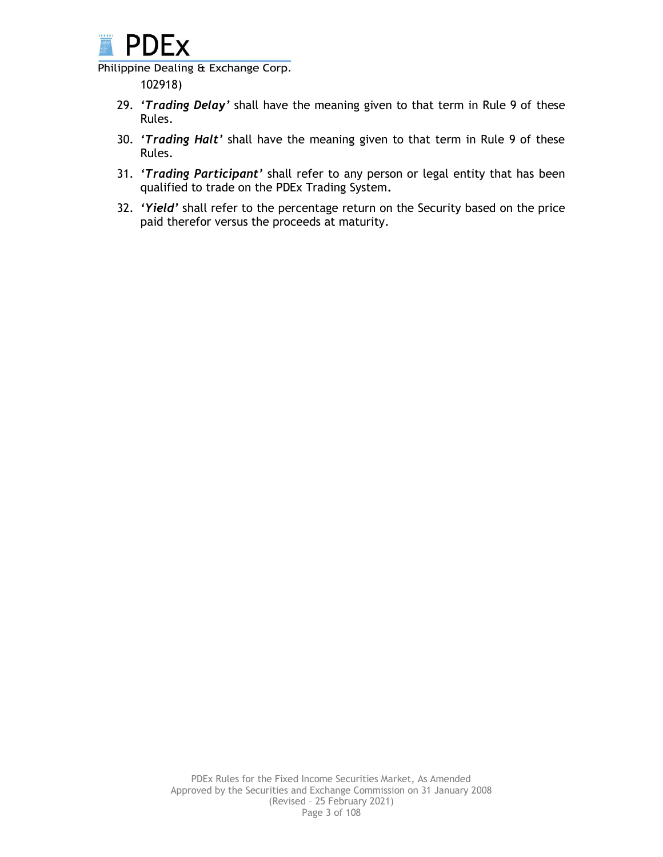

102918)

- 29. *'Trading Delay'* shall have the meaning given to that term in Rule 9 of these Rules.
- 30. *'Trading Halt'* shall have the meaning given to that term in Rule 9 of these Rules.
- 31. *'Trading Participant'* shall refer to any person or legal entity that has been qualified to trade on the PDEx Trading System**.**
- 32. *'Yield'* shall refer to the percentage return on the Security based on the price paid therefor versus the proceeds at maturity.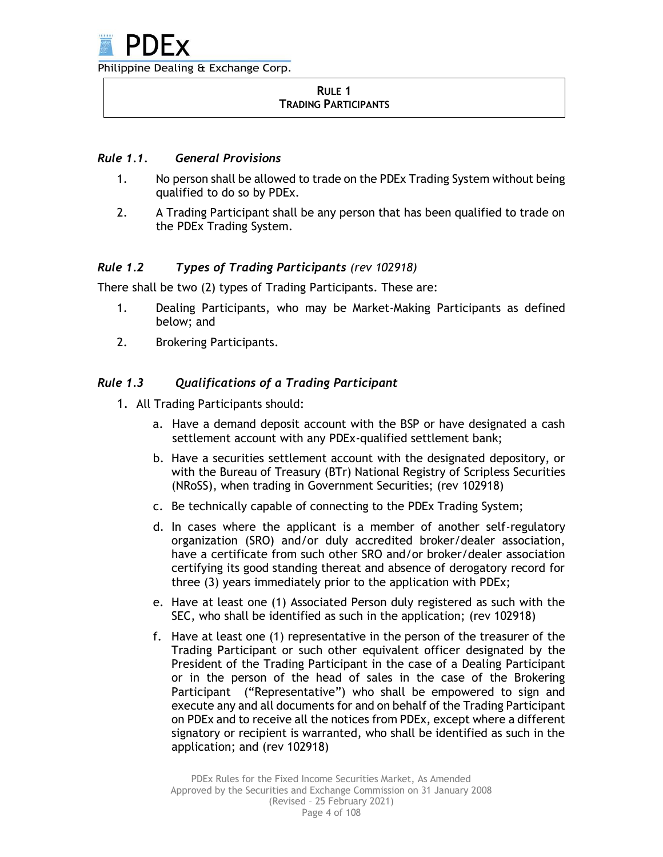#### **RULE 1 TRADING PARTICIPANTS**

## *Rule 1.1. General Provisions*

- 1. No person shall be allowed to trade on the PDEx Trading System without being qualified to do so by PDEx.
- 2. A Trading Participant shall be any person that has been qualified to trade on the PDEx Trading System.

## *Rule 1.2 Types of Trading Participants (rev 102918)*

There shall be two (2) types of Trading Participants. These are:

- 1. Dealing Participants, who may be Market-Making Participants as defined below; and
- 2. Brokering Participants.

## *Rule 1.3 Qualifications of a Trading Participant*

- 1. All Trading Participants should:
	- a. Have a demand deposit account with the BSP or have designated a cash settlement account with any PDEx-qualified settlement bank;
	- b. Have a securities settlement account with the designated depository, or with the Bureau of Treasury (BTr) National Registry of Scripless Securities (NRoSS), when trading in Government Securities; (rev 102918)
	- c. Be technically capable of connecting to the PDEx Trading System;
	- d. In cases where the applicant is a member of another self-regulatory organization (SRO) and/or duly accredited broker/dealer association, have a certificate from such other SRO and/or broker/dealer association certifying its good standing thereat and absence of derogatory record for three (3) years immediately prior to the application with PDEx;
	- e. Have at least one (1) Associated Person duly registered as such with the SEC, who shall be identified as such in the application; (rev 102918)
	- f. Have at least one (1) representative in the person of the treasurer of the Trading Participant or such other equivalent officer designated by the President of the Trading Participant in the case of a Dealing Participant or in the person of the head of sales in the case of the Brokering Participant ("Representative") who shall be empowered to sign and execute any and all documents for and on behalf of the Trading Participant on PDEx and to receive all the notices from PDEx, except where a different signatory or recipient is warranted, who shall be identified as such in the application; and (rev 102918)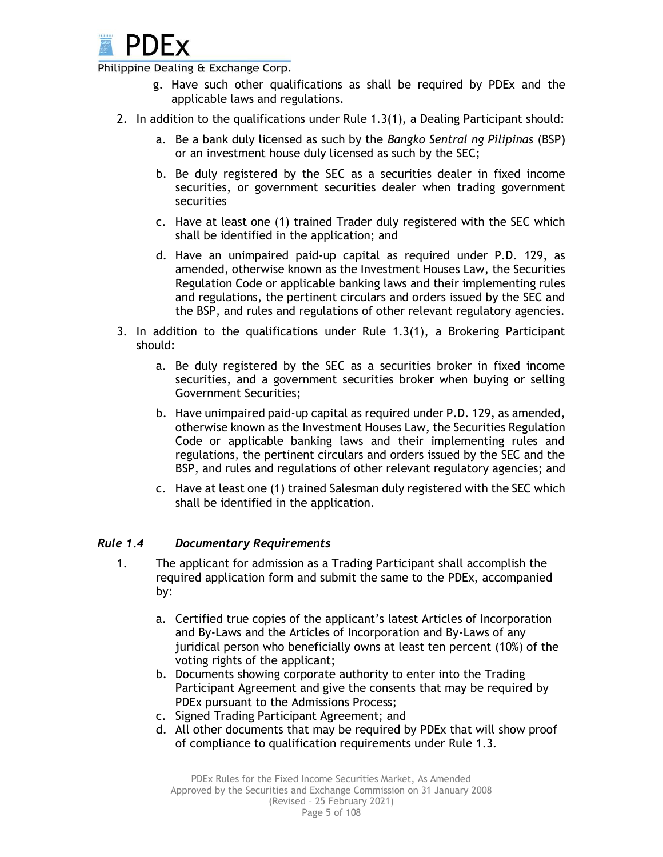

- g. Have such other qualifications as shall be required by PDEx and the applicable laws and regulations.
- 2. In addition to the qualifications under Rule 1.3(1), a Dealing Participant should:
	- a. Be a bank duly licensed as such by the *Bangko Sentral ng Pilipinas* (BSP) or an investment house duly licensed as such by the SEC;
	- b. Be duly registered by the SEC as a securities dealer in fixed income securities, or government securities dealer when trading government securities
	- c. Have at least one (1) trained Trader duly registered with the SEC which shall be identified in the application; and
	- d. Have an unimpaired paid-up capital as required under P.D. 129, as amended, otherwise known as the Investment Houses Law, the Securities Regulation Code or applicable banking laws and their implementing rules and regulations, the pertinent circulars and orders issued by the SEC and the BSP, and rules and regulations of other relevant regulatory agencies.
- 3. In addition to the qualifications under Rule 1.3(1), a Brokering Participant should:
	- a. Be duly registered by the SEC as a securities broker in fixed income securities, and a government securities broker when buying or selling Government Securities;
	- b. Have unimpaired paid-up capital as required under P.D. 129, as amended, otherwise known as the Investment Houses Law, the Securities Regulation Code or applicable banking laws and their implementing rules and regulations, the pertinent circulars and orders issued by the SEC and the BSP, and rules and regulations of other relevant regulatory agencies; and
	- c. Have at least one (1) trained Salesman duly registered with the SEC which shall be identified in the application.

## *Rule 1.4 Documentary Requirements*

- 1. The applicant for admission as a Trading Participant shall accomplish the required application form and submit the same to the PDEx, accompanied by:
	- a. Certified true copies of the applicant's latest Articles of Incorporation and By-Laws and the Articles of Incorporation and By-Laws of any juridical person who beneficially owns at least ten percent (10%) of the voting rights of the applicant;
	- b. Documents showing corporate authority to enter into the Trading Participant Agreement and give the consents that may be required by PDEx pursuant to the Admissions Process;
	- c. Signed Trading Participant Agreement; and
	- d. All other documents that may be required by PDEx that will show proof of compliance to qualification requirements under Rule 1.3.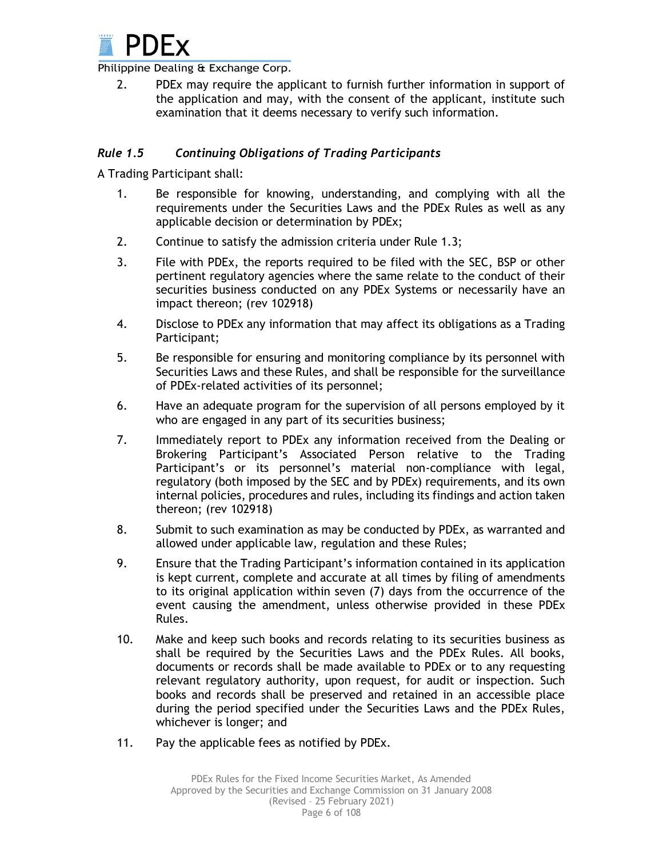

2. PDEx may require the applicant to furnish further information in support of the application and may, with the consent of the applicant, institute such examination that it deems necessary to verify such information.

## *Rule 1.5 Continuing Obligations of Trading Participants*

A Trading Participant shall:

- 1. Be responsible for knowing, understanding, and complying with all the requirements under the Securities Laws and the PDEx Rules as well as any applicable decision or determination by PDEx;
- 2. Continue to satisfy the admission criteria under Rule 1.3;
- 3. File with PDEx, the reports required to be filed with the SEC, BSP or other pertinent regulatory agencies where the same relate to the conduct of their securities business conducted on any PDEx Systems or necessarily have an impact thereon; (rev 102918)
- 4. Disclose to PDEx any information that may affect its obligations as a Trading Participant;
- 5. Be responsible for ensuring and monitoring compliance by its personnel with Securities Laws and these Rules, and shall be responsible for the surveillance of PDEx-related activities of its personnel;
- 6. Have an adequate program for the supervision of all persons employed by it who are engaged in any part of its securities business;
- 7. Immediately report to PDEx any information received from the Dealing or Brokering Participant's Associated Person relative to the Trading Participant's or its personnel's material non-compliance with legal, regulatory (both imposed by the SEC and by PDEx) requirements, and its own internal policies, procedures and rules, including its findings and action taken thereon; (rev 102918)
- 8. Submit to such examination as may be conducted by PDEx, as warranted and allowed under applicable law, regulation and these Rules;
- 9. Ensure that the Trading Participant's information contained in its application is kept current, complete and accurate at all times by filing of amendments to its original application within seven (7) days from the occurrence of the event causing the amendment, unless otherwise provided in these PDEx Rules.
- 10. Make and keep such books and records relating to its securities business as shall be required by the Securities Laws and the PDEx Rules. All books, documents or records shall be made available to PDEx or to any requesting relevant regulatory authority, upon request, for audit or inspection. Such books and records shall be preserved and retained in an accessible place during the period specified under the Securities Laws and the PDEx Rules, whichever is longer; and
- 11. Pay the applicable fees as notified by PDEx.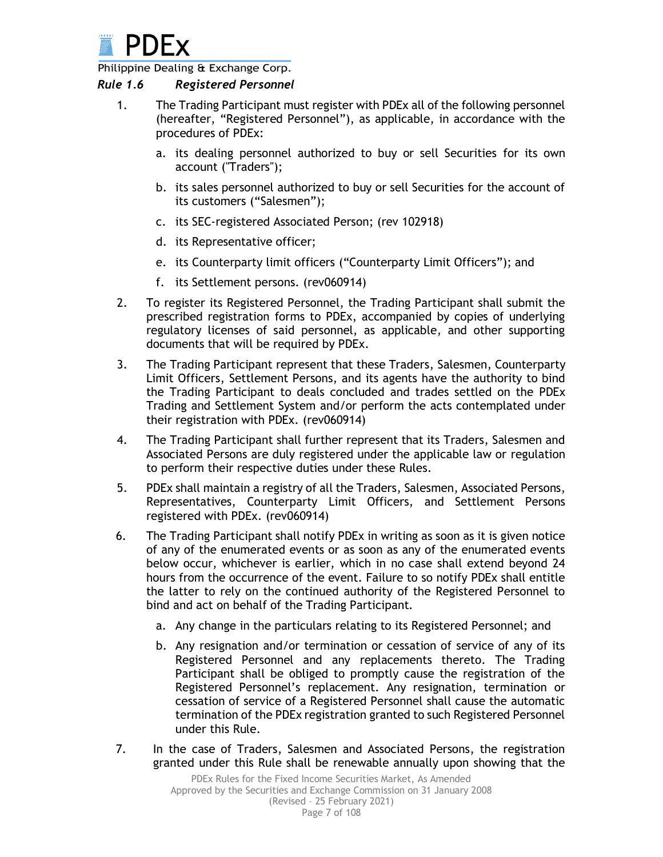

#### *Rule 1.6 Registered Personnel*

- 1. The Trading Participant must register with PDEx all of the following personnel (hereafter, "Registered Personnel"), as applicable, in accordance with the procedures of PDEx:
	- a. its dealing personnel authorized to buy or sell Securities for its own account ("Traders");
	- b. its sales personnel authorized to buy or sell Securities for the account of its customers ("Salesmen");
	- c. its SEC-registered Associated Person; (rev 102918)
	- d. its Representative officer;
	- e. its Counterparty limit officers ("Counterparty Limit Officers"); and
	- f. its Settlement persons. (rev060914)
- 2. To register its Registered Personnel, the Trading Participant shall submit the prescribed registration forms to PDEx, accompanied by copies of underlying regulatory licenses of said personnel, as applicable, and other supporting documents that will be required by PDEx.
- 3. The Trading Participant represent that these Traders, Salesmen, Counterparty Limit Officers, Settlement Persons, and its agents have the authority to bind the Trading Participant to deals concluded and trades settled on the PDEx Trading and Settlement System and/or perform the acts contemplated under their registration with PDEx. (rev060914)
- 4. The Trading Participant shall further represent that its Traders, Salesmen and Associated Persons are duly registered under the applicable law or regulation to perform their respective duties under these Rules.
- 5. PDEx shall maintain a registry of all the Traders, Salesmen, Associated Persons, Representatives, Counterparty Limit Officers, and Settlement Persons registered with PDEx. (rev060914)
- 6. The Trading Participant shall notify PDEx in writing as soon as it is given notice of any of the enumerated events or as soon as any of the enumerated events below occur, whichever is earlier, which in no case shall extend beyond 24 hours from the occurrence of the event. Failure to so notify PDEx shall entitle the latter to rely on the continued authority of the Registered Personnel to bind and act on behalf of the Trading Participant.
	- a. Any change in the particulars relating to its Registered Personnel; and
	- b. Any resignation and/or termination or cessation of service of any of its Registered Personnel and any replacements thereto. The Trading Participant shall be obliged to promptly cause the registration of the Registered Personnel's replacement. Any resignation, termination or cessation of service of a Registered Personnel shall cause the automatic termination of the PDEx registration granted to such Registered Personnel under this Rule.
- 7. In the case of Traders, Salesmen and Associated Persons, the registration granted under this Rule shall be renewable annually upon showing that the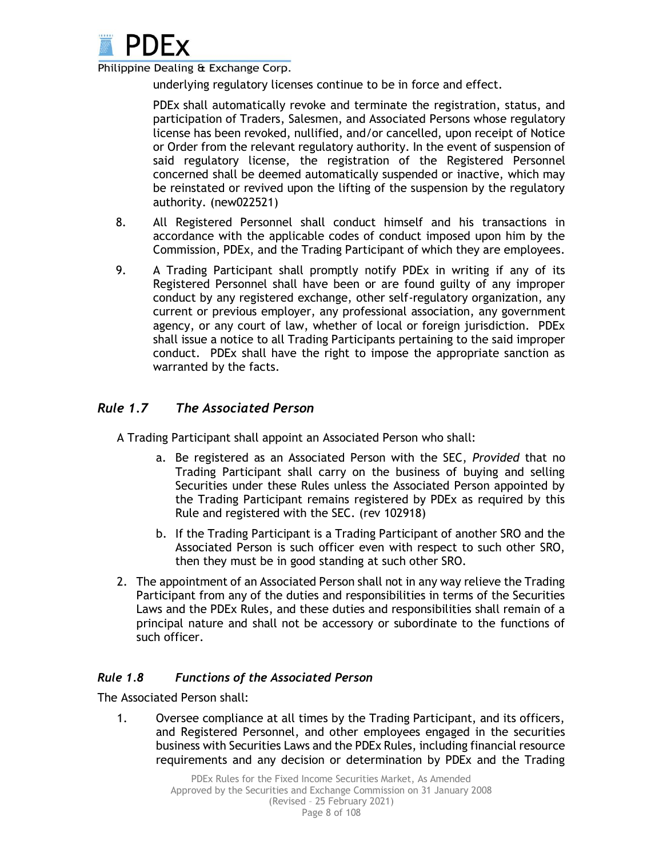

underlying regulatory licenses continue to be in force and effect.

PDEx shall automatically revoke and terminate the registration, status, and participation of Traders, Salesmen, and Associated Persons whose regulatory license has been revoked, nullified, and/or cancelled, upon receipt of Notice or Order from the relevant regulatory authority. In the event of suspension of said regulatory license, the registration of the Registered Personnel concerned shall be deemed automatically suspended or inactive, which may be reinstated or revived upon the lifting of the suspension by the regulatory authority. (new022521)

- 8. All Registered Personnel shall conduct himself and his transactions in accordance with the applicable codes of conduct imposed upon him by the Commission, PDEx, and the Trading Participant of which they are employees.
- 9. A Trading Participant shall promptly notify PDEx in writing if any of its Registered Personnel shall have been or are found guilty of any improper conduct by any registered exchange, other self-regulatory organization, any current or previous employer, any professional association, any government agency, or any court of law, whether of local or foreign jurisdiction. PDEx shall issue a notice to all Trading Participants pertaining to the said improper conduct. PDEx shall have the right to impose the appropriate sanction as warranted by the facts.

# *Rule 1.7 The Associated Person*

A Trading Participant shall appoint an Associated Person who shall:

- a. Be registered as an Associated Person with the SEC, *Provided* that no Trading Participant shall carry on the business of buying and selling Securities under these Rules unless the Associated Person appointed by the Trading Participant remains registered by PDEx as required by this Rule and registered with the SEC. (rev 102918)
- b. If the Trading Participant is a Trading Participant of another SRO and the Associated Person is such officer even with respect to such other SRO, then they must be in good standing at such other SRO.
- 2. The appointment of an Associated Person shall not in any way relieve the Trading Participant from any of the duties and responsibilities in terms of the Securities Laws and the PDEx Rules, and these duties and responsibilities shall remain of a principal nature and shall not be accessory or subordinate to the functions of such officer.

# *Rule 1.8 Functions of the Associated Person*

The Associated Person shall:

1. Oversee compliance at all times by the Trading Participant, and its officers, and Registered Personnel, and other employees engaged in the securities business with Securities Laws and the PDEx Rules, including financial resource requirements and any decision or determination by PDEx and the Trading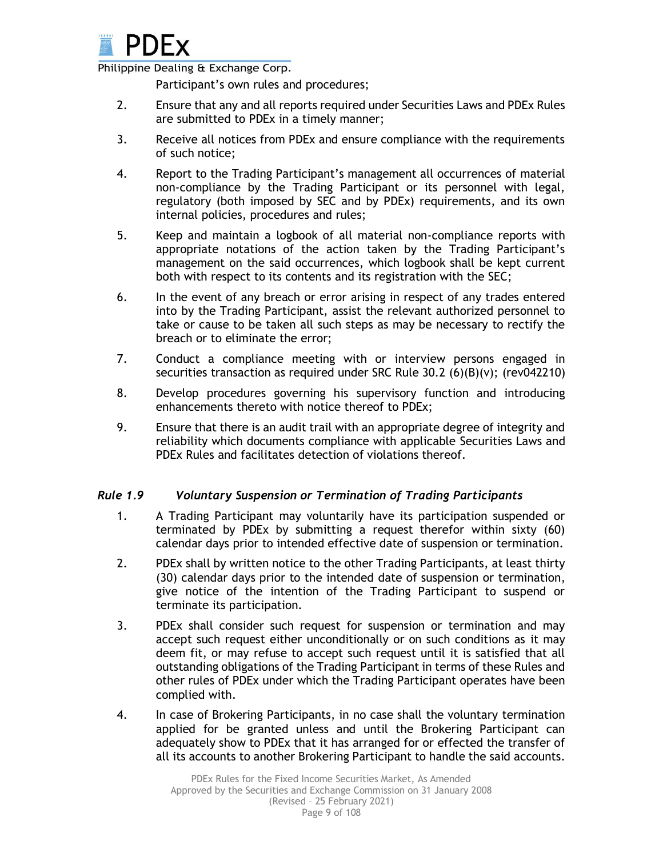

Participant's own rules and procedures;

- 2. Ensure that any and all reports required under Securities Laws and PDEx Rules are submitted to PDEx in a timely manner;
- 3. Receive all notices from PDEx and ensure compliance with the requirements of such notice;
- 4. Report to the Trading Participant's management all occurrences of material non-compliance by the Trading Participant or its personnel with legal, regulatory (both imposed by SEC and by PDEx) requirements, and its own internal policies, procedures and rules;
- 5. Keep and maintain a logbook of all material non-compliance reports with appropriate notations of the action taken by the Trading Participant's management on the said occurrences, which logbook shall be kept current both with respect to its contents and its registration with the SEC;
- 6. In the event of any breach or error arising in respect of any trades entered into by the Trading Participant, assist the relevant authorized personnel to take or cause to be taken all such steps as may be necessary to rectify the breach or to eliminate the error;
- 7. Conduct a compliance meeting with or interview persons engaged in securities transaction as required under SRC Rule  $30.2$  (6)(B)(v); (rev042210)
- 8. Develop procedures governing his supervisory function and introducing enhancements thereto with notice thereof to PDEx;
- 9. Ensure that there is an audit trail with an appropriate degree of integrity and reliability which documents compliance with applicable Securities Laws and PDEx Rules and facilitates detection of violations thereof.

## *Rule 1.9 Voluntary Suspension or Termination of Trading Participants*

- 1. A Trading Participant may voluntarily have its participation suspended or terminated by PDEx by submitting a request therefor within sixty (60) calendar days prior to intended effective date of suspension or termination.
- 2. PDEx shall by written notice to the other Trading Participants, at least thirty (30) calendar days prior to the intended date of suspension or termination, give notice of the intention of the Trading Participant to suspend or terminate its participation.
- 3. PDEx shall consider such request for suspension or termination and may accept such request either unconditionally or on such conditions as it may deem fit, or may refuse to accept such request until it is satisfied that all outstanding obligations of the Trading Participant in terms of these Rules and other rules of PDEx under which the Trading Participant operates have been complied with.
- 4. In case of Brokering Participants, in no case shall the voluntary termination applied for be granted unless and until the Brokering Participant can adequately show to PDEx that it has arranged for or effected the transfer of all its accounts to another Brokering Participant to handle the said accounts.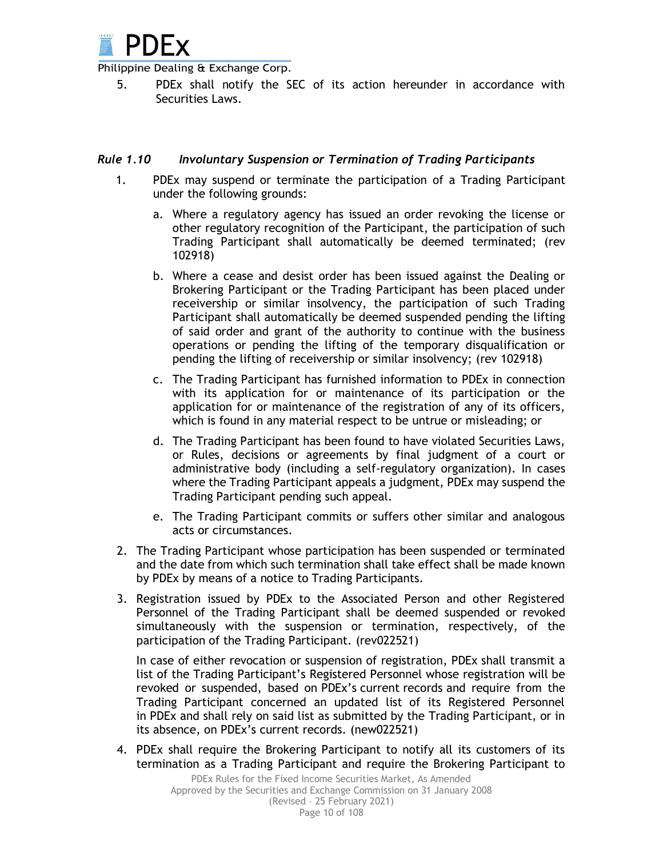

5. PDEx shall notify the SEC of its action hereunder in accordance with Securities Laws.

#### *Rule 1.10 Involuntary Suspension or Termination of Trading Participants*

- 1. PDEx may suspend or terminate the participation of a Trading Participant under the following grounds:
	- a. Where a regulatory agency has issued an order revoking the license or other regulatory recognition of the Participant, the participation of such Trading Participant shall automatically be deemed terminated; (rev 102918)
	- b. Where a cease and desist order has been issued against the Dealing or Brokering Participant or the Trading Participant has been placed under receivership or similar insolvency, the participation of such Trading Participant shall automatically be deemed suspended pending the lifting of said order and grant of the authority to continue with the business operations or pending the lifting of the temporary disqualification or pending the lifting of receivership or similar insolvency; (rev 102918)
	- c. The Trading Participant has furnished information to PDEx in connection with its application for or maintenance of its participation or the application for or maintenance of the registration of any of its officers, which is found in any material respect to be untrue or misleading; or
	- d. The Trading Participant has been found to have violated Securities Laws, or Rules, decisions or agreements by final judgment of a court or administrative body (including a self-regulatory organization). In cases where the Trading Participant appeals a judgment, PDEx may suspend the Trading Participant pending such appeal.
	- e. The Trading Participant commits or suffers other similar and analogous acts or circumstances.
- 2. The Trading Participant whose participation has been suspended or terminated and the date from which such termination shall take effect shall be made known by PDEx by means of a notice to Trading Participants.
- 3. Registration issued by PDEx to the Associated Person and other Registered Personnel of the Trading Participant shall be deemed suspended or revoked simultaneously with the suspension or termination, respectively, of the participation of the Trading Participant. (rev022521)

In case of either revocation or suspension of registration, PDEx shall transmit a list of the Trading Participant's Registered Personnel whose registration will be revoked or suspended, based on PDEx's current records and require from the Trading Participant concerned an updated list of its Registered Personnel in PDEx and shall rely on said list as submitted by the Trading Participant, or in its absence, on PDEx's current records. (new022521)

4. PDEx shall require the Brokering Participant to notify all its customers of its termination as a Trading Participant and require the Brokering Participant to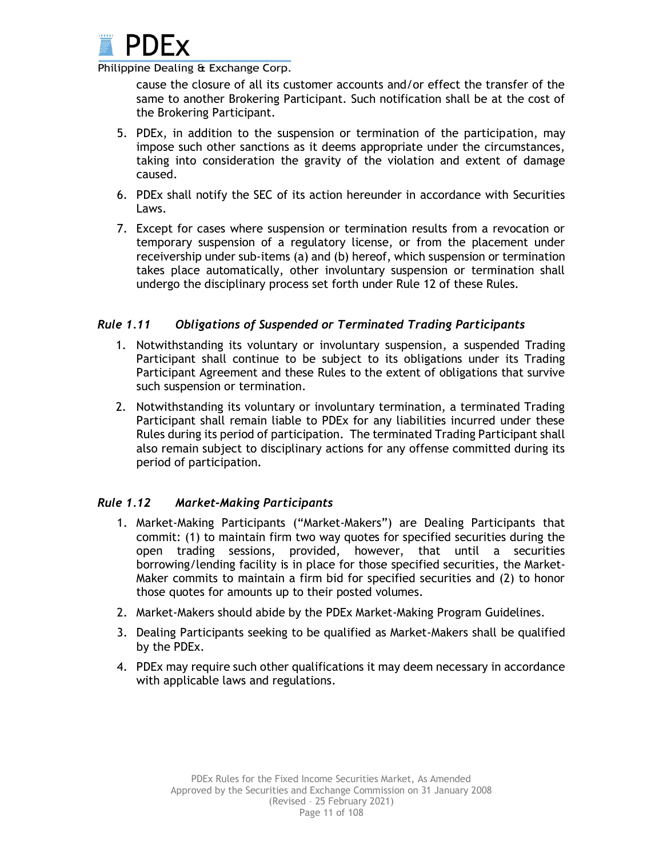

cause the closure of all its customer accounts and/or effect the transfer of the same to another Brokering Participant. Such notification shall be at the cost of the Brokering Participant.

- 5. PDEx, in addition to the suspension or termination of the participation, may impose such other sanctions as it deems appropriate under the circumstances, taking into consideration the gravity of the violation and extent of damage caused.
- 6. PDEx shall notify the SEC of its action hereunder in accordance with Securities Laws.
- 7. Except for cases where suspension or termination results from a revocation or temporary suspension of a regulatory license, or from the placement under receivership under sub-items (a) and (b) hereof, which suspension or termination takes place automatically, other involuntary suspension or termination shall undergo the disciplinary process set forth under Rule 12 of these Rules.

## *Rule 1.11 Obligations of Suspended or Terminated Trading Participants*

- 1. Notwithstanding its voluntary or involuntary suspension, a suspended Trading Participant shall continue to be subject to its obligations under its Trading Participant Agreement and these Rules to the extent of obligations that survive such suspension or termination.
- 2. Notwithstanding its voluntary or involuntary termination, a terminated Trading Participant shall remain liable to PDEx for any liabilities incurred under these Rules during its period of participation. The terminated Trading Participant shall also remain subject to disciplinary actions for any offense committed during its period of participation.

## *Rule 1.12 Market-Making Participants*

- 1. Market-Making Participants ("Market-Makers") are Dealing Participants that commit: (1) to maintain firm two way quotes for specified securities during the open trading sessions, provided, however, that until a securities borrowing/lending facility is in place for those specified securities, the Market-Maker commits to maintain a firm bid for specified securities and (2) to honor those quotes for amounts up to their posted volumes.
- 2. Market-Makers should abide by the PDEx Market-Making Program Guidelines.
- 3. Dealing Participants seeking to be qualified as Market-Makers shall be qualified by the PDEx.
- 4. PDEx may require such other qualifications it may deem necessary in accordance with applicable laws and regulations.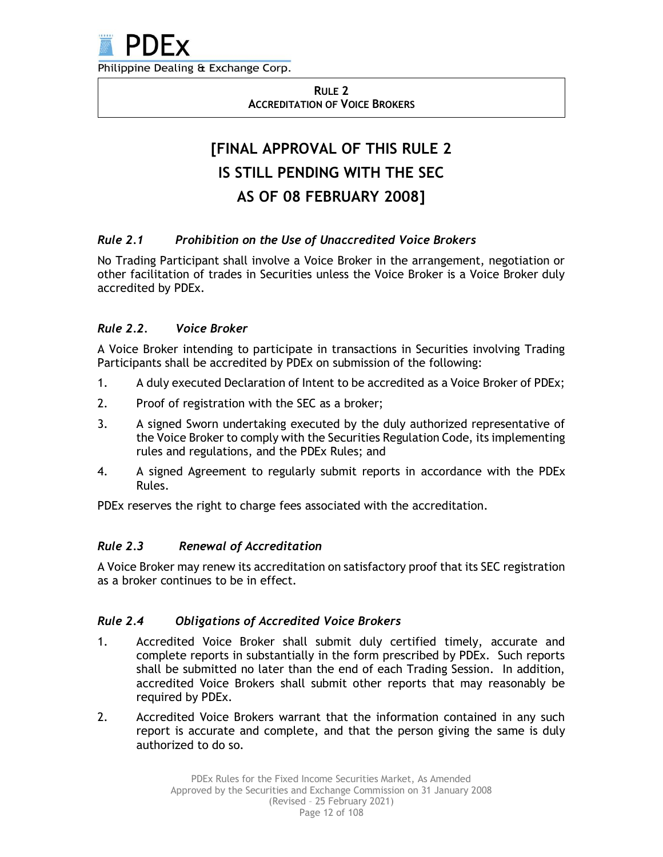

**RULE 2 ACCREDITATION OF VOICE BROKERS**

# **[FINAL APPROVAL OF THIS RULE 2 IS STILL PENDING WITH THE SEC AS OF 08 FEBRUARY 2008]**

## *Rule 2.1 Prohibition on the Use of Unaccredited Voice Brokers*

No Trading Participant shall involve a Voice Broker in the arrangement, negotiation or other facilitation of trades in Securities unless the Voice Broker is a Voice Broker duly accredited by PDEx.

## *Rule 2.2. Voice Broker*

A Voice Broker intending to participate in transactions in Securities involving Trading Participants shall be accredited by PDEx on submission of the following:

- 1. A duly executed Declaration of Intent to be accredited as a Voice Broker of PDEx;
- 2. Proof of registration with the SEC as a broker;
- 3. A signed Sworn undertaking executed by the duly authorized representative of the Voice Broker to comply with the Securities Regulation Code, its implementing rules and regulations, and the PDEx Rules; and
- 4. A signed Agreement to regularly submit reports in accordance with the PDEx Rules.

PDEx reserves the right to charge fees associated with the accreditation.

## *Rule 2.3 Renewal of Accreditation*

A Voice Broker may renew its accreditation on satisfactory proof that its SEC registration as a broker continues to be in effect.

## *Rule 2.4 Obligations of Accredited Voice Brokers*

- 1. Accredited Voice Broker shall submit duly certified timely, accurate and complete reports in substantially in the form prescribed by PDEx. Such reports shall be submitted no later than the end of each Trading Session. In addition, accredited Voice Brokers shall submit other reports that may reasonably be required by PDEx.
- 2. Accredited Voice Brokers warrant that the information contained in any such report is accurate and complete, and that the person giving the same is duly authorized to do so.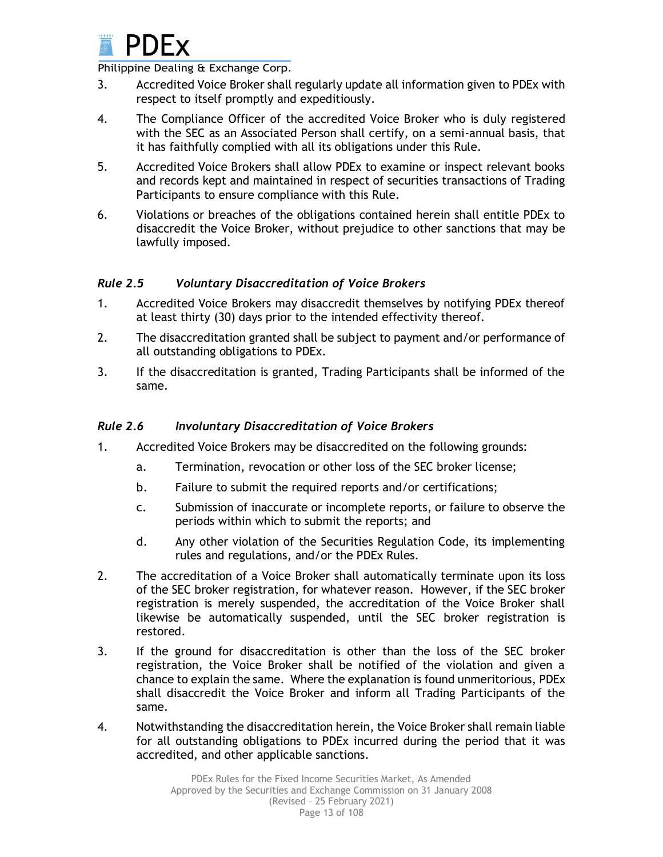

- 3. Accredited Voice Broker shall regularly update all information given to PDEx with respect to itself promptly and expeditiously.
- 4. The Compliance Officer of the accredited Voice Broker who is duly registered with the SEC as an Associated Person shall certify, on a semi-annual basis, that it has faithfully complied with all its obligations under this Rule.
- 5. Accredited Voice Brokers shall allow PDEx to examine or inspect relevant books and records kept and maintained in respect of securities transactions of Trading Participants to ensure compliance with this Rule.
- 6. Violations or breaches of the obligations contained herein shall entitle PDEx to disaccredit the Voice Broker, without prejudice to other sanctions that may be lawfully imposed.

## *Rule 2.5 Voluntary Disaccreditation of Voice Brokers*

- 1. Accredited Voice Brokers may disaccredit themselves by notifying PDEx thereof at least thirty (30) days prior to the intended effectivity thereof.
- 2. The disaccreditation granted shall be subject to payment and/or performance of all outstanding obligations to PDEx.
- 3. If the disaccreditation is granted, Trading Participants shall be informed of the same.

## *Rule 2.6 Involuntary Disaccreditation of Voice Brokers*

- 1. Accredited Voice Brokers may be disaccredited on the following grounds:
	- a. Termination, revocation or other loss of the SEC broker license;
	- b. Failure to submit the required reports and/or certifications;
	- c. Submission of inaccurate or incomplete reports, or failure to observe the periods within which to submit the reports; and
	- d. Any other violation of the Securities Regulation Code, its implementing rules and regulations, and/or the PDEx Rules.
- 2. The accreditation of a Voice Broker shall automatically terminate upon its loss of the SEC broker registration, for whatever reason. However, if the SEC broker registration is merely suspended, the accreditation of the Voice Broker shall likewise be automatically suspended, until the SEC broker registration is restored.
- 3. If the ground for disaccreditation is other than the loss of the SEC broker registration, the Voice Broker shall be notified of the violation and given a chance to explain the same. Where the explanation is found unmeritorious, PDEx shall disaccredit the Voice Broker and inform all Trading Participants of the same.
- 4. Notwithstanding the disaccreditation herein, the Voice Broker shall remain liable for all outstanding obligations to PDEx incurred during the period that it was accredited, and other applicable sanctions.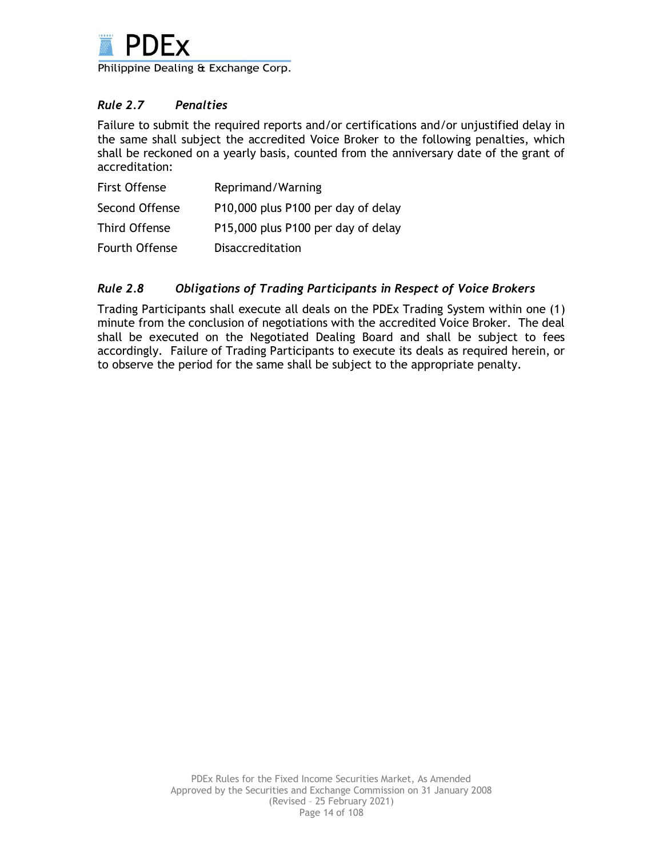

## *Rule 2.7 Penalties*

Failure to submit the required reports and/or certifications and/or unjustified delay in the same shall subject the accredited Voice Broker to the following penalties, which shall be reckoned on a yearly basis, counted from the anniversary date of the grant of accreditation:

| <b>First Offense</b> | Reprimand/Warning                  |
|----------------------|------------------------------------|
| Second Offense       | P10,000 plus P100 per day of delay |
| Third Offense        | P15,000 plus P100 per day of delay |
| Fourth Offense       | <b>Disaccreditation</b>            |

## *Rule 2.8 Obligations of Trading Participants in Respect of Voice Brokers*

Trading Participants shall execute all deals on the PDEx Trading System within one (1) minute from the conclusion of negotiations with the accredited Voice Broker. The deal shall be executed on the Negotiated Dealing Board and shall be subject to fees accordingly. Failure of Trading Participants to execute its deals as required herein, or to observe the period for the same shall be subject to the appropriate penalty.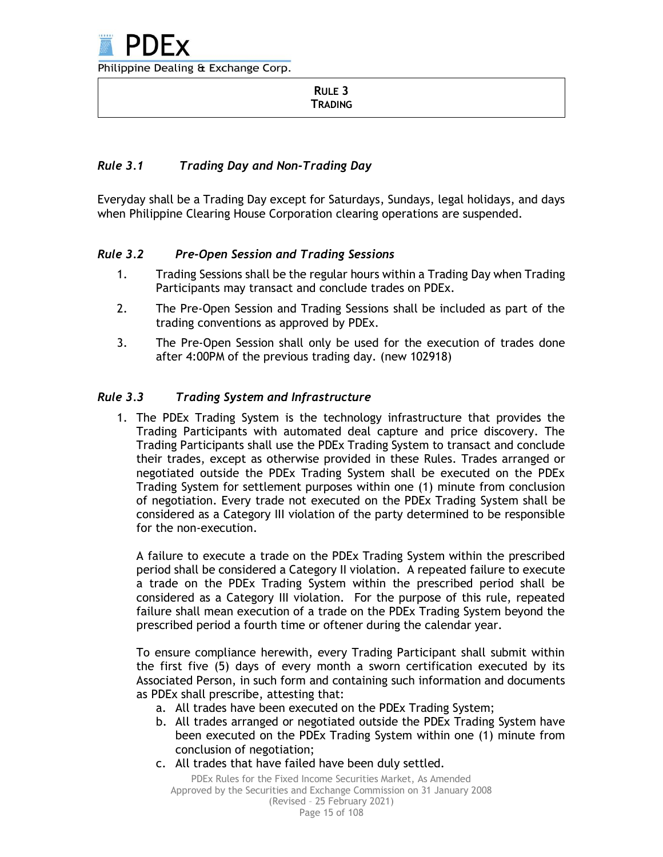#### **RULE 3 TRADING**

# *Rule 3.1 Trading Day and Non-Trading Day*

Everyday shall be a Trading Day except for Saturdays, Sundays, legal holidays, and days when Philippine Clearing House Corporation clearing operations are suspended.

# *Rule 3.2 Pre-Open Session and Trading Sessions*

- 1. Trading Sessions shall be the regular hours within a Trading Day when Trading Participants may transact and conclude trades on PDEx.
- 2. The Pre-Open Session and Trading Sessions shall be included as part of the trading conventions as approved by PDEx.
- 3. The Pre-Open Session shall only be used for the execution of trades done after 4:00PM of the previous trading day. (new 102918)

# *Rule 3.3 Trading System and Infrastructure*

1. The PDEx Trading System is the technology infrastructure that provides the Trading Participants with automated deal capture and price discovery. The Trading Participants shall use the PDEx Trading System to transact and conclude their trades, except as otherwise provided in these Rules. Trades arranged or negotiated outside the PDEx Trading System shall be executed on the PDEx Trading System for settlement purposes within one (1) minute from conclusion of negotiation. Every trade not executed on the PDEx Trading System shall be considered as a Category III violation of the party determined to be responsible for the non-execution.

A failure to execute a trade on the PDEx Trading System within the prescribed period shall be considered a Category II violation. A repeated failure to execute a trade on the PDEx Trading System within the prescribed period shall be considered as a Category III violation. For the purpose of this rule, repeated failure shall mean execution of a trade on the PDEx Trading System beyond the prescribed period a fourth time or oftener during the calendar year.

To ensure compliance herewith, every Trading Participant shall submit within the first five (5) days of every month a sworn certification executed by its Associated Person, in such form and containing such information and documents as PDEx shall prescribe, attesting that:

- a. All trades have been executed on the PDEx Trading System;
- b. All trades arranged or negotiated outside the PDEx Trading System have been executed on the PDEx Trading System within one (1) minute from conclusion of negotiation;
- c. All trades that have failed have been duly settled.

Page 15 of 108 PDEx Rules for the Fixed Income Securities Market, As Amended Approved by the Securities and Exchange Commission on 31 January 2008 (Revised – 25 February 2021)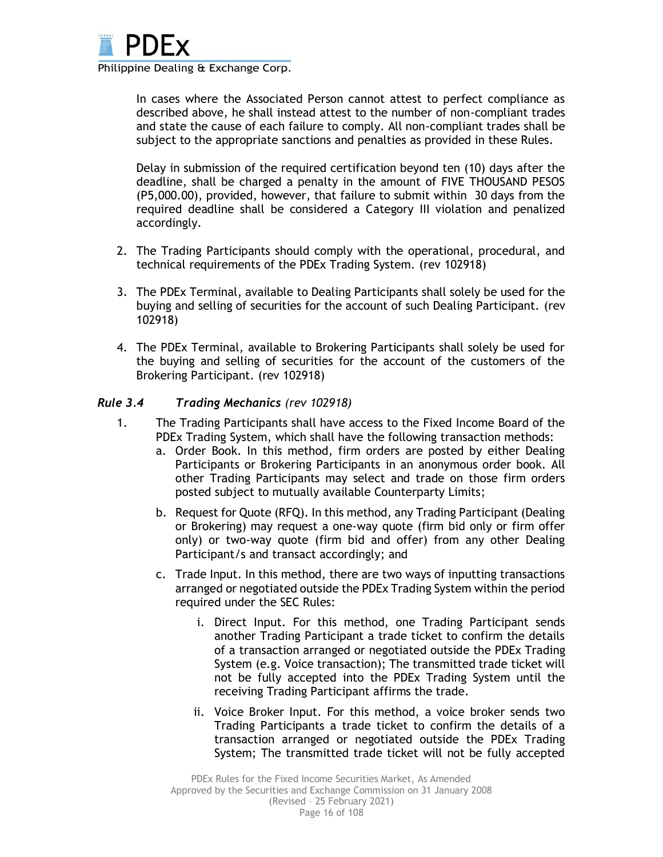

In cases where the Associated Person cannot attest to perfect compliance as described above, he shall instead attest to the number of non-compliant trades and state the cause of each failure to comply. All non-compliant trades shall be subject to the appropriate sanctions and penalties as provided in these Rules.

Delay in submission of the required certification beyond ten (10) days after the deadline, shall be charged a penalty in the amount of FIVE THOUSAND PESOS (P5,000.00), provided, however, that failure to submit within 30 days from the required deadline shall be considered a Category III violation and penalized accordingly.

- 2. The Trading Participants should comply with the operational, procedural, and technical requirements of the PDEx Trading System. (rev 102918)
- 3. The PDEx Terminal, available to Dealing Participants shall solely be used for the buying and selling of securities for the account of such Dealing Participant. (rev 102918)
- 4. The PDEx Terminal, available to Brokering Participants shall solely be used for the buying and selling of securities for the account of the customers of the Brokering Participant. (rev 102918)

#### *Rule 3.4 Trading Mechanics (rev 102918)*

- 1. The Trading Participants shall have access to the Fixed Income Board of the PDEx Trading System, which shall have the following transaction methods:
	- a. Order Book. In this method, firm orders are posted by either Dealing Participants or Brokering Participants in an anonymous order book. All other Trading Participants may select and trade on those firm orders posted subject to mutually available Counterparty Limits;
	- b. Request for Quote (RFQ). In this method, any Trading Participant (Dealing or Brokering) may request a one-way quote (firm bid only or firm offer only) or two-way quote (firm bid and offer) from any other Dealing Participant/s and transact accordingly; and
	- c. Trade Input. In this method, there are two ways of inputting transactions arranged or negotiated outside the PDEx Trading System within the period required under the SEC Rules:
		- i. Direct Input. For this method, one Trading Participant sends another Trading Participant a trade ticket to confirm the details of a transaction arranged or negotiated outside the PDEx Trading System (e.g. Voice transaction); The transmitted trade ticket will not be fully accepted into the PDEx Trading System until the receiving Trading Participant affirms the trade.
		- ii. Voice Broker Input. For this method, a voice broker sends two Trading Participants a trade ticket to confirm the details of a transaction arranged or negotiated outside the PDEx Trading System; The transmitted trade ticket will not be fully accepted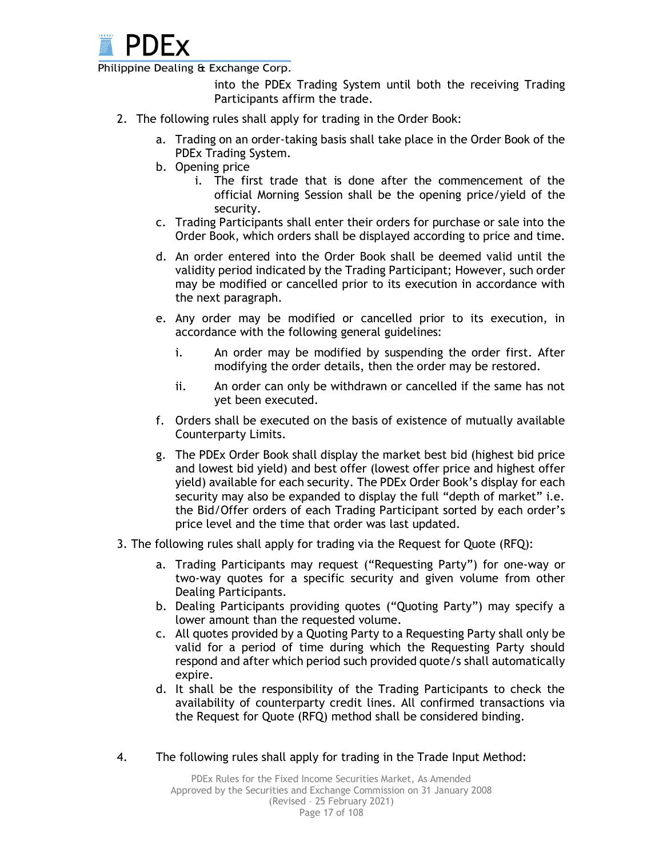

into the PDEx Trading System until both the receiving Trading Participants affirm the trade.

- 2. The following rules shall apply for trading in the Order Book:
	- a. Trading on an order-taking basis shall take place in the Order Book of the PDEx Trading System.
	- b. Opening price
		- i. The first trade that is done after the commencement of the official Morning Session shall be the opening price/yield of the security.
	- c. Trading Participants shall enter their orders for purchase or sale into the Order Book, which orders shall be displayed according to price and time.
	- d. An order entered into the Order Book shall be deemed valid until the validity period indicated by the Trading Participant; However, such order may be modified or cancelled prior to its execution in accordance with the next paragraph.
	- e. Any order may be modified or cancelled prior to its execution, in accordance with the following general guidelines:
		- i. An order may be modified by suspending the order first. After modifying the order details, then the order may be restored.
		- ii. An order can only be withdrawn or cancelled if the same has not yet been executed.
	- f. Orders shall be executed on the basis of existence of mutually available Counterparty Limits.
	- g. The PDEx Order Book shall display the market best bid (highest bid price and lowest bid yield) and best offer (lowest offer price and highest offer yield) available for each security. The PDEx Order Book's display for each security may also be expanded to display the full "depth of market" i.e. the Bid/Offer orders of each Trading Participant sorted by each order's price level and the time that order was last updated.
- 3. The following rules shall apply for trading via the Request for Quote (RFQ):
	- a. Trading Participants may request ("Requesting Party") for one-way or two-way quotes for a specific security and given volume from other Dealing Participants.
	- b. Dealing Participants providing quotes ("Quoting Party") may specify a lower amount than the requested volume.
	- c. All quotes provided by a Quoting Party to a Requesting Party shall only be valid for a period of time during which the Requesting Party should respond and after which period such provided quote/s shall automatically expire.
	- d. It shall be the responsibility of the Trading Participants to check the availability of counterparty credit lines. All confirmed transactions via the Request for Quote (RFQ) method shall be considered binding.
- 4. The following rules shall apply for trading in the Trade Input Method: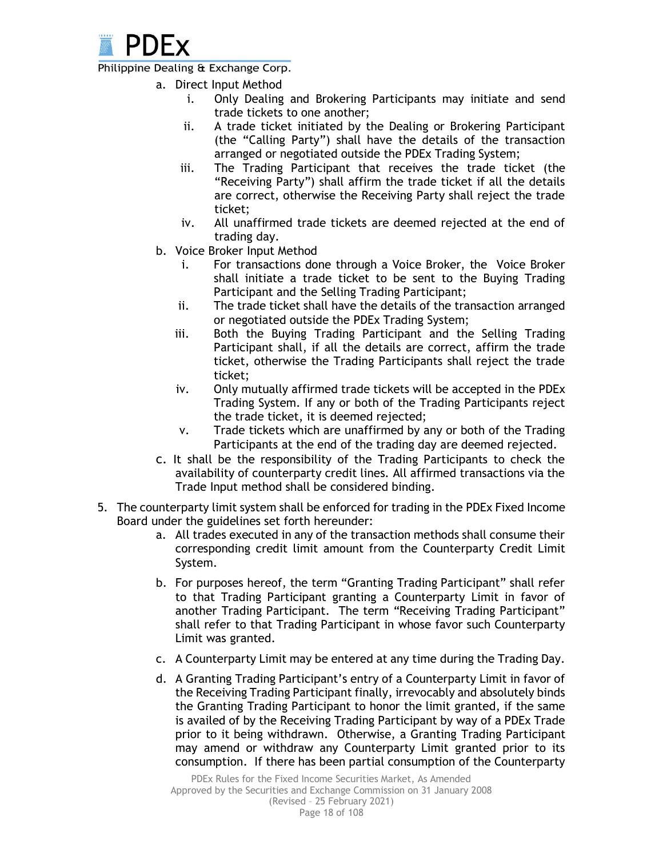

- a. Direct Input Method
	- i. Only Dealing and Brokering Participants may initiate and send trade tickets to one another;
	- ii. A trade ticket initiated by the Dealing or Brokering Participant (the "Calling Party") shall have the details of the transaction arranged or negotiated outside the PDEx Trading System;
	- iii. The Trading Participant that receives the trade ticket (the "Receiving Party") shall affirm the trade ticket if all the details are correct, otherwise the Receiving Party shall reject the trade ticket;
	- iv. All unaffirmed trade tickets are deemed rejected at the end of trading day.
- b. Voice Broker Input Method
	- i. For transactions done through a Voice Broker, the Voice Broker shall initiate a trade ticket to be sent to the Buying Trading Participant and the Selling Trading Participant;
	- ii. The trade ticket shall have the details of the transaction arranged or negotiated outside the PDEx Trading System;
	- iii. Both the Buying Trading Participant and the Selling Trading Participant shall, if all the details are correct, affirm the trade ticket, otherwise the Trading Participants shall reject the trade ticket;
	- iv. Only mutually affirmed trade tickets will be accepted in the PDEx Trading System. If any or both of the Trading Participants reject the trade ticket, it is deemed rejected;
	- v. Trade tickets which are unaffirmed by any or both of the Trading Participants at the end of the trading day are deemed rejected.
- c. It shall be the responsibility of the Trading Participants to check the availability of counterparty credit lines. All affirmed transactions via the Trade Input method shall be considered binding.
- 5. The counterparty limit system shall be enforced for trading in the PDEx Fixed Income Board under the guidelines set forth hereunder:
	- a. All trades executed in any of the transaction methods shall consume their corresponding credit limit amount from the Counterparty Credit Limit System.
	- b. For purposes hereof, the term "Granting Trading Participant" shall refer to that Trading Participant granting a Counterparty Limit in favor of another Trading Participant. The term "Receiving Trading Participant" shall refer to that Trading Participant in whose favor such Counterparty Limit was granted.
	- c. A Counterparty Limit may be entered at any time during the Trading Day.
	- d. A Granting Trading Participant's entry of a Counterparty Limit in favor of the Receiving Trading Participant finally, irrevocably and absolutely binds the Granting Trading Participant to honor the limit granted, if the same is availed of by the Receiving Trading Participant by way of a PDEx Trade prior to it being withdrawn. Otherwise, a Granting Trading Participant may amend or withdraw any Counterparty Limit granted prior to its consumption. If there has been partial consumption of the Counterparty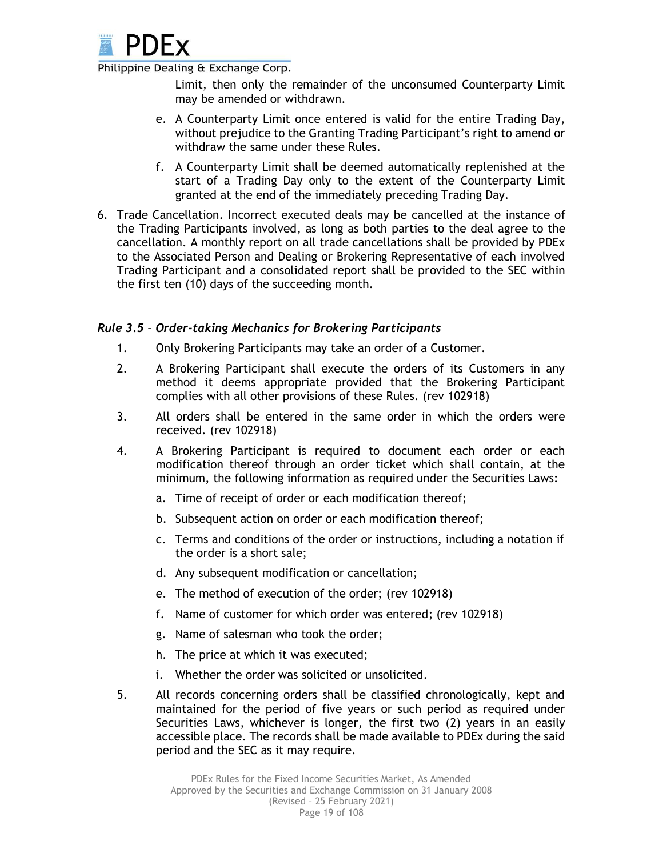

Limit, then only the remainder of the unconsumed Counterparty Limit may be amended or withdrawn.

- e. A Counterparty Limit once entered is valid for the entire Trading Day, without prejudice to the Granting Trading Participant's right to amend or withdraw the same under these Rules.
- f. A Counterparty Limit shall be deemed automatically replenished at the start of a Trading Day only to the extent of the Counterparty Limit granted at the end of the immediately preceding Trading Day.
- 6. Trade Cancellation. Incorrect executed deals may be cancelled at the instance of the Trading Participants involved, as long as both parties to the deal agree to the cancellation. A monthly report on all trade cancellations shall be provided by PDEx to the Associated Person and Dealing or Brokering Representative of each involved Trading Participant and a consolidated report shall be provided to the SEC within the first ten (10) days of the succeeding month.

## *Rule 3.5 – Order-taking Mechanics for Brokering Participants*

- 1. Only Brokering Participants may take an order of a Customer.
- 2. A Brokering Participant shall execute the orders of its Customers in any method it deems appropriate provided that the Brokering Participant complies with all other provisions of these Rules. (rev 102918)
- 3. All orders shall be entered in the same order in which the orders were received. (rev 102918)
- 4. A Brokering Participant is required to document each order or each modification thereof through an order ticket which shall contain, at the minimum, the following information as required under the Securities Laws:
	- a. Time of receipt of order or each modification thereof;
	- b. Subsequent action on order or each modification thereof;
	- c. Terms and conditions of the order or instructions, including a notation if the order is a short sale;
	- d. Any subsequent modification or cancellation;
	- e. The method of execution of the order; (rev 102918)
	- f. Name of customer for which order was entered; (rev 102918)
	- g. Name of salesman who took the order;
	- h. The price at which it was executed;
	- i. Whether the order was solicited or unsolicited.
- 5. All records concerning orders shall be classified chronologically, kept and maintained for the period of five years or such period as required under Securities Laws, whichever is longer, the first two (2) years in an easily accessible place. The records shall be made available to PDEx during the said period and the SEC as it may require.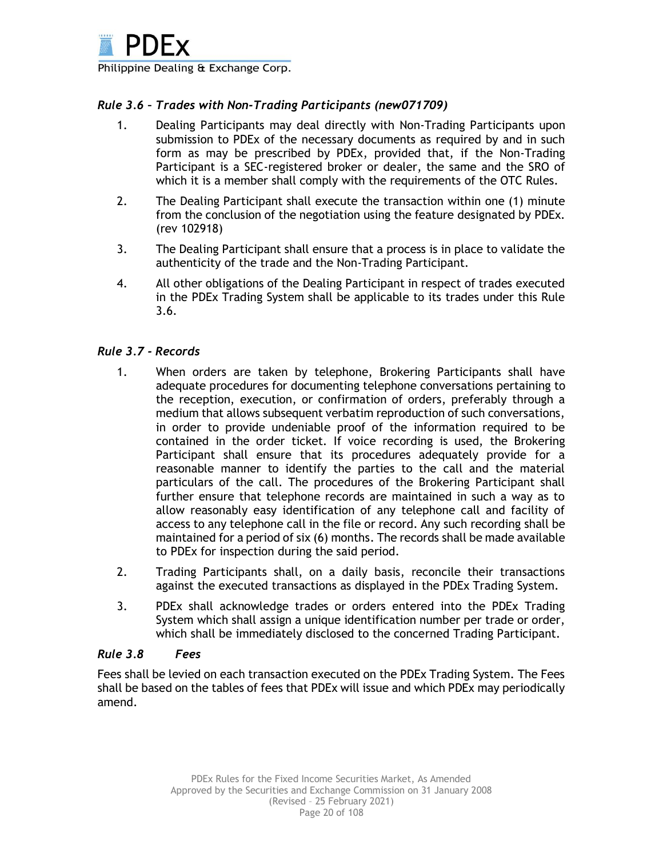

## *Rule 3.6 – Trades with Non-Trading Participants (new071709)*

- 1. Dealing Participants may deal directly with Non-Trading Participants upon submission to PDEx of the necessary documents as required by and in such form as may be prescribed by PDEx, provided that, if the Non-Trading Participant is a SEC-registered broker or dealer, the same and the SRO of which it is a member shall comply with the requirements of the OTC Rules.
- 2. The Dealing Participant shall execute the transaction within one (1) minute from the conclusion of the negotiation using the feature designated by PDEx. (rev 102918)
- 3. The Dealing Participant shall ensure that a process is in place to validate the authenticity of the trade and the Non-Trading Participant.
- 4. All other obligations of the Dealing Participant in respect of trades executed in the PDEx Trading System shall be applicable to its trades under this Rule 3.6.

## *Rule 3.7 - Records*

- 1. When orders are taken by telephone, Brokering Participants shall have adequate procedures for documenting telephone conversations pertaining to the reception, execution, or confirmation of orders, preferably through a medium that allows subsequent verbatim reproduction of such conversations, in order to provide undeniable proof of the information required to be contained in the order ticket. If voice recording is used, the Brokering Participant shall ensure that its procedures adequately provide for a reasonable manner to identify the parties to the call and the material particulars of the call. The procedures of the Brokering Participant shall further ensure that telephone records are maintained in such a way as to allow reasonably easy identification of any telephone call and facility of access to any telephone call in the file or record. Any such recording shall be maintained for a period of six (6) months. The records shall be made available to PDEx for inspection during the said period.
- 2. Trading Participants shall, on a daily basis, reconcile their transactions against the executed transactions as displayed in the PDEx Trading System.
- 3. PDEx shall acknowledge trades or orders entered into the PDEx Trading System which shall assign a unique identification number per trade or order, which shall be immediately disclosed to the concerned Trading Participant.

#### *Rule 3.8 Fees*

Fees shall be levied on each transaction executed on the PDEx Trading System. The Fees shall be based on the tables of fees that PDEx will issue and which PDEx may periodically amend.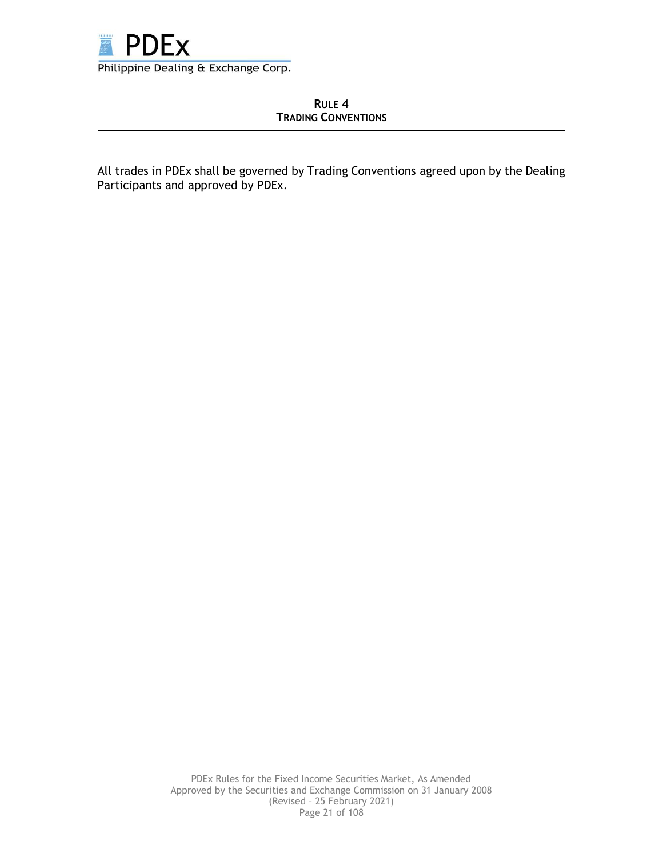

## **RULE 4 TRADING CONVENTIONS**

All trades in PDEx shall be governed by Trading Conventions agreed upon by the Dealing Participants and approved by PDEx.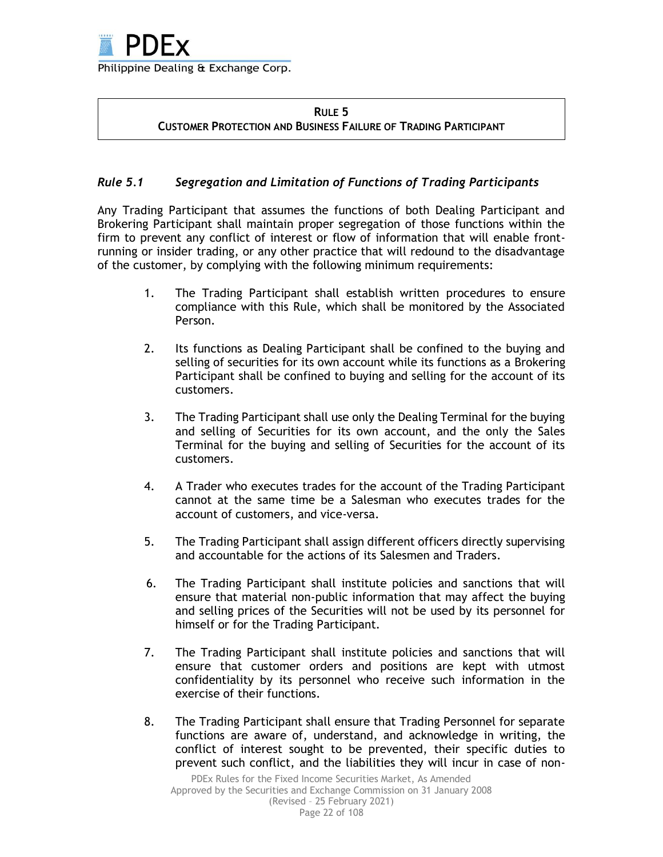## **RULE 5 CUSTOMER PROTECTION AND BUSINESS FAILURE OF TRADING PARTICIPANT**

# *Rule 5.1 Segregation and Limitation of Functions of Trading Participants*

Any Trading Participant that assumes the functions of both Dealing Participant and Brokering Participant shall maintain proper segregation of those functions within the firm to prevent any conflict of interest or flow of information that will enable frontrunning or insider trading, or any other practice that will redound to the disadvantage of the customer, by complying with the following minimum requirements:

- 1. The Trading Participant shall establish written procedures to ensure compliance with this Rule, which shall be monitored by the Associated Person.
- 2. Its functions as Dealing Participant shall be confined to the buying and selling of securities for its own account while its functions as a Brokering Participant shall be confined to buying and selling for the account of its customers.
- 3. The Trading Participant shall use only the Dealing Terminal for the buying and selling of Securities for its own account, and the only the Sales Terminal for the buying and selling of Securities for the account of its customers.
- 4. A Trader who executes trades for the account of the Trading Participant cannot at the same time be a Salesman who executes trades for the account of customers, and vice-versa.
- 5. The Trading Participant shall assign different officers directly supervising and accountable for the actions of its Salesmen and Traders.
- 6. The Trading Participant shall institute policies and sanctions that will ensure that material non-public information that may affect the buying and selling prices of the Securities will not be used by its personnel for himself or for the Trading Participant.
- 7. The Trading Participant shall institute policies and sanctions that will ensure that customer orders and positions are kept with utmost confidentiality by its personnel who receive such information in the exercise of their functions.
- 8. The Trading Participant shall ensure that Trading Personnel for separate functions are aware of, understand, and acknowledge in writing, the conflict of interest sought to be prevented, their specific duties to prevent such conflict, and the liabilities they will incur in case of non-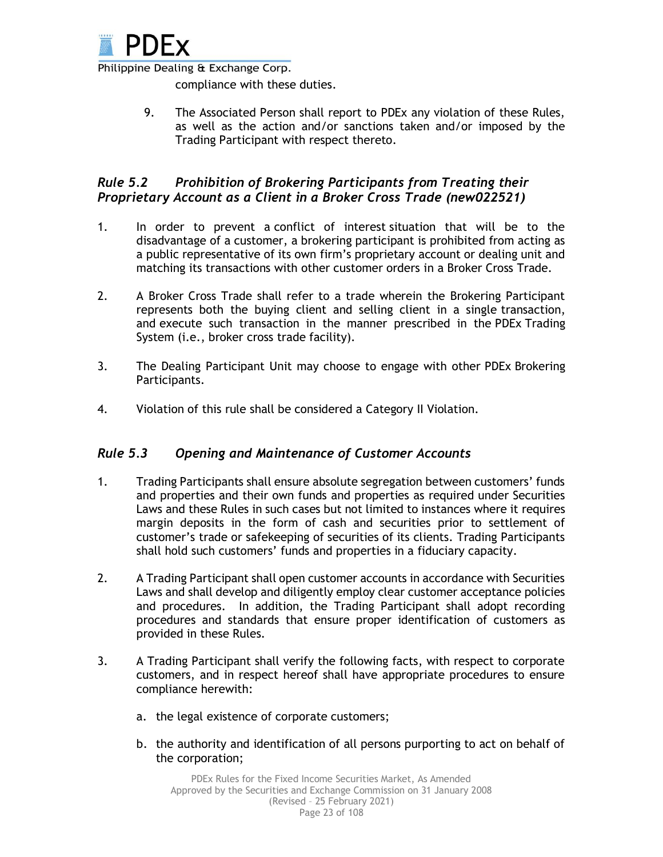

compliance with these duties.

9. The Associated Person shall report to PDEx any violation of these Rules, as well as the action and/or sanctions taken and/or imposed by the Trading Participant with respect thereto.

# *Rule 5.2 Prohibition of Brokering Participants from Treating their Proprietary Account as a Client in a Broker Cross Trade (new022521)*

- 1. In order to prevent a conflict of interest situation that will be to the disadvantage of a customer, a brokering participant is prohibited from acting as a public representative of its own firm's proprietary account or dealing unit and matching its transactions with other customer orders in a Broker Cross Trade.
- 2. A Broker Cross Trade shall refer to a trade wherein the Brokering Participant represents both the buying client and selling client in a single transaction, and execute such transaction in the manner prescribed in the PDEx Trading System (i.e., broker cross trade facility).
- 3. The Dealing Participant Unit may choose to engage with other PDEx Brokering Participants.
- 4. Violation of this rule shall be considered a Category II Violation.

# *Rule 5.3 Opening and Maintenance of Customer Accounts*

- 1. Trading Participants shall ensure absolute segregation between customers' funds and properties and their own funds and properties as required under Securities Laws and these Rules in such cases but not limited to instances where it requires margin deposits in the form of cash and securities prior to settlement of customer's trade or safekeeping of securities of its clients. Trading Participants shall hold such customers' funds and properties in a fiduciary capacity.
- 2. A Trading Participant shall open customer accounts in accordance with Securities Laws and shall develop and diligently employ clear customer acceptance policies and procedures. In addition, the Trading Participant shall adopt recording procedures and standards that ensure proper identification of customers as provided in these Rules.
- 3. A Trading Participant shall verify the following facts, with respect to corporate customers, and in respect hereof shall have appropriate procedures to ensure compliance herewith:
	- a. the legal existence of corporate customers;
	- b. the authority and identification of all persons purporting to act on behalf of the corporation;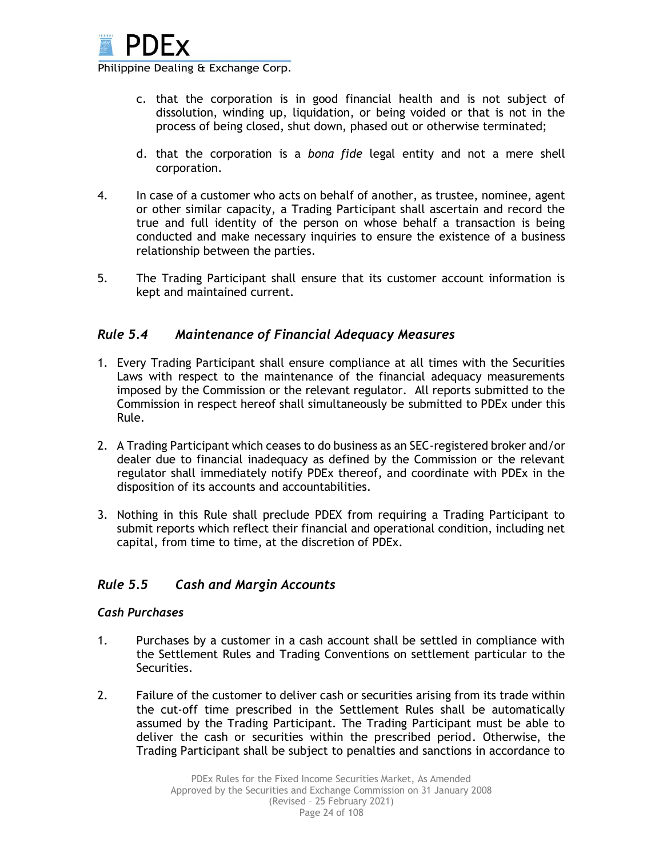

c. that the corporation is in good financial health and is not subject of dissolution, winding up, liquidation, or being voided or that is not in the process of being closed, shut down, phased out or otherwise terminated;

- d. that the corporation is a *bona fide* legal entity and not a mere shell corporation.
- 4. In case of a customer who acts on behalf of another, as trustee, nominee, agent or other similar capacity, a Trading Participant shall ascertain and record the true and full identity of the person on whose behalf a transaction is being conducted and make necessary inquiries to ensure the existence of a business relationship between the parties.
- 5. The Trading Participant shall ensure that its customer account information is kept and maintained current.

# *Rule 5.4 Maintenance of Financial Adequacy Measures*

- 1. Every Trading Participant shall ensure compliance at all times with the Securities Laws with respect to the maintenance of the financial adequacy measurements imposed by the Commission or the relevant regulator. All reports submitted to the Commission in respect hereof shall simultaneously be submitted to PDEx under this Rule.
- 2. A Trading Participant which ceases to do business as an SEC-registered broker and/or dealer due to financial inadequacy as defined by the Commission or the relevant regulator shall immediately notify PDEx thereof, and coordinate with PDEx in the disposition of its accounts and accountabilities.
- 3. Nothing in this Rule shall preclude PDEX from requiring a Trading Participant to submit reports which reflect their financial and operational condition, including net capital, from time to time, at the discretion of PDEx.

# *Rule 5.5 Cash and Margin Accounts*

## *Cash Purchases*

- 1. Purchases by a customer in a cash account shall be settled in compliance with the Settlement Rules and Trading Conventions on settlement particular to the Securities.
- 2. Failure of the customer to deliver cash or securities arising from its trade within the cut-off time prescribed in the Settlement Rules shall be automatically assumed by the Trading Participant. The Trading Participant must be able to deliver the cash or securities within the prescribed period. Otherwise, the Trading Participant shall be subject to penalties and sanctions in accordance to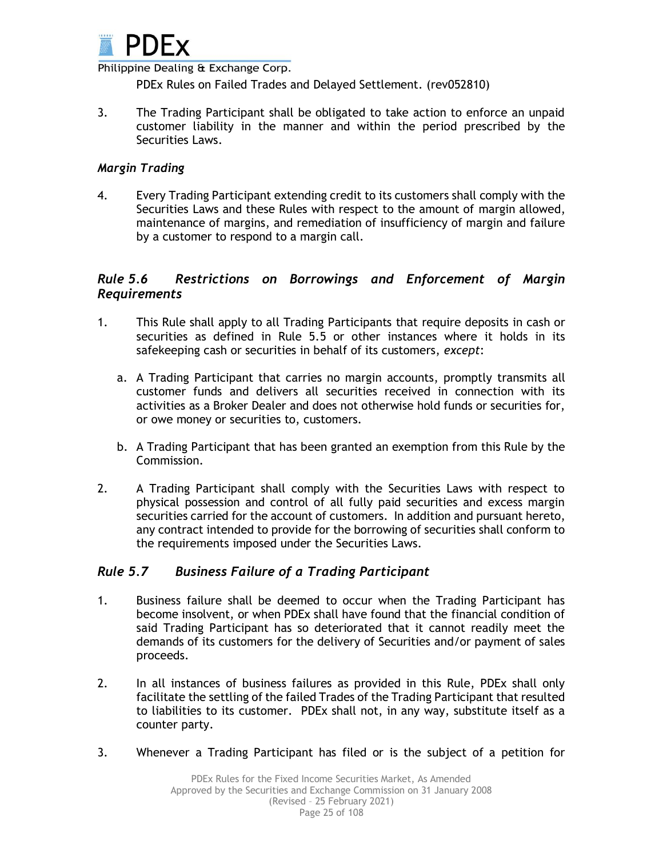

PDEx Rules on Failed Trades and Delayed Settlement. (rev052810)

3. The Trading Participant shall be obligated to take action to enforce an unpaid customer liability in the manner and within the period prescribed by the Securities Laws.

## *Margin Trading*

4. Every Trading Participant extending credit to its customers shall comply with the Securities Laws and these Rules with respect to the amount of margin allowed, maintenance of margins, and remediation of insufficiency of margin and failure by a customer to respond to a margin call.

## *Rule 5.6 Restrictions on Borrowings and Enforcement of Margin Requirements*

- 1. This Rule shall apply to all Trading Participants that require deposits in cash or securities as defined in Rule 5.5 or other instances where it holds in its safekeeping cash or securities in behalf of its customers, *except*:
	- a. A Trading Participant that carries no margin accounts, promptly transmits all customer funds and delivers all securities received in connection with its activities as a Broker Dealer and does not otherwise hold funds or securities for, or owe money or securities to, customers.
	- b. A Trading Participant that has been granted an exemption from this Rule by the Commission.
- 2. A Trading Participant shall comply with the Securities Laws with respect to physical possession and control of all fully paid securities and excess margin securities carried for the account of customers. In addition and pursuant hereto, any contract intended to provide for the borrowing of securities shall conform to the requirements imposed under the Securities Laws.

## *Rule 5.7 Business Failure of a Trading Participant*

- 1. Business failure shall be deemed to occur when the Trading Participant has become insolvent, or when PDEx shall have found that the financial condition of said Trading Participant has so deteriorated that it cannot readily meet the demands of its customers for the delivery of Securities and/or payment of sales proceeds.
- 2. In all instances of business failures as provided in this Rule, PDEx shall only facilitate the settling of the failed Trades of the Trading Participant that resulted to liabilities to its customer. PDEx shall not, in any way, substitute itself as a counter party.
- 3. Whenever a Trading Participant has filed or is the subject of a petition for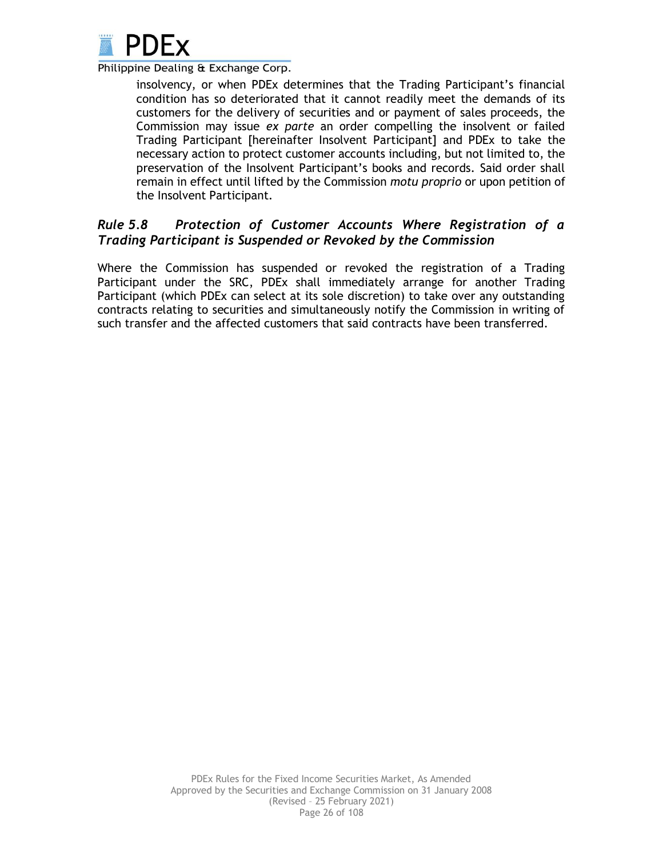

insolvency, or when PDEx determines that the Trading Participant's financial condition has so deteriorated that it cannot readily meet the demands of its customers for the delivery of securities and or payment of sales proceeds, the Commission may issue *ex parte* an order compelling the insolvent or failed Trading Participant [hereinafter Insolvent Participant] and PDEx to take the necessary action to protect customer accounts including, but not limited to, the preservation of the Insolvent Participant's books and records. Said order shall remain in effect until lifted by the Commission *motu proprio* or upon petition of the Insolvent Participant.

# *Rule 5.8 Protection of Customer Accounts Where Registration of a Trading Participant is Suspended or Revoked by the Commission*

Where the Commission has suspended or revoked the registration of a Trading Participant under the SRC, PDEx shall immediately arrange for another Trading Participant (which PDEx can select at its sole discretion) to take over any outstanding contracts relating to securities and simultaneously notify the Commission in writing of such transfer and the affected customers that said contracts have been transferred.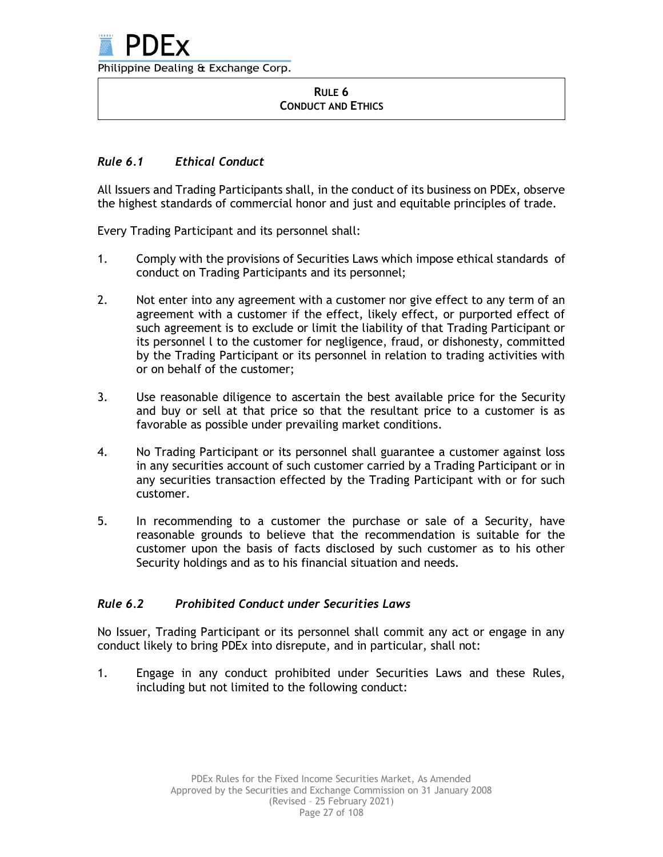#### **RULE 6 CONDUCT AND ETHICS**

# *Rule 6.1 Ethical Conduct*

All Issuers and Trading Participants shall, in the conduct of its business on PDEx, observe the highest standards of commercial honor and just and equitable principles of trade.

Every Trading Participant and its personnel shall:

- 1. Comply with the provisions of Securities Laws which impose ethical standards of conduct on Trading Participants and its personnel;
- 2. Not enter into any agreement with a customer nor give effect to any term of an agreement with a customer if the effect, likely effect, or purported effect of such agreement is to exclude or limit the liability of that Trading Participant or its personnel l to the customer for negligence, fraud, or dishonesty, committed by the Trading Participant or its personnel in relation to trading activities with or on behalf of the customer;
- 3. Use reasonable diligence to ascertain the best available price for the Security and buy or sell at that price so that the resultant price to a customer is as favorable as possible under prevailing market conditions.
- 4. No Trading Participant or its personnel shall guarantee a customer against loss in any securities account of such customer carried by a Trading Participant or in any securities transaction effected by the Trading Participant with or for such customer.
- 5. In recommending to a customer the purchase or sale of a Security, have reasonable grounds to believe that the recommendation is suitable for the customer upon the basis of facts disclosed by such customer as to his other Security holdings and as to his financial situation and needs.

# *Rule 6.2 Prohibited Conduct under Securities Laws*

No Issuer, Trading Participant or its personnel shall commit any act or engage in any conduct likely to bring PDEx into disrepute, and in particular, shall not:

1. Engage in any conduct prohibited under Securities Laws and these Rules, including but not limited to the following conduct: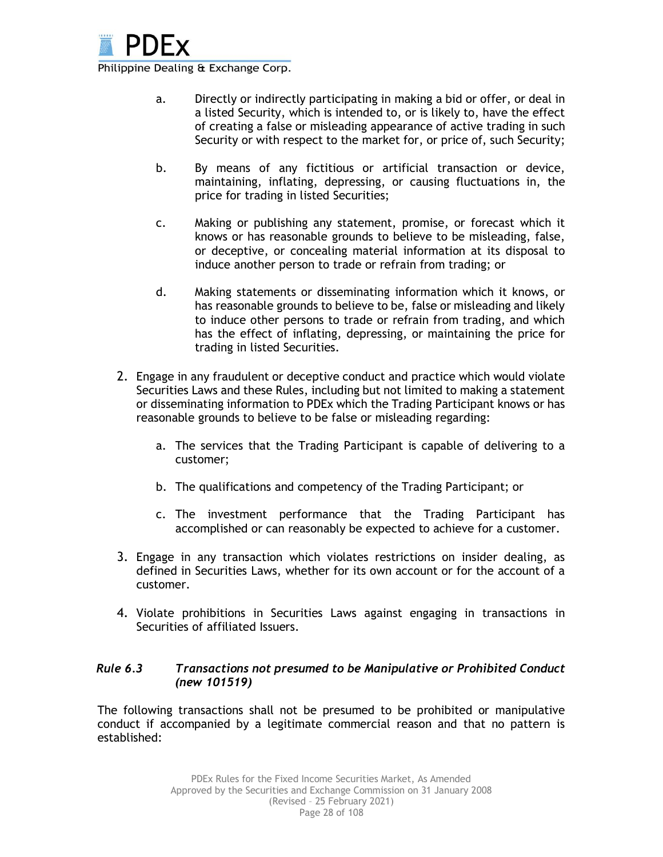

- a. Directly or indirectly participating in making a bid or offer, or deal in a listed Security, which is intended to, or is likely to, have the effect of creating a false or misleading appearance of active trading in such Security or with respect to the market for, or price of, such Security;
- b. By means of any fictitious or artificial transaction or device, maintaining, inflating, depressing, or causing fluctuations in, the price for trading in listed Securities;
- c. Making or publishing any statement, promise, or forecast which it knows or has reasonable grounds to believe to be misleading, false, or deceptive, or concealing material information at its disposal to induce another person to trade or refrain from trading; or
- d. Making statements or disseminating information which it knows, or has reasonable grounds to believe to be, false or misleading and likely to induce other persons to trade or refrain from trading, and which has the effect of inflating, depressing, or maintaining the price for trading in listed Securities.
- 2. Engage in any fraudulent or deceptive conduct and practice which would violate Securities Laws and these Rules, including but not limited to making a statement or disseminating information to PDEx which the Trading Participant knows or has reasonable grounds to believe to be false or misleading regarding:
	- a. The services that the Trading Participant is capable of delivering to a customer;
	- b. The qualifications and competency of the Trading Participant; or
	- c. The investment performance that the Trading Participant has accomplished or can reasonably be expected to achieve for a customer.
- 3. Engage in any transaction which violates restrictions on insider dealing, as defined in Securities Laws, whether for its own account or for the account of a customer.
- 4. Violate prohibitions in Securities Laws against engaging in transactions in Securities of affiliated Issuers.

## *Rule 6.3 Transactions not presumed to be Manipulative or Prohibited Conduct (new 101519)*

The following transactions shall not be presumed to be prohibited or manipulative conduct if accompanied by a legitimate commercial reason and that no pattern is established: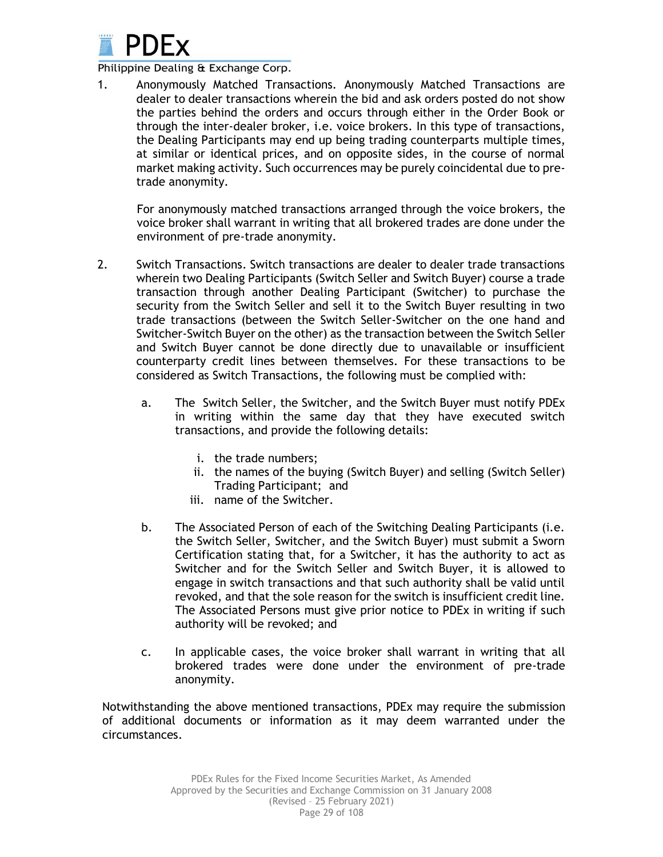

1. Anonymously Matched Transactions. Anonymously Matched Transactions are dealer to dealer transactions wherein the bid and ask orders posted do not show the parties behind the orders and occurs through either in the Order Book or through the inter-dealer broker, i.e. voice brokers. In this type of transactions, the Dealing Participants may end up being trading counterparts multiple times, at similar or identical prices, and on opposite sides, in the course of normal market making activity. Such occurrences may be purely coincidental due to pretrade anonymity.

For anonymously matched transactions arranged through the voice brokers, the voice broker shall warrant in writing that all brokered trades are done under the environment of pre-trade anonymity.

- 2. Switch Transactions. Switch transactions are dealer to dealer trade transactions wherein two Dealing Participants (Switch Seller and Switch Buyer) course a trade transaction through another Dealing Participant (Switcher) to purchase the security from the Switch Seller and sell it to the Switch Buyer resulting in two trade transactions (between the Switch Seller-Switcher on the one hand and Switcher-Switch Buyer on the other) as the transaction between the Switch Seller and Switch Buyer cannot be done directly due to unavailable or insufficient counterparty credit lines between themselves. For these transactions to be considered as Switch Transactions, the following must be complied with:
	- a. The Switch Seller, the Switcher, and the Switch Buyer must notify PDEx in writing within the same day that they have executed switch transactions, and provide the following details:
		- i. the trade numbers;
		- ii. the names of the buying (Switch Buyer) and selling (Switch Seller) Trading Participant; and
		- iii. name of the Switcher.
	- b. The Associated Person of each of the Switching Dealing Participants (i.e. the Switch Seller, Switcher, and the Switch Buyer) must submit a Sworn Certification stating that, for a Switcher, it has the authority to act as Switcher and for the Switch Seller and Switch Buyer, it is allowed to engage in switch transactions and that such authority shall be valid until revoked, and that the sole reason for the switch is insufficient credit line. The Associated Persons must give prior notice to PDEx in writing if such authority will be revoked; and
	- c. In applicable cases, the voice broker shall warrant in writing that all brokered trades were done under the environment of pre-trade anonymity.

Notwithstanding the above mentioned transactions, PDEx may require the submission of additional documents or information as it may deem warranted under the circumstances.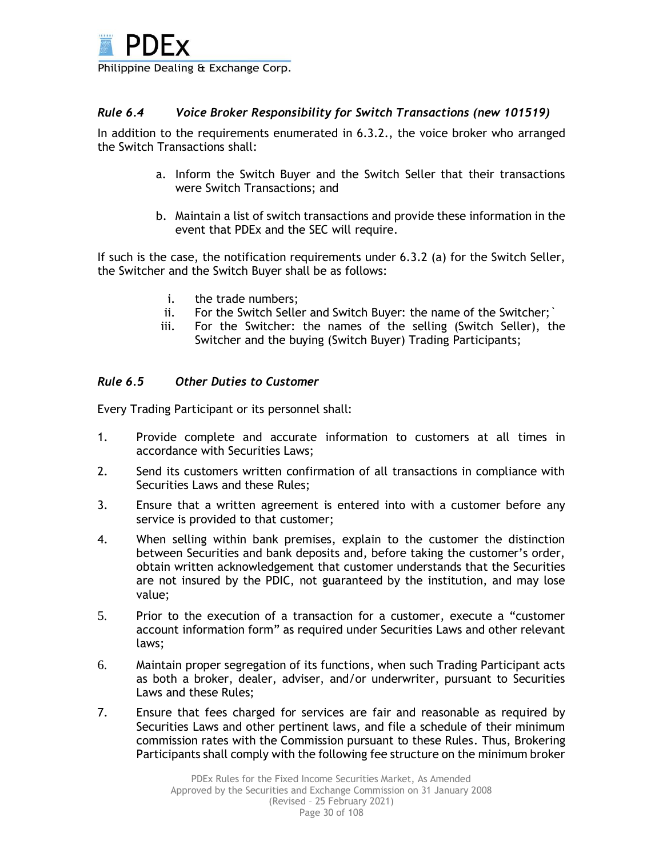

## *Rule 6.4 Voice Broker Responsibility for Switch Transactions (new 101519)*

In addition to the requirements enumerated in 6.3.2., the voice broker who arranged the Switch Transactions shall:

- a. Inform the Switch Buyer and the Switch Seller that their transactions were Switch Transactions; and
- b. Maintain a list of switch transactions and provide these information in the event that PDEx and the SEC will require.

If such is the case, the notification requirements under 6.3.2 (a) for the Switch Seller, the Switcher and the Switch Buyer shall be as follows:

- i. the trade numbers;
- ii. For the Switch Seller and Switch Buyer: the name of the Switcher;`
- iii. For the Switcher: the names of the selling (Switch Seller), the Switcher and the buying (Switch Buyer) Trading Participants;

## *Rule 6.5 Other Duties to Customer*

Every Trading Participant or its personnel shall:

- 1. Provide complete and accurate information to customers at all times in accordance with Securities Laws;
- 2. Send its customers written confirmation of all transactions in compliance with Securities Laws and these Rules;
- 3. Ensure that a written agreement is entered into with a customer before any service is provided to that customer;
- 4. When selling within bank premises, explain to the customer the distinction between Securities and bank deposits and, before taking the customer's order, obtain written acknowledgement that customer understands that the Securities are not insured by the PDIC, not guaranteed by the institution, and may lose value;
- 5. Prior to the execution of a transaction for a customer, execute a "customer account information form" as required under Securities Laws and other relevant laws;
- 6. Maintain proper segregation of its functions, when such Trading Participant acts as both a broker, dealer, adviser, and/or underwriter, pursuant to Securities Laws and these Rules;
- 7. Ensure that fees charged for services are fair and reasonable as required by Securities Laws and other pertinent laws, and file a schedule of their minimum commission rates with the Commission pursuant to these Rules. Thus, Brokering Participants shall comply with the following fee structure on the minimum broker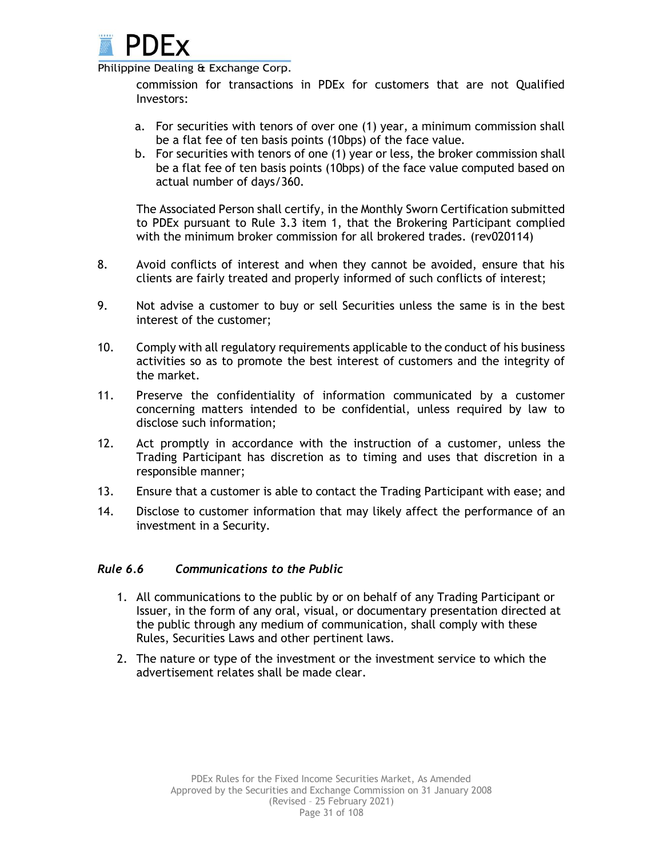

commission for transactions in PDEx for customers that are not Qualified Investors:

- a. For securities with tenors of over one (1) year, a minimum commission shall be a flat fee of ten basis points (10bps) of the face value.
- b. For securities with tenors of one (1) year or less, the broker commission shall be a flat fee of ten basis points (10bps) of the face value computed based on actual number of days/360.

The Associated Person shall certify, in the Monthly Sworn Certification submitted to PDEx pursuant to Rule 3.3 item 1, that the Brokering Participant complied with the minimum broker commission for all brokered trades. (rev020114)

- 8. Avoid conflicts of interest and when they cannot be avoided, ensure that his clients are fairly treated and properly informed of such conflicts of interest;
- 9. Not advise a customer to buy or sell Securities unless the same is in the best interest of the customer;
- 10. Comply with all regulatory requirements applicable to the conduct of his business activities so as to promote the best interest of customers and the integrity of the market.
- 11. Preserve the confidentiality of information communicated by a customer concerning matters intended to be confidential, unless required by law to disclose such information;
- 12. Act promptly in accordance with the instruction of a customer, unless the Trading Participant has discretion as to timing and uses that discretion in a responsible manner;
- 13. Ensure that a customer is able to contact the Trading Participant with ease; and
- 14. Disclose to customer information that may likely affect the performance of an investment in a Security.

#### *Rule 6.6 Communications to the Public*

- 1. All communications to the public by or on behalf of any Trading Participant or Issuer, in the form of any oral, visual, or documentary presentation directed at the public through any medium of communication, shall comply with these Rules, Securities Laws and other pertinent laws.
- 2. The nature or type of the investment or the investment service to which the advertisement relates shall be made clear.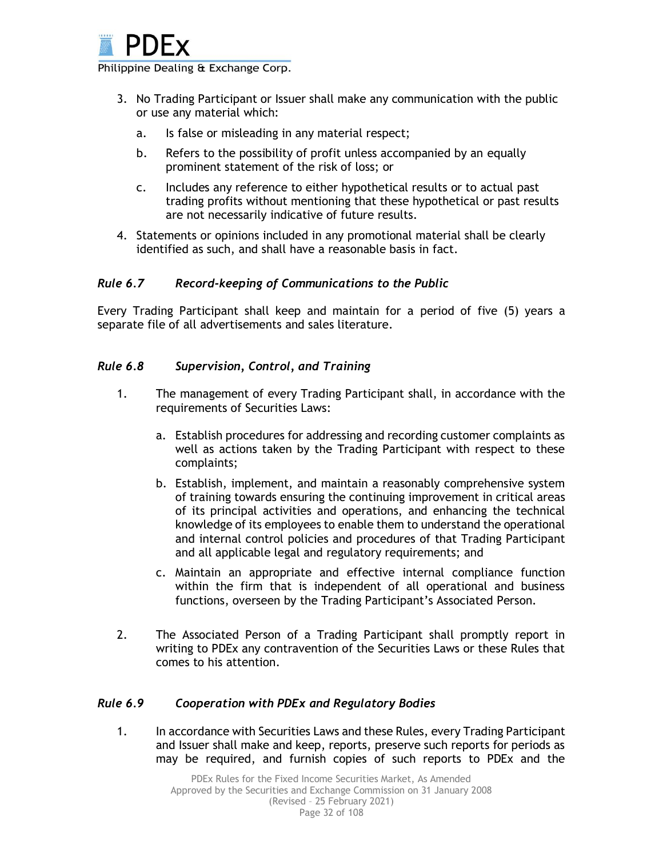

- 3. No Trading Participant or Issuer shall make any communication with the public or use any material which:
	- a. Is false or misleading in any material respect;
	- b. Refers to the possibility of profit unless accompanied by an equally prominent statement of the risk of loss; or
	- c. Includes any reference to either hypothetical results or to actual past trading profits without mentioning that these hypothetical or past results are not necessarily indicative of future results.
- 4. Statements or opinions included in any promotional material shall be clearly identified as such, and shall have a reasonable basis in fact.

## *Rule 6.7 Record-keeping of Communications to the Public*

Every Trading Participant shall keep and maintain for a period of five (5) years a separate file of all advertisements and sales literature.

#### *Rule 6.8 Supervision, Control, and Training*

- 1. The management of every Trading Participant shall, in accordance with the requirements of Securities Laws:
	- a. Establish procedures for addressing and recording customer complaints as well as actions taken by the Trading Participant with respect to these complaints;
	- b. Establish, implement, and maintain a reasonably comprehensive system of training towards ensuring the continuing improvement in critical areas of its principal activities and operations, and enhancing the technical knowledge of its employees to enable them to understand the operational and internal control policies and procedures of that Trading Participant and all applicable legal and regulatory requirements; and
	- c. Maintain an appropriate and effective internal compliance function within the firm that is independent of all operational and business functions, overseen by the Trading Participant's Associated Person.
- 2. The Associated Person of a Trading Participant shall promptly report in writing to PDEx any contravention of the Securities Laws or these Rules that comes to his attention.

#### *Rule 6.9 Cooperation with PDEx and Regulatory Bodies*

1. In accordance with Securities Laws and these Rules, every Trading Participant and Issuer shall make and keep, reports, preserve such reports for periods as may be required, and furnish copies of such reports to PDEx and the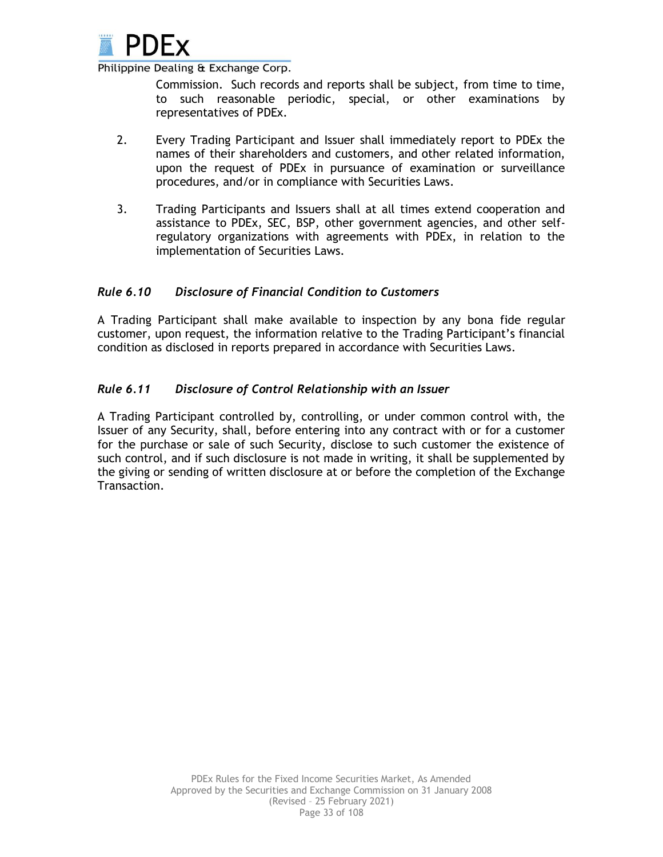

Commission. Such records and reports shall be subject, from time to time, to such reasonable periodic, special, or other examinations by representatives of PDEx.

- 2. Every Trading Participant and Issuer shall immediately report to PDEx the names of their shareholders and customers, and other related information, upon the request of PDEx in pursuance of examination or surveillance procedures, and/or in compliance with Securities Laws.
- 3. Trading Participants and Issuers shall at all times extend cooperation and assistance to PDEx, SEC, BSP, other government agencies, and other selfregulatory organizations with agreements with PDEx, in relation to the implementation of Securities Laws.

## *Rule 6.10 Disclosure of Financial Condition to Customers*

A Trading Participant shall make available to inspection by any bona fide regular customer, upon request, the information relative to the Trading Participant's financial condition as disclosed in reports prepared in accordance with Securities Laws.

## *Rule 6.11 Disclosure of Control Relationship with an Issuer*

A Trading Participant controlled by, controlling, or under common control with, the Issuer of any Security, shall, before entering into any contract with or for a customer for the purchase or sale of such Security, disclose to such customer the existence of such control, and if such disclosure is not made in writing, it shall be supplemented by the giving or sending of written disclosure at or before the completion of the Exchange Transaction.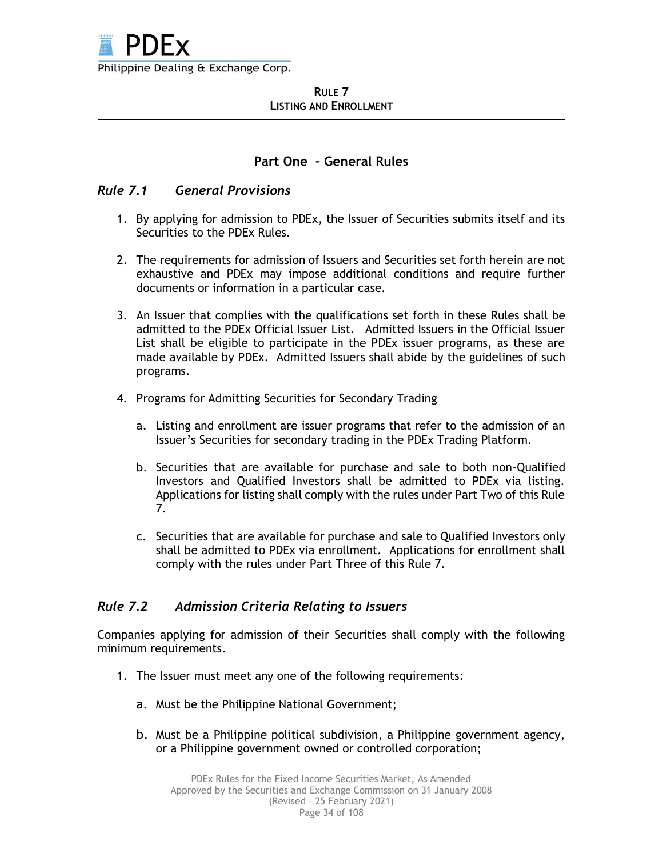

#### **RULE 7 LISTING AND ENROLLMENT**

## **Part One – General Rules**

## *Rule 7.1 General Provisions*

- 1. By applying for admission to PDEx, the Issuer of Securities submits itself and its Securities to the PDEx Rules.
- 2. The requirements for admission of Issuers and Securities set forth herein are not exhaustive and PDEx may impose additional conditions and require further documents or information in a particular case.
- 3. An Issuer that complies with the qualifications set forth in these Rules shall be admitted to the PDEx Official Issuer List. Admitted Issuers in the Official Issuer List shall be eligible to participate in the PDEx issuer programs, as these are made available by PDEx. Admitted Issuers shall abide by the guidelines of such programs.
- 4. Programs for Admitting Securities for Secondary Trading
	- a. Listing and enrollment are issuer programs that refer to the admission of an Issuer's Securities for secondary trading in the PDEx Trading Platform.
	- b. Securities that are available for purchase and sale to both non-Qualified Investors and Qualified Investors shall be admitted to PDEx via listing. Applications for listing shall comply with the rules under Part Two of this Rule 7.
	- c. Securities that are available for purchase and sale to Qualified Investors only shall be admitted to PDEx via enrollment. Applications for enrollment shall comply with the rules under Part Three of this Rule 7.

## *Rule 7.2 Admission Criteria Relating to Issuers*

Companies applying for admission of their Securities shall comply with the following minimum requirements.

- 1. The Issuer must meet any one of the following requirements:
	- a. Must be the Philippine National Government;
	- b. Must be a Philippine political subdivision, a Philippine government agency, or a Philippine government owned or controlled corporation;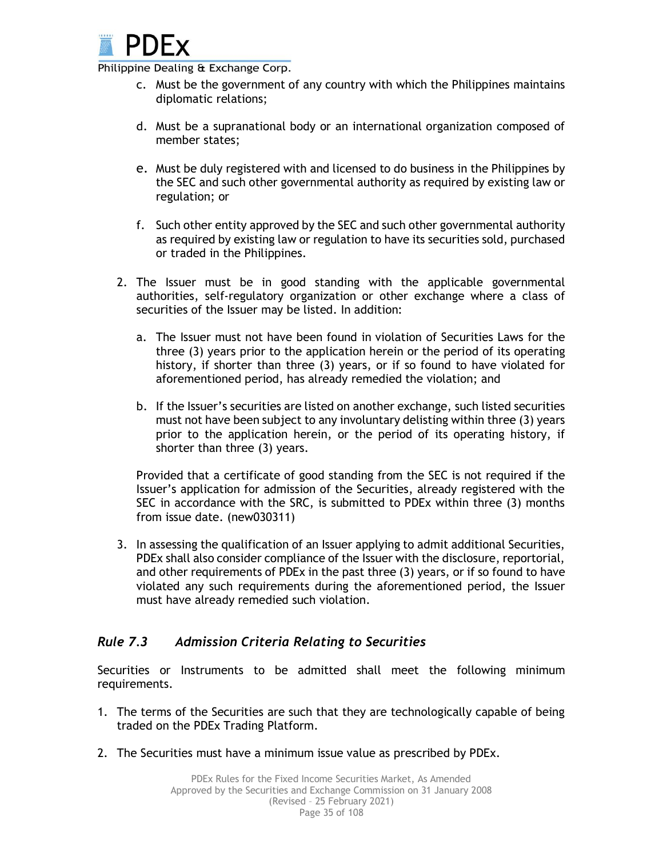

- c. Must be the government of any country with which the Philippines maintains diplomatic relations;
- d. Must be a supranational body or an international organization composed of member states;
- e. Must be duly registered with and licensed to do business in the Philippines by the SEC and such other governmental authority as required by existing law or regulation; or
- f. Such other entity approved by the SEC and such other governmental authority as required by existing law or regulation to have its securities sold, purchased or traded in the Philippines.
- 2. The Issuer must be in good standing with the applicable governmental authorities, self-regulatory organization or other exchange where a class of securities of the Issuer may be listed. In addition:
	- a. The Issuer must not have been found in violation of Securities Laws for the three (3) years prior to the application herein or the period of its operating history, if shorter than three (3) years, or if so found to have violated for aforementioned period, has already remedied the violation; and
	- b. If the Issuer's securities are listed on another exchange, such listed securities must not have been subject to any involuntary delisting within three (3) years prior to the application herein, or the period of its operating history, if shorter than three (3) years.

Provided that a certificate of good standing from the SEC is not required if the Issuer's application for admission of the Securities, already registered with the SEC in accordance with the SRC, is submitted to PDEx within three (3) months from issue date. (new030311)

3. In assessing the qualification of an Issuer applying to admit additional Securities, PDEx shall also consider compliance of the Issuer with the disclosure, reportorial, and other requirements of PDEx in the past three (3) years, or if so found to have violated any such requirements during the aforementioned period, the Issuer must have already remedied such violation.

# *Rule 7.3 Admission Criteria Relating to Securities*

Securities or Instruments to be admitted shall meet the following minimum requirements.

- 1. The terms of the Securities are such that they are technologically capable of being traded on the PDEx Trading Platform.
- 2. The Securities must have a minimum issue value as prescribed by PDEx.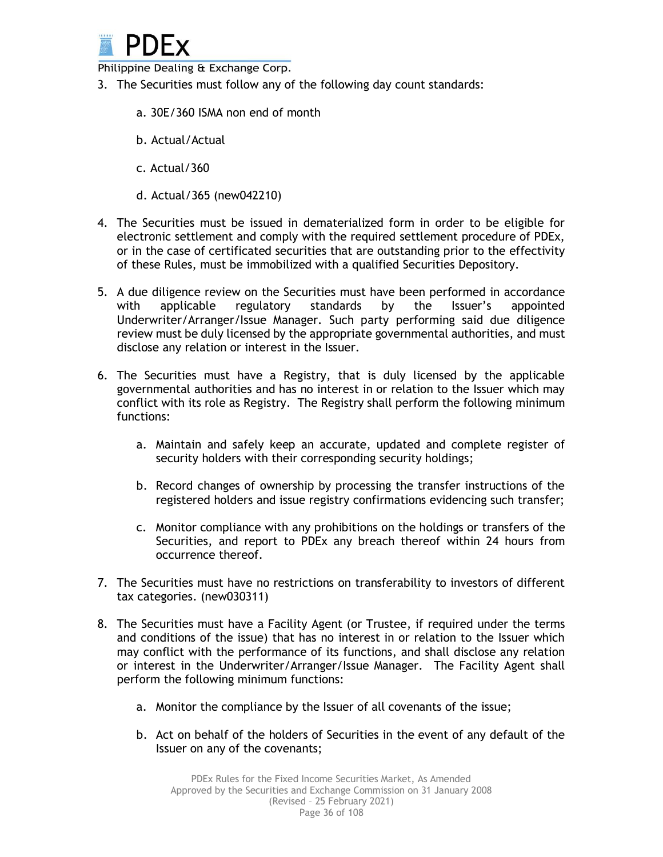

- 3. The Securities must follow any of the following day count standards:
	- a. 30E/360 ISMA non end of month
	- b. Actual/Actual
	- c. Actual/360
	- d. Actual/365 (new042210)
- 4. The Securities must be issued in dematerialized form in order to be eligible for electronic settlement and comply with the required settlement procedure of PDEx, or in the case of certificated securities that are outstanding prior to the effectivity of these Rules, must be immobilized with a qualified Securities Depository.
- 5. A due diligence review on the Securities must have been performed in accordance with applicable regulatory standards by the Issuer's appointed Underwriter/Arranger/Issue Manager. Such party performing said due diligence review must be duly licensed by the appropriate governmental authorities, and must disclose any relation or interest in the Issuer.
- 6. The Securities must have a Registry, that is duly licensed by the applicable governmental authorities and has no interest in or relation to the Issuer which may conflict with its role as Registry. The Registry shall perform the following minimum functions:
	- a. Maintain and safely keep an accurate, updated and complete register of security holders with their corresponding security holdings;
	- b. Record changes of ownership by processing the transfer instructions of the registered holders and issue registry confirmations evidencing such transfer;
	- c. Monitor compliance with any prohibitions on the holdings or transfers of the Securities, and report to PDEx any breach thereof within 24 hours from occurrence thereof.
- 7. The Securities must have no restrictions on transferability to investors of different tax categories. (new030311)
- 8. The Securities must have a Facility Agent (or Trustee, if required under the terms and conditions of the issue) that has no interest in or relation to the Issuer which may conflict with the performance of its functions, and shall disclose any relation or interest in the Underwriter/Arranger/Issue Manager. The Facility Agent shall perform the following minimum functions:
	- a. Monitor the compliance by the Issuer of all covenants of the issue;
	- b. Act on behalf of the holders of Securities in the event of any default of the Issuer on any of the covenants;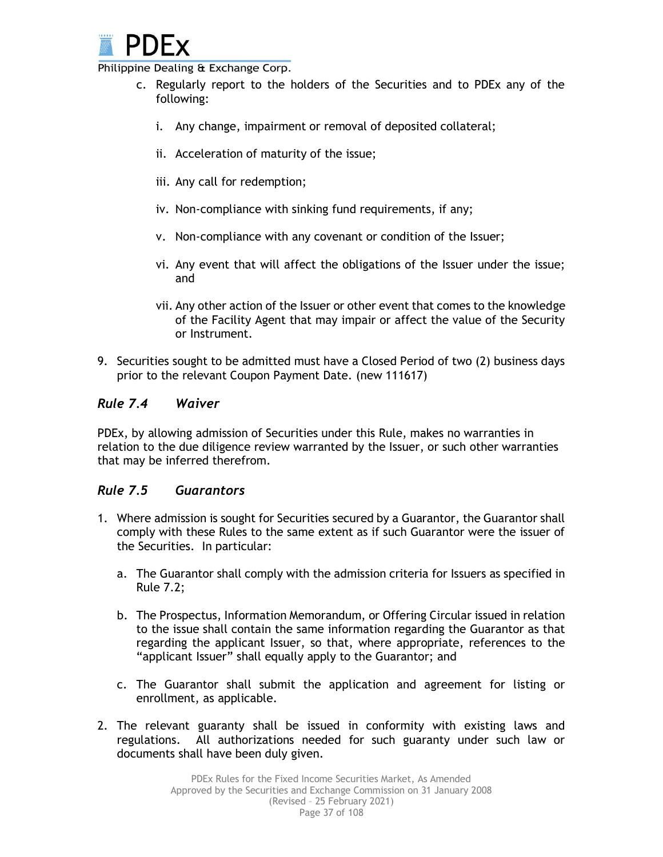

- c. Regularly report to the holders of the Securities and to PDEx any of the following:
	- i. Any change, impairment or removal of deposited collateral;
	- ii. Acceleration of maturity of the issue;
	- iii. Any call for redemption;
	- iv. Non-compliance with sinking fund requirements, if any;
	- v. Non-compliance with any covenant or condition of the Issuer;
	- vi. Any event that will affect the obligations of the Issuer under the issue; and
	- vii. Any other action of the Issuer or other event that comes to the knowledge of the Facility Agent that may impair or affect the value of the Security or Instrument.
- 9. Securities sought to be admitted must have a Closed Period of two (2) business days prior to the relevant Coupon Payment Date. (new 111617)

## *Rule 7.4 Waiver*

PDEx, by allowing admission of Securities under this Rule, makes no warranties in relation to the due diligence review warranted by the Issuer, or such other warranties that may be inferred therefrom.

## *Rule 7.5 Guarantors*

- 1. Where admission is sought for Securities secured by a Guarantor, the Guarantor shall comply with these Rules to the same extent as if such Guarantor were the issuer of the Securities. In particular:
	- a. The Guarantor shall comply with the admission criteria for Issuers as specified in Rule 7.2;
	- b. The Prospectus, Information Memorandum, or Offering Circular issued in relation to the issue shall contain the same information regarding the Guarantor as that regarding the applicant Issuer, so that, where appropriate, references to the "applicant Issuer" shall equally apply to the Guarantor; and
	- c. The Guarantor shall submit the application and agreement for listing or enrollment, as applicable.
- 2. The relevant guaranty shall be issued in conformity with existing laws and regulations. All authorizations needed for such guaranty under such law or documents shall have been duly given.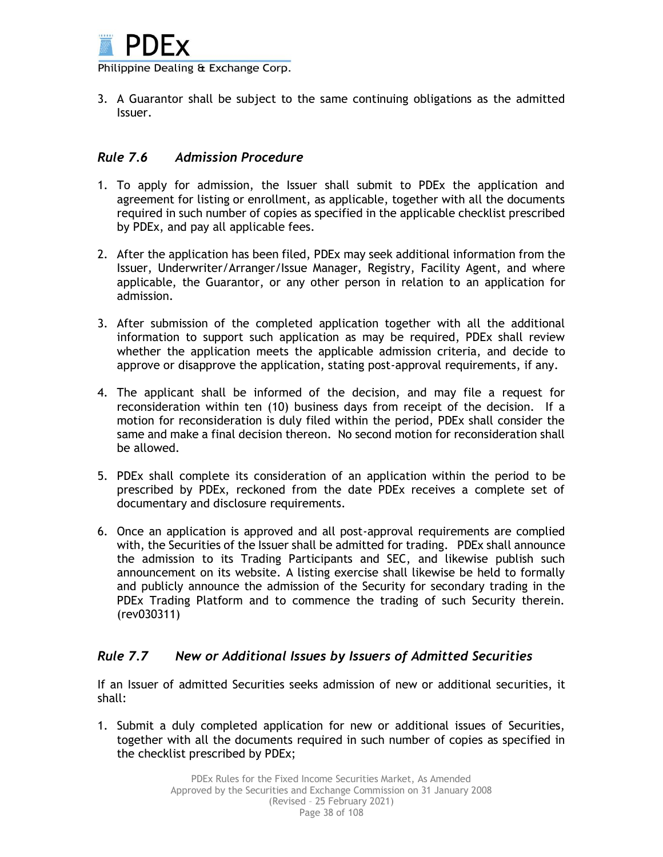

3. A Guarantor shall be subject to the same continuing obligations as the admitted Issuer.

### *Rule 7.6 Admission Procedure*

- 1. To apply for admission, the Issuer shall submit to PDEx the application and agreement for listing or enrollment, as applicable, together with all the documents required in such number of copies as specified in the applicable checklist prescribed by PDEx, and pay all applicable fees.
- 2. After the application has been filed, PDEx may seek additional information from the Issuer, Underwriter/Arranger/Issue Manager, Registry, Facility Agent, and where applicable, the Guarantor, or any other person in relation to an application for admission.
- 3. After submission of the completed application together with all the additional information to support such application as may be required, PDEx shall review whether the application meets the applicable admission criteria, and decide to approve or disapprove the application, stating post-approval requirements, if any.
- 4. The applicant shall be informed of the decision, and may file a request for reconsideration within ten (10) business days from receipt of the decision. If a motion for reconsideration is duly filed within the period, PDEx shall consider the same and make a final decision thereon. No second motion for reconsideration shall be allowed.
- 5. PDEx shall complete its consideration of an application within the period to be prescribed by PDEx, reckoned from the date PDEx receives a complete set of documentary and disclosure requirements.
- 6. Once an application is approved and all post-approval requirements are complied with, the Securities of the Issuer shall be admitted for trading. PDEx shall announce the admission to its Trading Participants and SEC, and likewise publish such announcement on its website. A listing exercise shall likewise be held to formally and publicly announce the admission of the Security for secondary trading in the PDEx Trading Platform and to commence the trading of such Security therein. (rev030311)

## *Rule 7.7 New or Additional Issues by Issuers of Admitted Securities*

If an Issuer of admitted Securities seeks admission of new or additional securities, it shall:

1. Submit a duly completed application for new or additional issues of Securities, together with all the documents required in such number of copies as specified in the checklist prescribed by PDEx;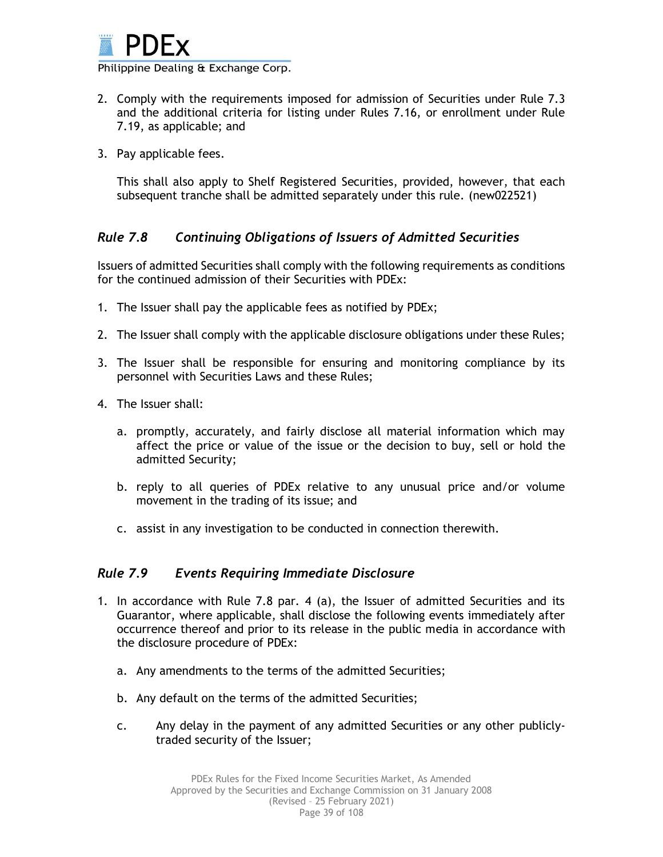

- 2. Comply with the requirements imposed for admission of Securities under Rule 7.3 and the additional criteria for listing under Rules 7.16, or enrollment under Rule 7.19, as applicable; and
- 3. Pay applicable fees.

This shall also apply to Shelf Registered Securities, provided, however, that each subsequent tranche shall be admitted separately under this rule. (new022521)

# *Rule 7.8 Continuing Obligations of Issuers of Admitted Securities*

Issuers of admitted Securities shall comply with the following requirements as conditions for the continued admission of their Securities with PDEx:

- 1. The Issuer shall pay the applicable fees as notified by PDEx;
- 2. The Issuer shall comply with the applicable disclosure obligations under these Rules;
- 3. The Issuer shall be responsible for ensuring and monitoring compliance by its personnel with Securities Laws and these Rules;
- 4. The Issuer shall:
	- a. promptly, accurately, and fairly disclose all material information which may affect the price or value of the issue or the decision to buy, sell or hold the admitted Security;
	- b. reply to all queries of PDEx relative to any unusual price and/or volume movement in the trading of its issue; and
	- c. assist in any investigation to be conducted in connection therewith.

## *Rule 7.9 Events Requiring Immediate Disclosure*

- 1. In accordance with Rule 7.8 par. 4 (a), the Issuer of admitted Securities and its Guarantor, where applicable, shall disclose the following events immediately after occurrence thereof and prior to its release in the public media in accordance with the disclosure procedure of PDEx:
	- a. Any amendments to the terms of the admitted Securities;
	- b. Any default on the terms of the admitted Securities;
	- c. Any delay in the payment of any admitted Securities or any other publiclytraded security of the Issuer;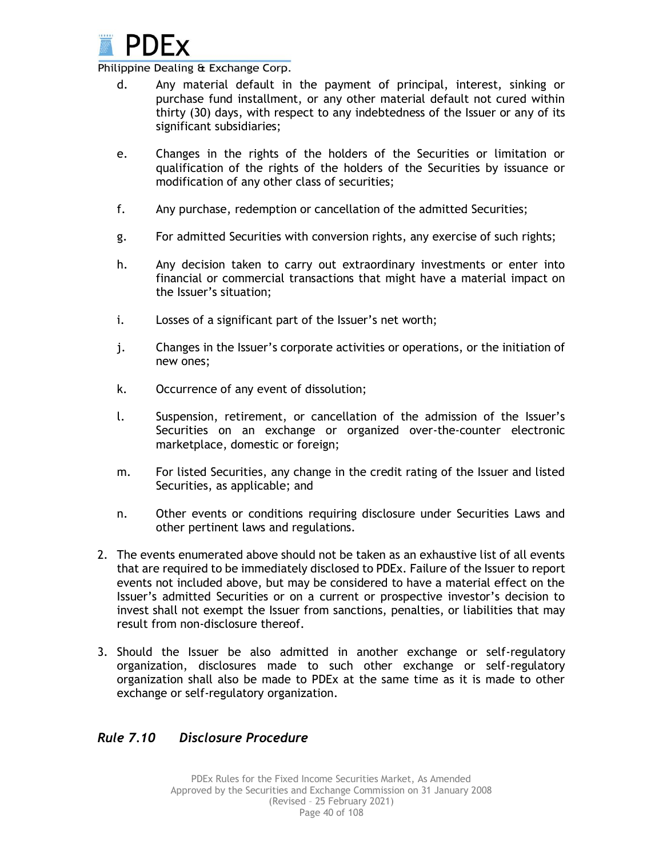

- d. Any material default in the payment of principal, interest, sinking or purchase fund installment, or any other material default not cured within thirty (30) days, with respect to any indebtedness of the Issuer or any of its significant subsidiaries;
- e. Changes in the rights of the holders of the Securities or limitation or qualification of the rights of the holders of the Securities by issuance or modification of any other class of securities;
- f. Any purchase, redemption or cancellation of the admitted Securities;
- g. For admitted Securities with conversion rights, any exercise of such rights;
- h. Any decision taken to carry out extraordinary investments or enter into financial or commercial transactions that might have a material impact on the Issuer's situation;
- i. Losses of a significant part of the Issuer's net worth;
- j. Changes in the Issuer's corporate activities or operations, or the initiation of new ones;
- k. Occurrence of any event of dissolution;
- l. Suspension, retirement, or cancellation of the admission of the Issuer's Securities on an exchange or organized over-the-counter electronic marketplace, domestic or foreign;
- m. For listed Securities, any change in the credit rating of the Issuer and listed Securities, as applicable; and
- n. Other events or conditions requiring disclosure under Securities Laws and other pertinent laws and regulations.
- 2. The events enumerated above should not be taken as an exhaustive list of all events that are required to be immediately disclosed to PDEx. Failure of the Issuer to report events not included above, but may be considered to have a material effect on the Issuer's admitted Securities or on a current or prospective investor's decision to invest shall not exempt the Issuer from sanctions, penalties, or liabilities that may result from non-disclosure thereof.
- 3. Should the Issuer be also admitted in another exchange or self-regulatory organization, disclosures made to such other exchange or self-regulatory organization shall also be made to PDEx at the same time as it is made to other exchange or self-regulatory organization.

## *Rule 7.10 Disclosure Procedure*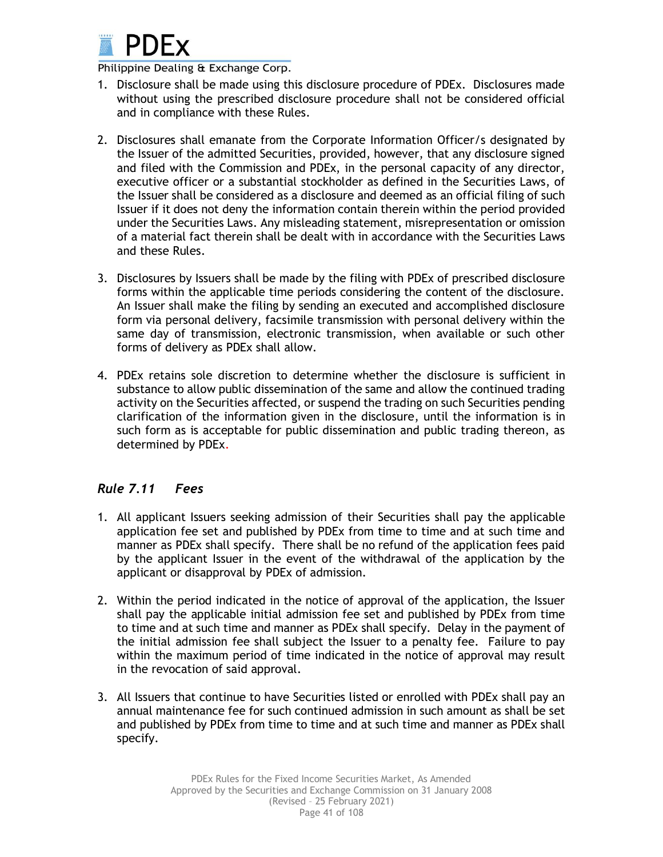

- 1. Disclosure shall be made using this disclosure procedure of PDEx. Disclosures made without using the prescribed disclosure procedure shall not be considered official and in compliance with these Rules.
- 2. Disclosures shall emanate from the Corporate Information Officer/s designated by the Issuer of the admitted Securities, provided, however, that any disclosure signed and filed with the Commission and PDEx, in the personal capacity of any director, executive officer or a substantial stockholder as defined in the Securities Laws, of the Issuer shall be considered as a disclosure and deemed as an official filing of such Issuer if it does not deny the information contain therein within the period provided under the Securities Laws. Any misleading statement, misrepresentation or omission of a material fact therein shall be dealt with in accordance with the Securities Laws and these Rules.
- 3. Disclosures by Issuers shall be made by the filing with PDEx of prescribed disclosure forms within the applicable time periods considering the content of the disclosure. An Issuer shall make the filing by sending an executed and accomplished disclosure form via personal delivery, facsimile transmission with personal delivery within the same day of transmission, electronic transmission, when available or such other forms of delivery as PDEx shall allow.
- 4. PDEx retains sole discretion to determine whether the disclosure is sufficient in substance to allow public dissemination of the same and allow the continued trading activity on the Securities affected, or suspend the trading on such Securities pending clarification of the information given in the disclosure, until the information is in such form as is acceptable for public dissemination and public trading thereon, as determined by PDEx.

# *Rule 7.11 Fees*

- 1. All applicant Issuers seeking admission of their Securities shall pay the applicable application fee set and published by PDEx from time to time and at such time and manner as PDEx shall specify. There shall be no refund of the application fees paid by the applicant Issuer in the event of the withdrawal of the application by the applicant or disapproval by PDEx of admission.
- 2. Within the period indicated in the notice of approval of the application, the Issuer shall pay the applicable initial admission fee set and published by PDEx from time to time and at such time and manner as PDEx shall specify. Delay in the payment of the initial admission fee shall subject the Issuer to a penalty fee. Failure to pay within the maximum period of time indicated in the notice of approval may result in the revocation of said approval.
- 3. All Issuers that continue to have Securities listed or enrolled with PDEx shall pay an annual maintenance fee for such continued admission in such amount as shall be set and published by PDEx from time to time and at such time and manner as PDEx shall specify.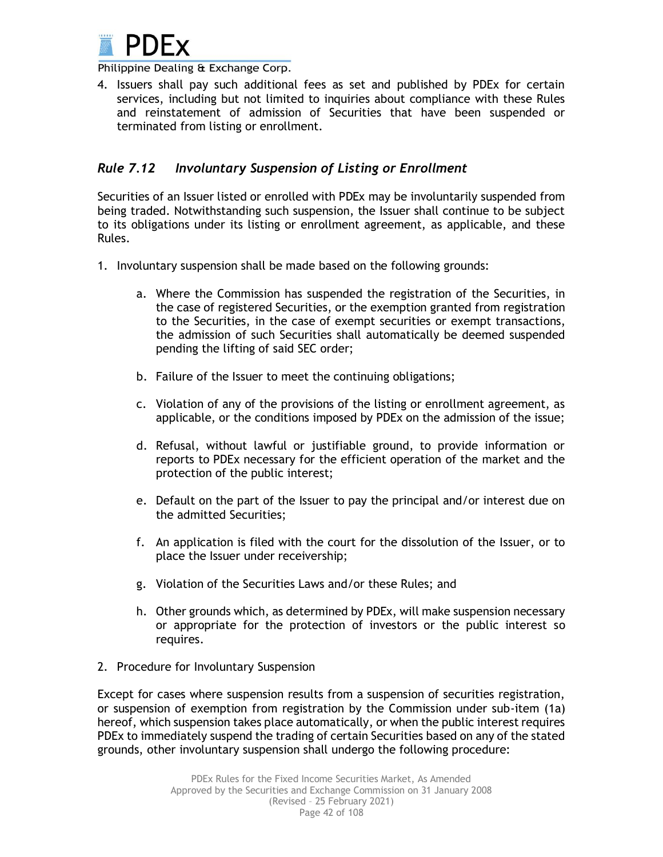

4. Issuers shall pay such additional fees as set and published by PDEx for certain services, including but not limited to inquiries about compliance with these Rules and reinstatement of admission of Securities that have been suspended or terminated from listing or enrollment.

## *Rule 7.12 Involuntary Suspension of Listing or Enrollment*

Securities of an Issuer listed or enrolled with PDEx may be involuntarily suspended from being traded. Notwithstanding such suspension, the Issuer shall continue to be subject to its obligations under its listing or enrollment agreement, as applicable, and these Rules.

- 1. Involuntary suspension shall be made based on the following grounds:
	- a. Where the Commission has suspended the registration of the Securities, in the case of registered Securities, or the exemption granted from registration to the Securities, in the case of exempt securities or exempt transactions, the admission of such Securities shall automatically be deemed suspended pending the lifting of said SEC order;
	- b. Failure of the Issuer to meet the continuing obligations;
	- c. Violation of any of the provisions of the listing or enrollment agreement, as applicable, or the conditions imposed by PDEx on the admission of the issue;
	- d. Refusal, without lawful or justifiable ground, to provide information or reports to PDEx necessary for the efficient operation of the market and the protection of the public interest;
	- e. Default on the part of the Issuer to pay the principal and/or interest due on the admitted Securities;
	- f. An application is filed with the court for the dissolution of the Issuer, or to place the Issuer under receivership;
	- g. Violation of the Securities Laws and/or these Rules; and
	- h. Other grounds which, as determined by PDEx, will make suspension necessary or appropriate for the protection of investors or the public interest so requires.
- 2. Procedure for Involuntary Suspension

Except for cases where suspension results from a suspension of securities registration, or suspension of exemption from registration by the Commission under sub-item (1a) hereof, which suspension takes place automatically, or when the public interest requires PDEx to immediately suspend the trading of certain Securities based on any of the stated grounds, other involuntary suspension shall undergo the following procedure: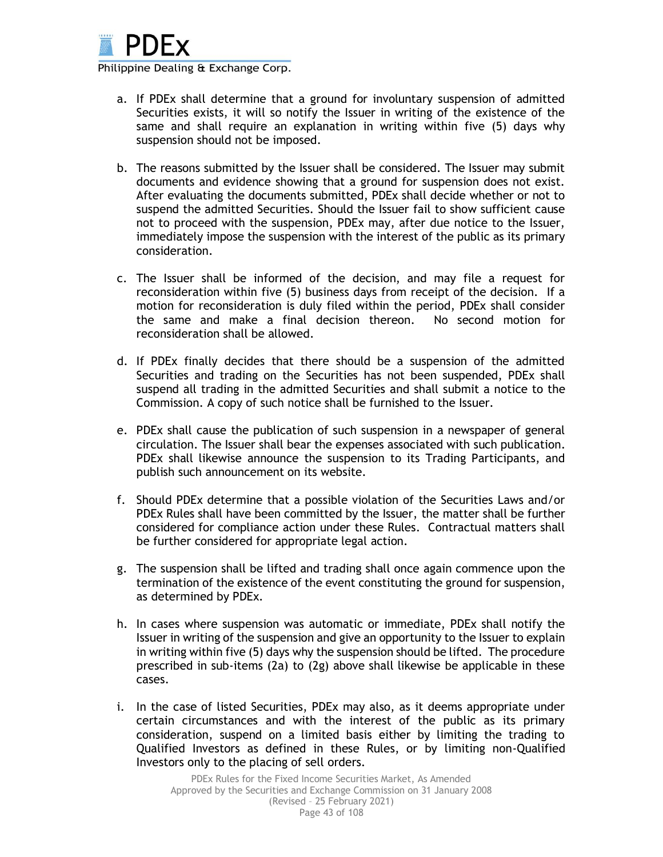

- a. If PDEx shall determine that a ground for involuntary suspension of admitted Securities exists, it will so notify the Issuer in writing of the existence of the same and shall require an explanation in writing within five (5) days why suspension should not be imposed.
- b. The reasons submitted by the Issuer shall be considered. The Issuer may submit documents and evidence showing that a ground for suspension does not exist. After evaluating the documents submitted, PDEx shall decide whether or not to suspend the admitted Securities. Should the Issuer fail to show sufficient cause not to proceed with the suspension, PDEx may, after due notice to the Issuer, immediately impose the suspension with the interest of the public as its primary consideration.
- c. The Issuer shall be informed of the decision, and may file a request for reconsideration within five (5) business days from receipt of the decision. If a motion for reconsideration is duly filed within the period, PDEx shall consider the same and make a final decision thereon. No second motion for reconsideration shall be allowed.
- d. If PDEx finally decides that there should be a suspension of the admitted Securities and trading on the Securities has not been suspended, PDEx shall suspend all trading in the admitted Securities and shall submit a notice to the Commission. A copy of such notice shall be furnished to the Issuer.
- e. PDEx shall cause the publication of such suspension in a newspaper of general circulation. The Issuer shall bear the expenses associated with such publication. PDEx shall likewise announce the suspension to its Trading Participants, and publish such announcement on its website.
- f. Should PDEx determine that a possible violation of the Securities Laws and/or PDEx Rules shall have been committed by the Issuer, the matter shall be further considered for compliance action under these Rules. Contractual matters shall be further considered for appropriate legal action.
- g. The suspension shall be lifted and trading shall once again commence upon the termination of the existence of the event constituting the ground for suspension, as determined by PDEx.
- h. In cases where suspension was automatic or immediate, PDEx shall notify the Issuer in writing of the suspension and give an opportunity to the Issuer to explain in writing within five (5) days why the suspension should be lifted. The procedure prescribed in sub-items (2a) to (2g) above shall likewise be applicable in these cases.
- i. In the case of listed Securities, PDEx may also, as it deems appropriate under certain circumstances and with the interest of the public as its primary consideration, suspend on a limited basis either by limiting the trading to Qualified Investors as defined in these Rules, or by limiting non-Qualified Investors only to the placing of sell orders.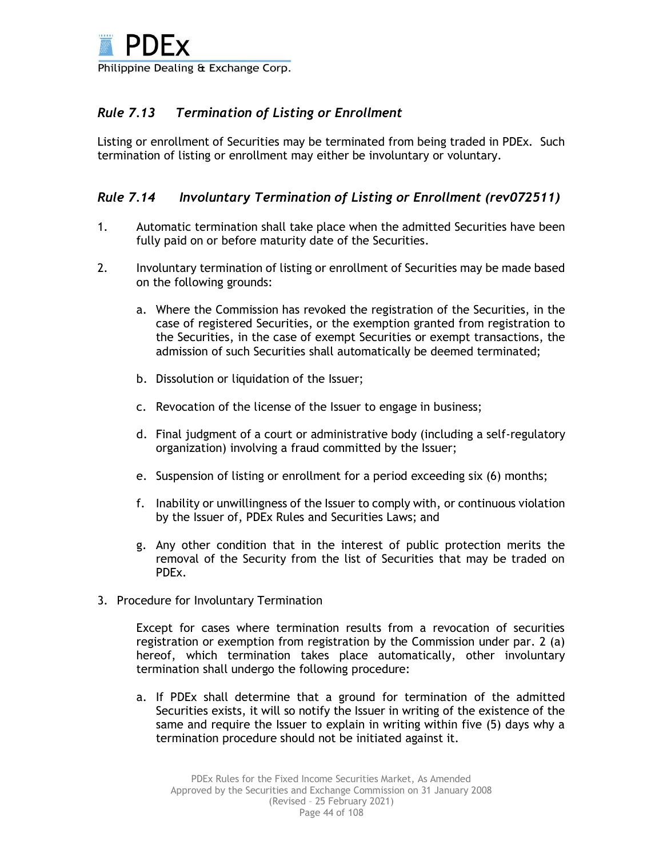# *Rule 7.13 Termination of Listing or Enrollment*

Listing or enrollment of Securities may be terminated from being traded in PDEx. Such termination of listing or enrollment may either be involuntary or voluntary.

## *Rule 7.14 Involuntary Termination of Listing or Enrollment (rev072511)*

- 1. Automatic termination shall take place when the admitted Securities have been fully paid on or before maturity date of the Securities.
- 2. Involuntary termination of listing or enrollment of Securities may be made based on the following grounds:
	- a. Where the Commission has revoked the registration of the Securities, in the case of registered Securities, or the exemption granted from registration to the Securities, in the case of exempt Securities or exempt transactions, the admission of such Securities shall automatically be deemed terminated;
	- b. Dissolution or liquidation of the Issuer;
	- c. Revocation of the license of the Issuer to engage in business;
	- d. Final judgment of a court or administrative body (including a self-regulatory organization) involving a fraud committed by the Issuer;
	- e. Suspension of listing or enrollment for a period exceeding six (6) months;
	- f. Inability or unwillingness of the Issuer to comply with, or continuous violation by the Issuer of, PDEx Rules and Securities Laws; and
	- g. Any other condition that in the interest of public protection merits the removal of the Security from the list of Securities that may be traded on PDEx.
- 3. Procedure for Involuntary Termination

Except for cases where termination results from a revocation of securities registration or exemption from registration by the Commission under par. 2 (a) hereof, which termination takes place automatically, other involuntary termination shall undergo the following procedure:

a. If PDEx shall determine that a ground for termination of the admitted Securities exists, it will so notify the Issuer in writing of the existence of the same and require the Issuer to explain in writing within five (5) days why a termination procedure should not be initiated against it.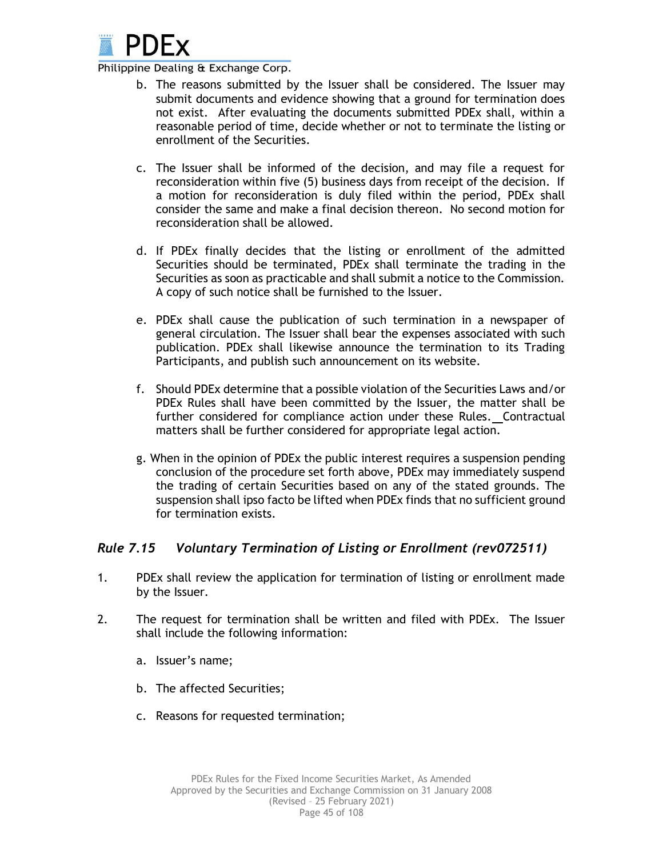

- b. The reasons submitted by the Issuer shall be considered. The Issuer may submit documents and evidence showing that a ground for termination does not exist. After evaluating the documents submitted PDEx shall, within a reasonable period of time, decide whether or not to terminate the listing or enrollment of the Securities.
- c. The Issuer shall be informed of the decision, and may file a request for reconsideration within five (5) business days from receipt of the decision. If a motion for reconsideration is duly filed within the period, PDEx shall consider the same and make a final decision thereon. No second motion for reconsideration shall be allowed.
- d. If PDEx finally decides that the listing or enrollment of the admitted Securities should be terminated, PDEx shall terminate the trading in the Securities as soon as practicable and shall submit a notice to the Commission. A copy of such notice shall be furnished to the Issuer.
- e. PDEx shall cause the publication of such termination in a newspaper of general circulation. The Issuer shall bear the expenses associated with such publication. PDEx shall likewise announce the termination to its Trading Participants, and publish such announcement on its website.
- f. Should PDEx determine that a possible violation of the Securities Laws and/or PDEx Rules shall have been committed by the Issuer, the matter shall be further considered for compliance action under these Rules.Contractual matters shall be further considered for appropriate legal action.
- g. When in the opinion of PDEx the public interest requires a suspension pending conclusion of the procedure set forth above, PDEx may immediately suspend the trading of certain Securities based on any of the stated grounds. The suspension shall ipso facto be lifted when PDEx finds that no sufficient ground for termination exists.

## *Rule 7.15 Voluntary Termination of Listing or Enrollment (rev072511)*

- 1. PDEx shall review the application for termination of listing or enrollment made by the Issuer.
- 2. The request for termination shall be written and filed with PDEx. The Issuer shall include the following information:
	- a. Issuer's name;
	- b. The affected Securities;
	- c. Reasons for requested termination;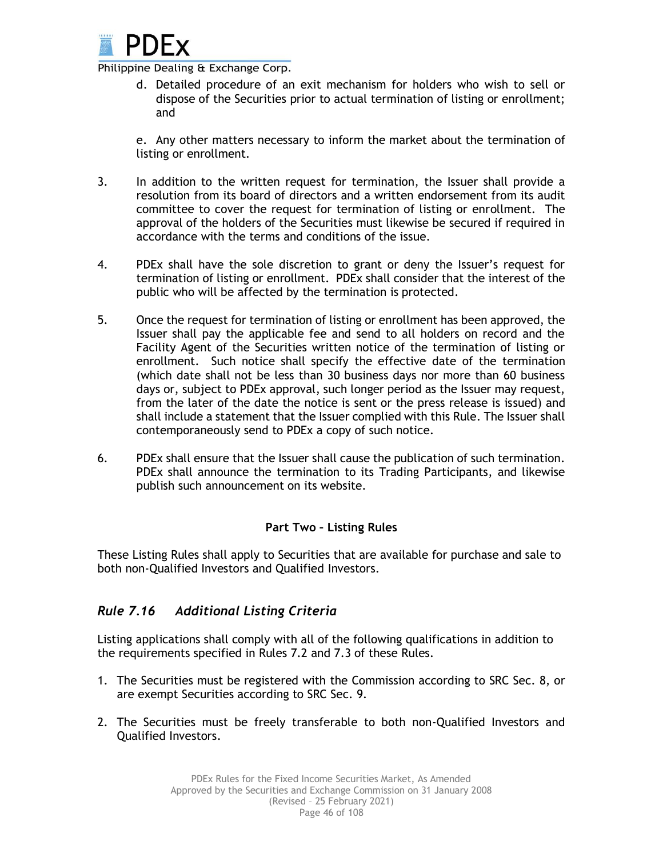

d. Detailed procedure of an exit mechanism for holders who wish to sell or dispose of the Securities prior to actual termination of listing or enrollment; and

e. Any other matters necessary to inform the market about the termination of listing or enrollment.

- 3. In addition to the written request for termination, the Issuer shall provide a resolution from its board of directors and a written endorsement from its audit committee to cover the request for termination of listing or enrollment. The approval of the holders of the Securities must likewise be secured if required in accordance with the terms and conditions of the issue.
- 4. PDEx shall have the sole discretion to grant or deny the Issuer's request for termination of listing or enrollment. PDEx shall consider that the interest of the public who will be affected by the termination is protected.
- 5. Once the request for termination of listing or enrollment has been approved, the Issuer shall pay the applicable fee and send to all holders on record and the Facility Agent of the Securities written notice of the termination of listing or enrollment. Such notice shall specify the effective date of the termination (which date shall not be less than 30 business days nor more than 60 business days or, subject to PDEx approval, such longer period as the Issuer may request, from the later of the date the notice is sent or the press release is issued) and shall include a statement that the Issuer complied with this Rule. The Issuer shall contemporaneously send to PDEx a copy of such notice.
- 6. PDEx shall ensure that the Issuer shall cause the publication of such termination. PDEx shall announce the termination to its Trading Participants, and likewise publish such announcement on its website.

### **Part Two – Listing Rules**

These Listing Rules shall apply to Securities that are available for purchase and sale to both non-Qualified Investors and Qualified Investors.

## *Rule 7.16 Additional Listing Criteria*

Listing applications shall comply with all of the following qualifications in addition to the requirements specified in Rules 7.2 and 7.3 of these Rules.

- 1. The Securities must be registered with the Commission according to SRC Sec. 8, or are exempt Securities according to SRC Sec. 9.
- 2. The Securities must be freely transferable to both non-Qualified Investors and Qualified Investors.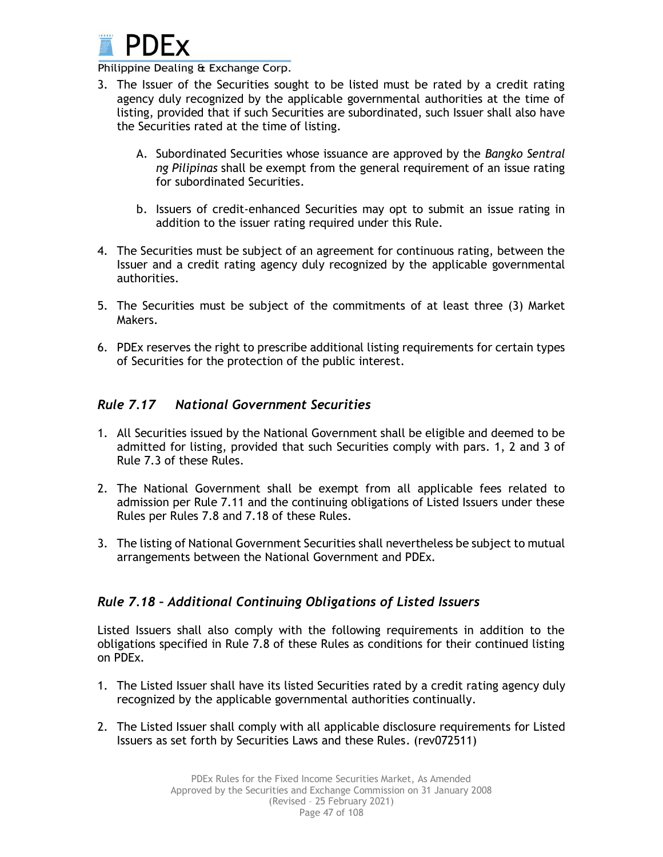

- 3. The Issuer of the Securities sought to be listed must be rated by a credit rating agency duly recognized by the applicable governmental authorities at the time of listing, provided that if such Securities are subordinated, such Issuer shall also have the Securities rated at the time of listing.
	- A. Subordinated Securities whose issuance are approved by the *Bangko Sentral ng Pilipinas* shall be exempt from the general requirement of an issue rating for subordinated Securities.
	- b. Issuers of credit-enhanced Securities may opt to submit an issue rating in addition to the issuer rating required under this Rule.
- 4. The Securities must be subject of an agreement for continuous rating, between the Issuer and a credit rating agency duly recognized by the applicable governmental authorities.
- 5. The Securities must be subject of the commitments of at least three (3) Market Makers.
- 6. PDEx reserves the right to prescribe additional listing requirements for certain types of Securities for the protection of the public interest.

## *Rule 7.17 National Government Securities*

- 1. All Securities issued by the National Government shall be eligible and deemed to be admitted for listing, provided that such Securities comply with pars. 1, 2 and 3 of Rule 7.3 of these Rules.
- 2. The National Government shall be exempt from all applicable fees related to admission per Rule 7.11 and the continuing obligations of Listed Issuers under these Rules per Rules 7.8 and 7.18 of these Rules.
- 3. The listing of National Government Securities shall nevertheless be subject to mutual arrangements between the National Government and PDEx.

## *Rule 7.18 – Additional Continuing Obligations of Listed Issuers*

Listed Issuers shall also comply with the following requirements in addition to the obligations specified in Rule 7.8 of these Rules as conditions for their continued listing on PDEx.

- 1. The Listed Issuer shall have its listed Securities rated by a credit rating agency duly recognized by the applicable governmental authorities continually.
- 2. The Listed Issuer shall comply with all applicable disclosure requirements for Listed Issuers as set forth by Securities Laws and these Rules. (rev072511)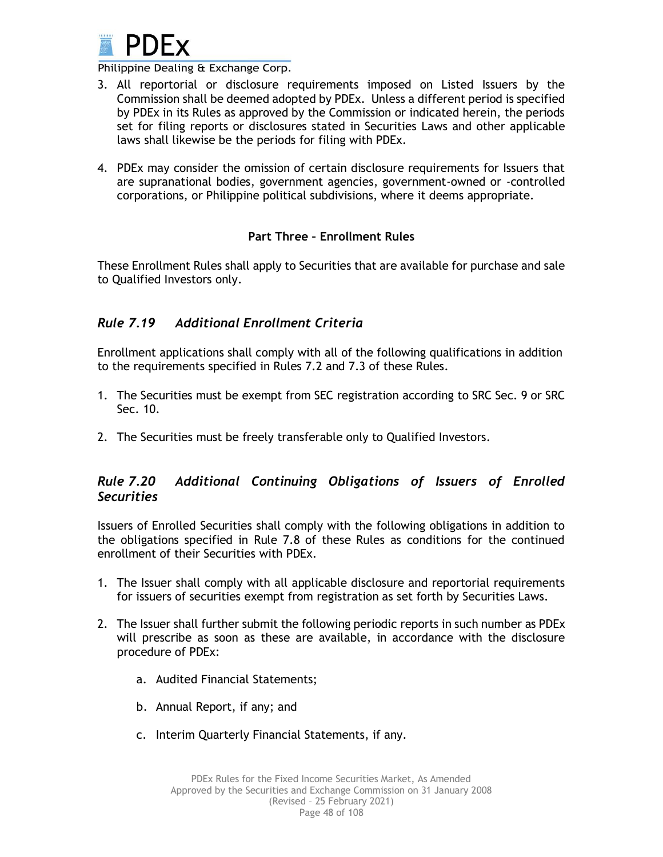

- 3. All reportorial or disclosure requirements imposed on Listed Issuers by the Commission shall be deemed adopted by PDEx. Unless a different period is specified by PDEx in its Rules as approved by the Commission or indicated herein, the periods set for filing reports or disclosures stated in Securities Laws and other applicable laws shall likewise be the periods for filing with PDEx.
- 4. PDEx may consider the omission of certain disclosure requirements for Issuers that are supranational bodies, government agencies, government-owned or -controlled corporations, or Philippine political subdivisions, where it deems appropriate.

### **Part Three – Enrollment Rules**

These Enrollment Rules shall apply to Securities that are available for purchase and sale to Qualified Investors only.

## *Rule 7.19 Additional Enrollment Criteria*

Enrollment applications shall comply with all of the following qualifications in addition to the requirements specified in Rules 7.2 and 7.3 of these Rules.

- 1. The Securities must be exempt from SEC registration according to SRC Sec. 9 or SRC Sec. 10.
- 2. The Securities must be freely transferable only to Qualified Investors.

## *Rule 7.20 Additional Continuing Obligations of Issuers of Enrolled Securities*

Issuers of Enrolled Securities shall comply with the following obligations in addition to the obligations specified in Rule 7.8 of these Rules as conditions for the continued enrollment of their Securities with PDEx.

- 1. The Issuer shall comply with all applicable disclosure and reportorial requirements for issuers of securities exempt from registration as set forth by Securities Laws.
- 2. The Issuer shall further submit the following periodic reports in such number as PDEx will prescribe as soon as these are available, in accordance with the disclosure procedure of PDEx:
	- a. Audited Financial Statements;
	- b. Annual Report, if any; and
	- c. Interim Quarterly Financial Statements, if any.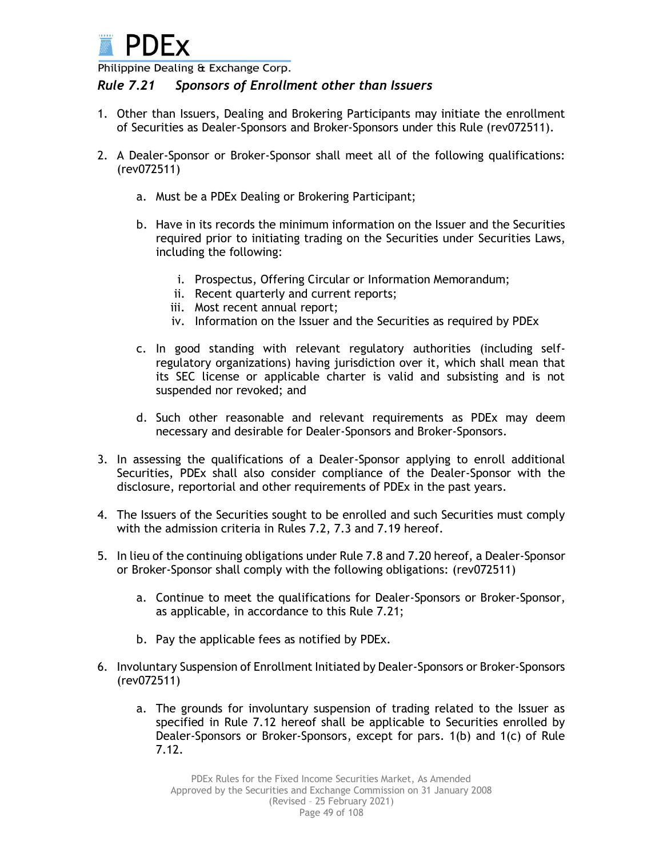

## *Rule 7.21 Sponsors of Enrollment other than Issuers*

- 1. Other than Issuers, Dealing and Brokering Participants may initiate the enrollment of Securities as Dealer-Sponsors and Broker-Sponsors under this Rule (rev072511).
- 2. A Dealer-Sponsor or Broker-Sponsor shall meet all of the following qualifications: (rev072511)
	- a. Must be a PDEx Dealing or Brokering Participant;
	- b. Have in its records the minimum information on the Issuer and the Securities required prior to initiating trading on the Securities under Securities Laws, including the following:
		- i. Prospectus, Offering Circular or Information Memorandum;
		- ii. Recent quarterly and current reports;
		- iii. Most recent annual report;
		- iv. Information on the Issuer and the Securities as required by PDEx
	- c. In good standing with relevant regulatory authorities (including selfregulatory organizations) having jurisdiction over it, which shall mean that its SEC license or applicable charter is valid and subsisting and is not suspended nor revoked; and
	- d. Such other reasonable and relevant requirements as PDEx may deem necessary and desirable for Dealer-Sponsors and Broker-Sponsors.
- 3. In assessing the qualifications of a Dealer-Sponsor applying to enroll additional Securities, PDEx shall also consider compliance of the Dealer-Sponsor with the disclosure, reportorial and other requirements of PDEx in the past years.
- 4. The Issuers of the Securities sought to be enrolled and such Securities must comply with the admission criteria in Rules 7.2, 7.3 and 7.19 hereof.
- 5. In lieu of the continuing obligations under Rule 7.8 and 7.20 hereof, a Dealer-Sponsor or Broker-Sponsor shall comply with the following obligations: (rev072511)
	- a. Continue to meet the qualifications for Dealer-Sponsors or Broker-Sponsor, as applicable, in accordance to this Rule 7.21;
	- b. Pay the applicable fees as notified by PDEx.
- 6. Involuntary Suspension of Enrollment Initiated by Dealer-Sponsors or Broker-Sponsors (rev072511)
	- a. The grounds for involuntary suspension of trading related to the Issuer as specified in Rule 7.12 hereof shall be applicable to Securities enrolled by Dealer-Sponsors or Broker-Sponsors, except for pars. 1(b) and 1(c) of Rule 7.12.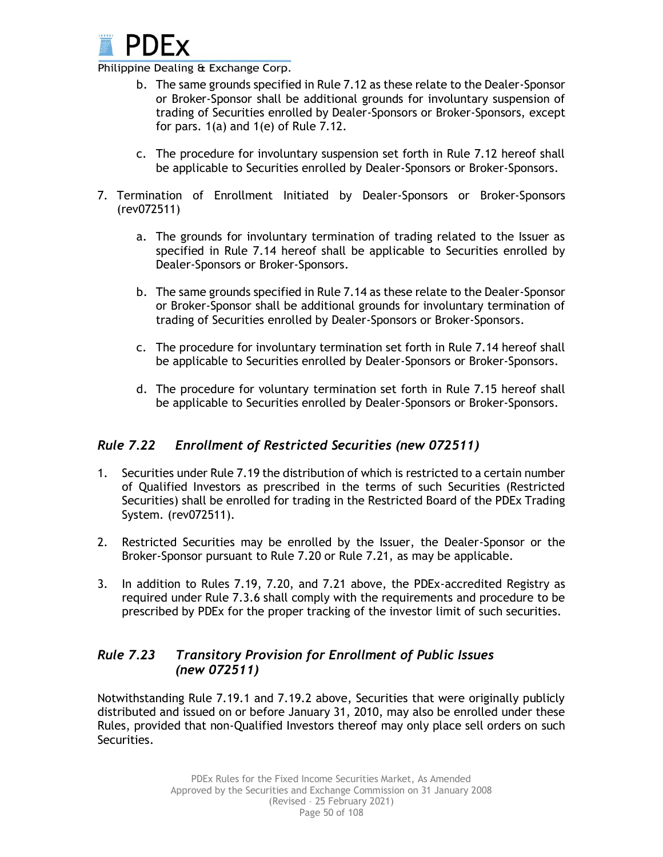

- b. The same grounds specified in Rule 7.12 as these relate to the Dealer-Sponsor or Broker-Sponsor shall be additional grounds for involuntary suspension of trading of Securities enrolled by Dealer-Sponsors or Broker-Sponsors, except for pars. 1(a) and 1(e) of Rule 7.12.
- c. The procedure for involuntary suspension set forth in Rule 7.12 hereof shall be applicable to Securities enrolled by Dealer-Sponsors or Broker-Sponsors.
- 7. Termination of Enrollment Initiated by Dealer-Sponsors or Broker-Sponsors (rev072511)
	- a. The grounds for involuntary termination of trading related to the Issuer as specified in Rule 7.14 hereof shall be applicable to Securities enrolled by Dealer-Sponsors or Broker-Sponsors.
	- b. The same grounds specified in Rule 7.14 as these relate to the Dealer-Sponsor or Broker-Sponsor shall be additional grounds for involuntary termination of trading of Securities enrolled by Dealer-Sponsors or Broker-Sponsors.
	- c. The procedure for involuntary termination set forth in Rule 7.14 hereof shall be applicable to Securities enrolled by Dealer-Sponsors or Broker-Sponsors.
	- d. The procedure for voluntary termination set forth in Rule 7.15 hereof shall be applicable to Securities enrolled by Dealer-Sponsors or Broker-Sponsors.

## *Rule 7.22 Enrollment of Restricted Securities (new 072511)*

- 1. Securities under Rule 7.19 the distribution of which is restricted to a certain number of Qualified Investors as prescribed in the terms of such Securities (Restricted Securities) shall be enrolled for trading in the Restricted Board of the PDEx Trading System. (rev072511).
- 2. Restricted Securities may be enrolled by the Issuer, the Dealer-Sponsor or the Broker-Sponsor pursuant to Rule 7.20 or Rule 7.21, as may be applicable.
- 3. In addition to Rules 7.19, 7.20, and 7.21 above, the PDEx-accredited Registry as required under Rule 7.3.6 shall comply with the requirements and procedure to be prescribed by PDEx for the proper tracking of the investor limit of such securities.

## *Rule 7.23 Transitory Provision for Enrollment of Public Issues (new 072511)*

Notwithstanding Rule 7.19.1 and 7.19.2 above, Securities that were originally publicly distributed and issued on or before January 31, 2010, may also be enrolled under these Rules, provided that non-Qualified Investors thereof may only place sell orders on such Securities.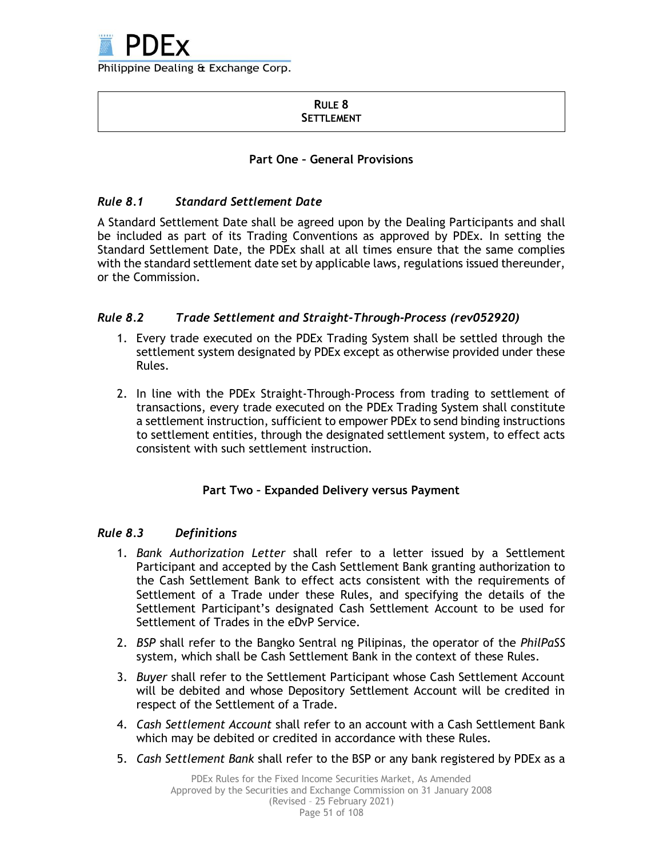

#### **RULE 8 SETTLEMENT**

### **Part One – General Provisions**

### *Rule 8.1 Standard Settlement Date*

A Standard Settlement Date shall be agreed upon by the Dealing Participants and shall be included as part of its Trading Conventions as approved by PDEx. In setting the Standard Settlement Date, the PDEx shall at all times ensure that the same complies with the standard settlement date set by applicable laws, regulations issued thereunder, or the Commission.

### *Rule 8.2 Trade Settlement and Straight-Through-Process (rev052920)*

- 1. Every trade executed on the PDEx Trading System shall be settled through the settlement system designated by PDEx except as otherwise provided under these Rules.
- 2. In line with the PDEx Straight-Through-Process from trading to settlement of transactions, every trade executed on the PDEx Trading System shall constitute a settlement instruction, sufficient to empower PDEx to send binding instructions to settlement entities, through the designated settlement system, to effect acts consistent with such settlement instruction.

### **Part Two – Expanded Delivery versus Payment**

### *Rule 8.3 Definitions*

- 1. *Bank Authorization Letter* shall refer to a letter issued by a Settlement Participant and accepted by the Cash Settlement Bank granting authorization to the Cash Settlement Bank to effect acts consistent with the requirements of Settlement of a Trade under these Rules, and specifying the details of the Settlement Participant's designated Cash Settlement Account to be used for Settlement of Trades in the eDvP Service.
- 2. *BSP* shall refer to the Bangko Sentral ng Pilipinas, the operator of the *PhilPaSS* system, which shall be Cash Settlement Bank in the context of these Rules.
- 3. *Buyer* shall refer to the Settlement Participant whose Cash Settlement Account will be debited and whose Depository Settlement Account will be credited in respect of the Settlement of a Trade.
- 4. *Cash Settlement Account* shall refer to an account with a Cash Settlement Bank which may be debited or credited in accordance with these Rules.
- 5. *Cash Settlement Bank* shall refer to the BSP or any bank registered by PDEx as a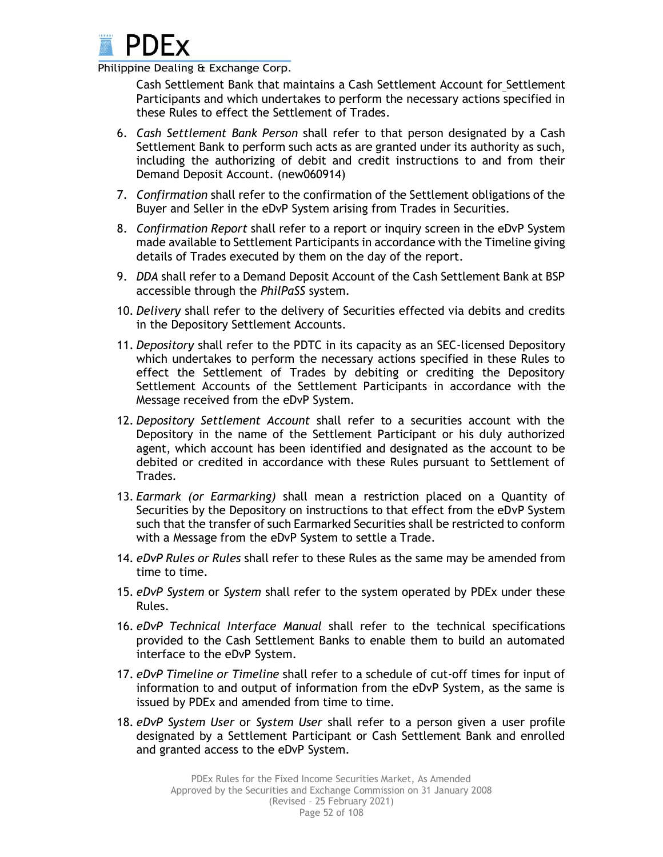

Cash Settlement Bank that maintains a Cash Settlement Account for Settlement Participants and which undertakes to perform the necessary actions specified in these Rules to effect the Settlement of Trades.

- 6. *Cash Settlement Bank Person* shall refer to that person designated by a Cash Settlement Bank to perform such acts as are granted under its authority as such, including the authorizing of debit and credit instructions to and from their Demand Deposit Account. (new060914)
- 7. *Confirmation* shall refer to the confirmation of the Settlement obligations of the Buyer and Seller in the eDvP System arising from Trades in Securities.
- 8. *Confirmation Report* shall refer to a report or inquiry screen in the eDvP System made available to Settlement Participants in accordance with the Timeline giving details of Trades executed by them on the day of the report.
- 9. *DDA* shall refer to a Demand Deposit Account of the Cash Settlement Bank at BSP accessible through the *PhilPaSS* system.
- 10. *Delivery* shall refer to the delivery of Securities effected via debits and credits in the Depository Settlement Accounts.
- 11. *Depository* shall refer to the PDTC in its capacity as an SEC-licensed Depository which undertakes to perform the necessary actions specified in these Rules to effect the Settlement of Trades by debiting or crediting the Depository Settlement Accounts of the Settlement Participants in accordance with the Message received from the eDvP System.
- 12. *Depository Settlement Account* shall refer to a securities account with the Depository in the name of the Settlement Participant or his duly authorized agent, which account has been identified and designated as the account to be debited or credited in accordance with these Rules pursuant to Settlement of Trades.
- 13. *Earmark (or Earmarking)* shall mean a restriction placed on a Quantity of Securities by the Depository on instructions to that effect from the eDvP System such that the transfer of such Earmarked Securities shall be restricted to conform with a Message from the eDvP System to settle a Trade.
- 14. *eDvP Rules or Rules* shall refer to these Rules as the same may be amended from time to time.
- 15. *eDvP System* or *System* shall refer to the system operated by PDEx under these Rules.
- 16. *eDvP Technical Interface Manual* shall refer to the technical specifications provided to the Cash Settlement Banks to enable them to build an automated interface to the eDvP System.
- 17. *eDvP Timeline or Timeline* shall refer to a schedule of cut-off times for input of information to and output of information from the eDvP System, as the same is issued by PDEx and amended from time to time.
- 18. *eDvP System User* or *System User* shall refer to a person given a user profile designated by a Settlement Participant or Cash Settlement Bank and enrolled and granted access to the eDvP System.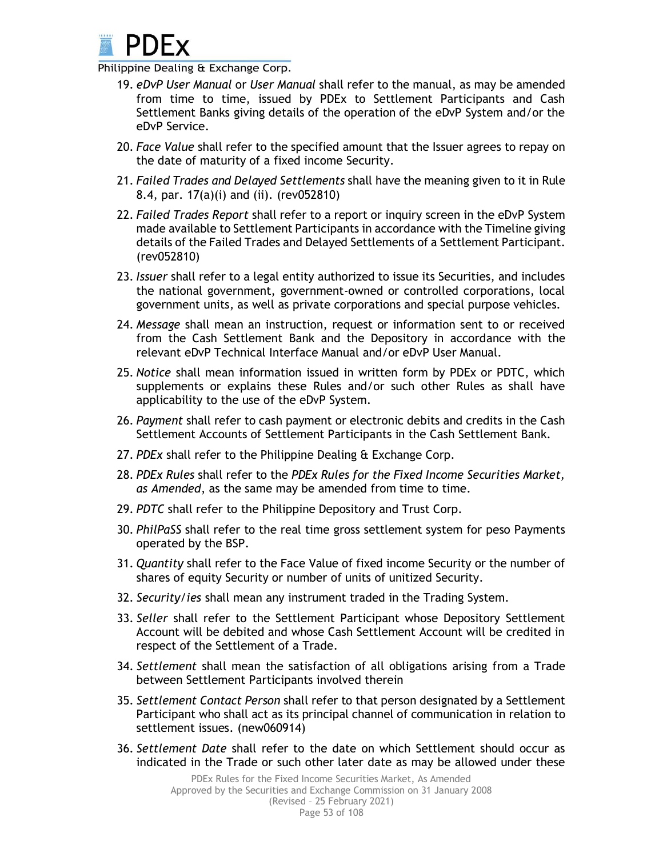

- 19. *eDvP User Manual* or *User Manual* shall refer to the manual, as may be amended from time to time, issued by PDEx to Settlement Participants and Cash Settlement Banks giving details of the operation of the eDvP System and/or the eDvP Service.
- 20. *Face Value* shall refer to the specified amount that the Issuer agrees to repay on the date of maturity of a fixed income Security.
- 21. *Failed Trades and Delayed Settlements* shall have the meaning given to it in Rule 8.4, par. 17(a)(i) and (ii). (rev052810)
- 22. *Failed Trades Report* shall refer to a report or inquiry screen in the eDvP System made available to Settlement Participants in accordance with the Timeline giving details of the Failed Trades and Delayed Settlements of a Settlement Participant. (rev052810)
- 23. *Issuer* shall refer to a legal entity authorized to issue its Securities, and includes the national government, government-owned or controlled corporations, local government units, as well as private corporations and special purpose vehicles.
- 24. *Message* shall mean an instruction, request or information sent to or received from the Cash Settlement Bank and the Depository in accordance with the relevant eDvP Technical Interface Manual and/or eDvP User Manual.
- 25. *Notice* shall mean information issued in written form by PDEx or PDTC, which supplements or explains these Rules and/or such other Rules as shall have applicability to the use of the eDvP System.
- 26. *Payment* shall refer to cash payment or electronic debits and credits in the Cash Settlement Accounts of Settlement Participants in the Cash Settlement Bank.
- 27. *PDEx* shall refer to the Philippine Dealing & Exchange Corp.
- 28. *PDEx Rules* shall refer to the *PDEx Rules for the Fixed Income Securities Market, as Amended*, as the same may be amended from time to time.
- 29. *PDTC* shall refer to the Philippine Depository and Trust Corp.
- 30. *PhilPaSS* shall refer to the real time gross settlement system for peso Payments operated by the BSP.
- 31. *Quantity* shall refer to the Face Value of fixed income Security or the number of shares of equity Security or number of units of unitized Security.
- 32. *Security/ies* shall mean any instrument traded in the Trading System.
- 33. *Seller* shall refer to the Settlement Participant whose Depository Settlement Account will be debited and whose Cash Settlement Account will be credited in respect of the Settlement of a Trade.
- 34. *Settlement* shall mean the satisfaction of all obligations arising from a Trade between Settlement Participants involved therein
- 35. *Settlement Contact Person* shall refer to that person designated by a Settlement Participant who shall act as its principal channel of communication in relation to settlement issues. (new060914)
- 36. *Settlement Date* shall refer to the date on which Settlement should occur as indicated in the Trade or such other later date as may be allowed under these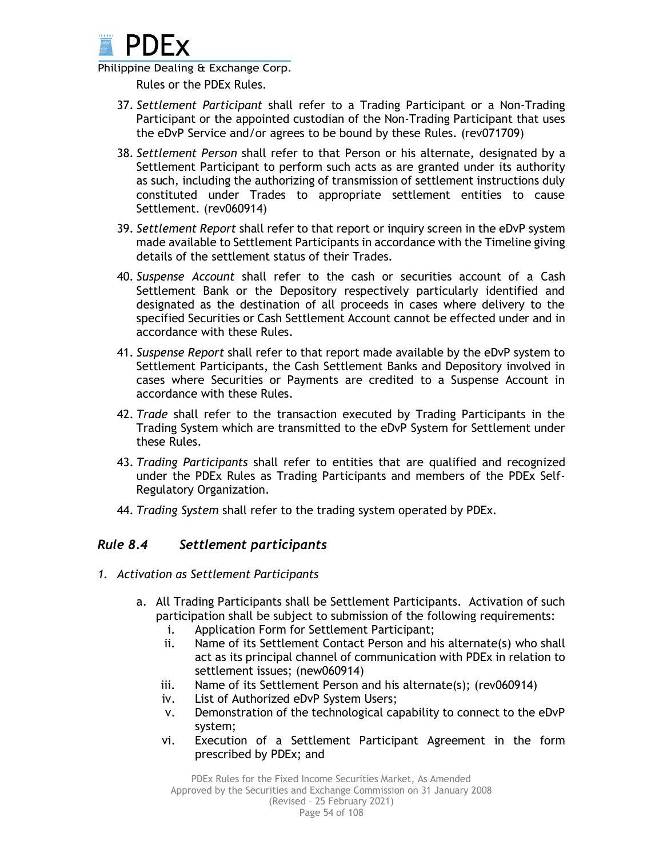

Rules or the PDEx Rules.

- 37. *Settlement Participant* shall refer to a Trading Participant or a Non-Trading Participant or the appointed custodian of the Non-Trading Participant that uses the eDvP Service and/or agrees to be bound by these Rules. (rev071709)
- 38. *Settlement Person* shall refer to that Person or his alternate, designated by a Settlement Participant to perform such acts as are granted under its authority as such, including the authorizing of transmission of settlement instructions duly constituted under Trades to appropriate settlement entities to cause Settlement. (rev060914)
- 39. *Settlement Report* shall refer to that report or inquiry screen in the eDvP system made available to Settlement Participants in accordance with the Timeline giving details of the settlement status of their Trades.
- 40. *Suspense Account* shall refer to the cash or securities account of a Cash Settlement Bank or the Depository respectively particularly identified and designated as the destination of all proceeds in cases where delivery to the specified Securities or Cash Settlement Account cannot be effected under and in accordance with these Rules.
- 41. *Suspense Report* shall refer to that report made available by the eDvP system to Settlement Participants, the Cash Settlement Banks and Depository involved in cases where Securities or Payments are credited to a Suspense Account in accordance with these Rules.
- 42. *Trade* shall refer to the transaction executed by Trading Participants in the Trading System which are transmitted to the eDvP System for Settlement under these Rules.
- 43. *Trading Participants* shall refer to entities that are qualified and recognized under the PDEx Rules as Trading Participants and members of the PDEx Self-Regulatory Organization.
- 44. *Trading System* shall refer to the trading system operated by PDEx.

## *Rule 8.4 Settlement participants*

- *1. Activation as Settlement Participants*
	- a. All Trading Participants shall be Settlement Participants. Activation of such participation shall be subject to submission of the following requirements:
		- i. Application Form for Settlement Participant;
		- ii. Name of its Settlement Contact Person and his alternate(s) who shall act as its principal channel of communication with PDEx in relation to settlement issues; (new060914)
		- iii. Name of its Settlement Person and his alternate(s); (rev060914)
		- iv. List of Authorized eDvP System Users;
		- v. Demonstration of the technological capability to connect to the eDvP system;
		- vi. Execution of a Settlement Participant Agreement in the form prescribed by PDEx; and

Page 54 of 108 PDEx Rules for the Fixed Income Securities Market, As Amended Approved by the Securities and Exchange Commission on 31 January 2008 (Revised – 25 February 2021)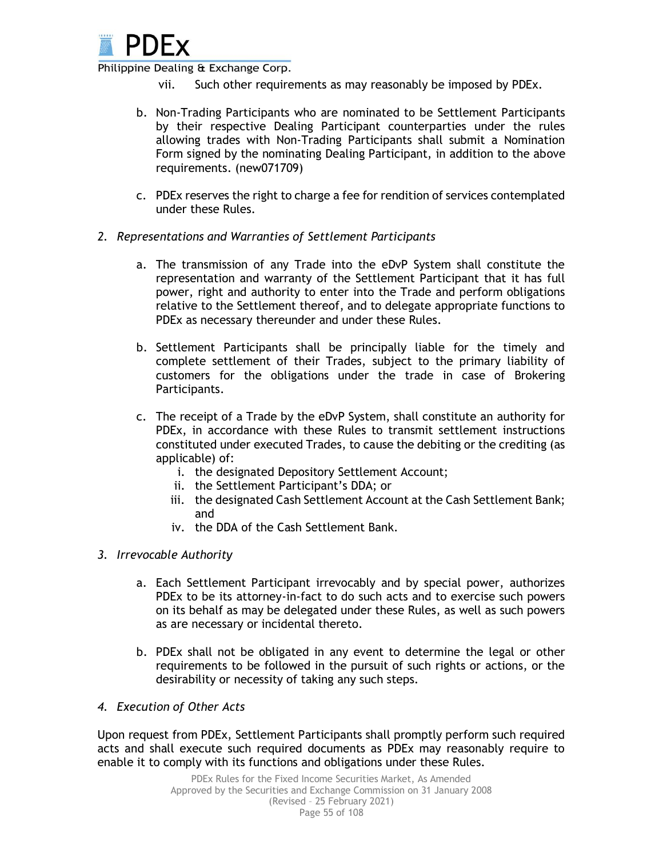

- vii. Such other requirements as may reasonably be imposed by PDEx.
- b. Non-Trading Participants who are nominated to be Settlement Participants by their respective Dealing Participant counterparties under the rules allowing trades with Non-Trading Participants shall submit a Nomination Form signed by the nominating Dealing Participant, in addition to the above requirements. (new071709)
- c. PDEx reserves the right to charge a fee for rendition of services contemplated under these Rules.
- *2. Representations and Warranties of Settlement Participants*
	- a. The transmission of any Trade into the eDvP System shall constitute the representation and warranty of the Settlement Participant that it has full power, right and authority to enter into the Trade and perform obligations relative to the Settlement thereof, and to delegate appropriate functions to PDEx as necessary thereunder and under these Rules.
	- b. Settlement Participants shall be principally liable for the timely and complete settlement of their Trades, subject to the primary liability of customers for the obligations under the trade in case of Brokering Participants.
	- c. The receipt of a Trade by the eDvP System, shall constitute an authority for PDEx, in accordance with these Rules to transmit settlement instructions constituted under executed Trades, to cause the debiting or the crediting (as applicable) of:
		- i. the designated Depository Settlement Account;
		- ii. the Settlement Participant's DDA; or
		- iii. the designated Cash Settlement Account at the Cash Settlement Bank; and
		- iv. the DDA of the Cash Settlement Bank.

#### *3. Irrevocable Authority*

- a. Each Settlement Participant irrevocably and by special power, authorizes PDEx to be its attorney-in-fact to do such acts and to exercise such powers on its behalf as may be delegated under these Rules, as well as such powers as are necessary or incidental thereto.
- b. PDEx shall not be obligated in any event to determine the legal or other requirements to be followed in the pursuit of such rights or actions, or the desirability or necessity of taking any such steps.
- *4. Execution of Other Acts*

Upon request from PDEx, Settlement Participants shall promptly perform such required acts and shall execute such required documents as PDEx may reasonably require to enable it to comply with its functions and obligations under these Rules.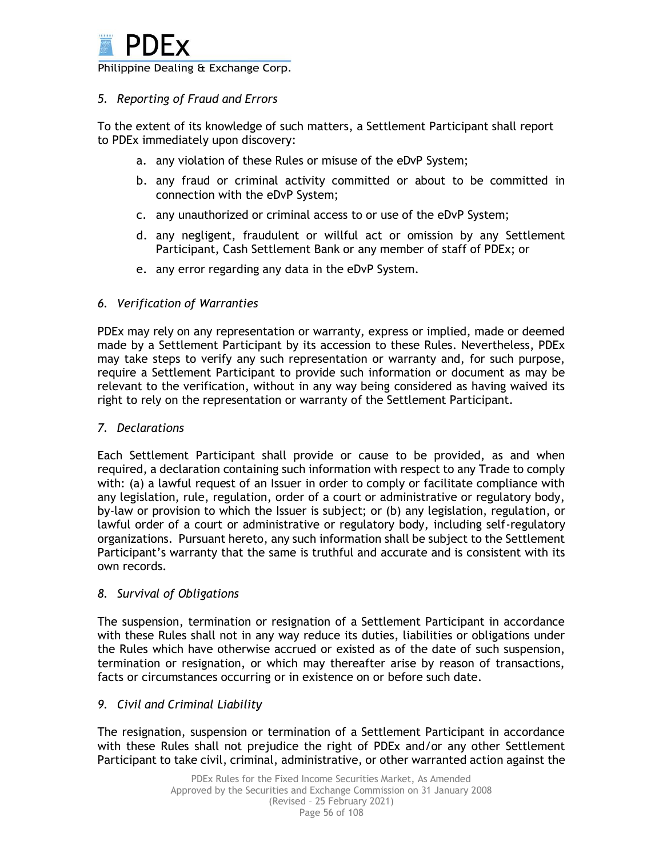

### *5. Reporting of Fraud and Errors*

To the extent of its knowledge of such matters, a Settlement Participant shall report to PDEx immediately upon discovery:

- a. any violation of these Rules or misuse of the eDvP System;
- b. any fraud or criminal activity committed or about to be committed in connection with the eDvP System;
- c. any unauthorized or criminal access to or use of the eDvP System;
- d. any negligent, fraudulent or willful act or omission by any Settlement Participant, Cash Settlement Bank or any member of staff of PDEx; or
- e. any error regarding any data in the eDvP System.

### *6. Verification of Warranties*

PDEx may rely on any representation or warranty, express or implied, made or deemed made by a Settlement Participant by its accession to these Rules. Nevertheless, PDEx may take steps to verify any such representation or warranty and, for such purpose, require a Settlement Participant to provide such information or document as may be relevant to the verification, without in any way being considered as having waived its right to rely on the representation or warranty of the Settlement Participant.

#### *7. Declarations*

Each Settlement Participant shall provide or cause to be provided, as and when required, a declaration containing such information with respect to any Trade to comply with: (a) a lawful request of an Issuer in order to comply or facilitate compliance with any legislation, rule, regulation, order of a court or administrative or regulatory body, by-law or provision to which the Issuer is subject; or (b) any legislation, regulation, or lawful order of a court or administrative or regulatory body, including self-regulatory organizations. Pursuant hereto, any such information shall be subject to the Settlement Participant's warranty that the same is truthful and accurate and is consistent with its own records.

#### *8. Survival of Obligations*

The suspension, termination or resignation of a Settlement Participant in accordance with these Rules shall not in any way reduce its duties, liabilities or obligations under the Rules which have otherwise accrued or existed as of the date of such suspension, termination or resignation, or which may thereafter arise by reason of transactions, facts or circumstances occurring or in existence on or before such date.

#### *9. Civil and Criminal Liability*

The resignation, suspension or termination of a Settlement Participant in accordance with these Rules shall not prejudice the right of PDEx and/or any other Settlement Participant to take civil, criminal, administrative, or other warranted action against the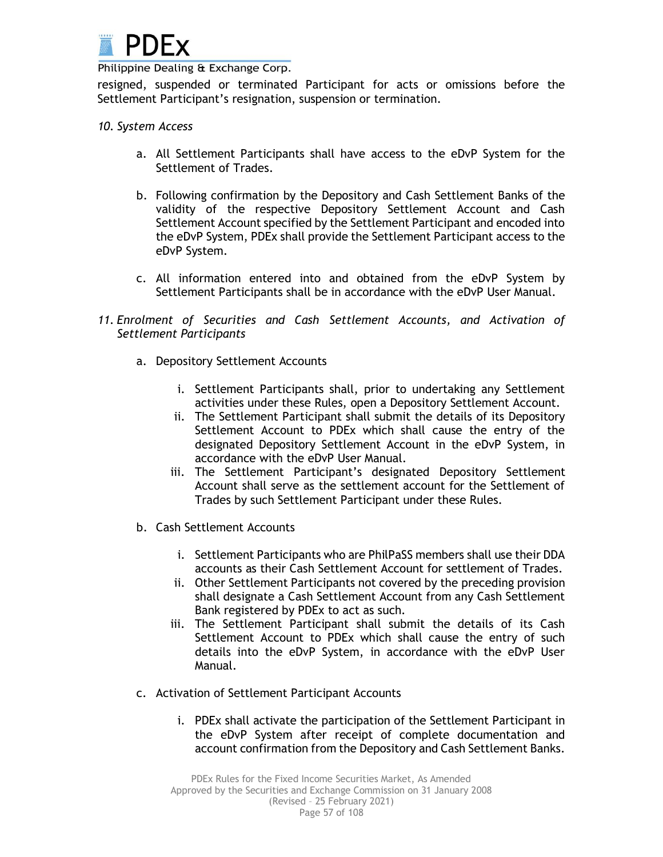

resigned, suspended or terminated Participant for acts or omissions before the Settlement Participant's resignation, suspension or termination.

#### *10. System Access*

- a. All Settlement Participants shall have access to the eDvP System for the Settlement of Trades.
- b. Following confirmation by the Depository and Cash Settlement Banks of the validity of the respective Depository Settlement Account and Cash Settlement Account specified by the Settlement Participant and encoded into the eDvP System, PDEx shall provide the Settlement Participant access to the eDvP System.
- c. All information entered into and obtained from the eDvP System by Settlement Participants shall be in accordance with the eDvP User Manual.
- *11. Enrolment of Securities and Cash Settlement Accounts, and Activation of Settlement Participants*
	- a. Depository Settlement Accounts
		- i. Settlement Participants shall, prior to undertaking any Settlement activities under these Rules, open a Depository Settlement Account.
		- ii. The Settlement Participant shall submit the details of its Depository Settlement Account to PDEx which shall cause the entry of the designated Depository Settlement Account in the eDvP System, in accordance with the eDvP User Manual.
		- iii. The Settlement Participant's designated Depository Settlement Account shall serve as the settlement account for the Settlement of Trades by such Settlement Participant under these Rules.
	- b. Cash Settlement Accounts
		- i. Settlement Participants who are PhilPaSS members shall use their DDA accounts as their Cash Settlement Account for settlement of Trades.
		- ii. Other Settlement Participants not covered by the preceding provision shall designate a Cash Settlement Account from any Cash Settlement Bank registered by PDEx to act as such.
		- iii. The Settlement Participant shall submit the details of its Cash Settlement Account to PDEx which shall cause the entry of such details into the eDvP System, in accordance with the eDvP User Manual.
	- c. Activation of Settlement Participant Accounts
		- i. PDEx shall activate the participation of the Settlement Participant in the eDvP System after receipt of complete documentation and account confirmation from the Depository and Cash Settlement Banks.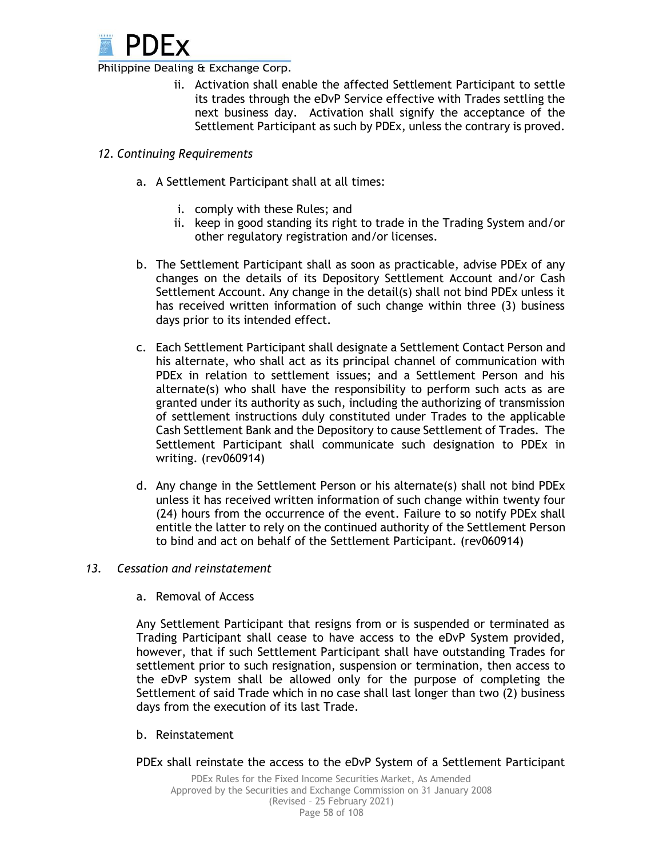

ii. Activation shall enable the affected Settlement Participant to settle its trades through the eDvP Service effective with Trades settling the next business day. Activation shall signify the acceptance of the Settlement Participant as such by PDEx, unless the contrary is proved.

#### *12. Continuing Requirements*

- a. A Settlement Participant shall at all times:
	- i. comply with these Rules; and
	- ii. keep in good standing its right to trade in the Trading System and/or other regulatory registration and/or licenses.
- b. The Settlement Participant shall as soon as practicable, advise PDEx of any changes on the details of its Depository Settlement Account and/or Cash Settlement Account. Any change in the detail(s) shall not bind PDEx unless it has received written information of such change within three (3) business days prior to its intended effect.
- c. Each Settlement Participant shall designate a Settlement Contact Person and his alternate, who shall act as its principal channel of communication with PDEx in relation to settlement issues; and a Settlement Person and his alternate(s) who shall have the responsibility to perform such acts as are granted under its authority as such, including the authorizing of transmission of settlement instructions duly constituted under Trades to the applicable Cash Settlement Bank and the Depository to cause Settlement of Trades. The Settlement Participant shall communicate such designation to PDEx in writing. (rev060914)
- d. Any change in the Settlement Person or his alternate(s) shall not bind PDEx unless it has received written information of such change within twenty four (24) hours from the occurrence of the event. Failure to so notify PDEx shall entitle the latter to rely on the continued authority of the Settlement Person to bind and act on behalf of the Settlement Participant. (rev060914)

#### *13. Cessation and reinstatement*

a. Removal of Access

Any Settlement Participant that resigns from or is suspended or terminated as Trading Participant shall cease to have access to the eDvP System provided, however, that if such Settlement Participant shall have outstanding Trades for settlement prior to such resignation, suspension or termination, then access to the eDvP system shall be allowed only for the purpose of completing the Settlement of said Trade which in no case shall last longer than two (2) business days from the execution of its last Trade.

- b. Reinstatement
- PDEx shall reinstate the access to the eDvP System of a Settlement Participant

Page 58 of 108 PDEx Rules for the Fixed Income Securities Market, As Amended Approved by the Securities and Exchange Commission on 31 January 2008 (Revised – 25 February 2021)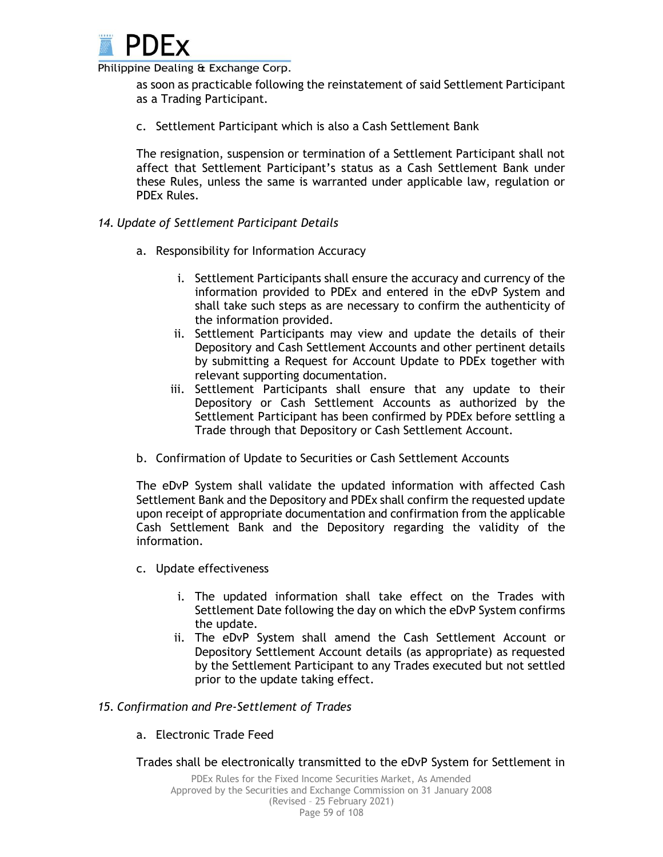

as soon as practicable following the reinstatement of said Settlement Participant as a Trading Participant.

c. Settlement Participant which is also a Cash Settlement Bank

The resignation, suspension or termination of a Settlement Participant shall not affect that Settlement Participant's status as a Cash Settlement Bank under these Rules, unless the same is warranted under applicable law, regulation or PDEx Rules.

#### *14. Update of Settlement Participant Details*

- a. Responsibility for Information Accuracy
	- i. Settlement Participants shall ensure the accuracy and currency of the information provided to PDEx and entered in the eDvP System and shall take such steps as are necessary to confirm the authenticity of the information provided.
	- ii. Settlement Participants may view and update the details of their Depository and Cash Settlement Accounts and other pertinent details by submitting a Request for Account Update to PDEx together with relevant supporting documentation.
	- iii. Settlement Participants shall ensure that any update to their Depository or Cash Settlement Accounts as authorized by the Settlement Participant has been confirmed by PDEx before settling a Trade through that Depository or Cash Settlement Account.
- b. Confirmation of Update to Securities or Cash Settlement Accounts

The eDvP System shall validate the updated information with affected Cash Settlement Bank and the Depository and PDEx shall confirm the requested update upon receipt of appropriate documentation and confirmation from the applicable Cash Settlement Bank and the Depository regarding the validity of the information.

- c. Update effectiveness
	- i. The updated information shall take effect on the Trades with Settlement Date following the day on which the eDvP System confirms the update.
	- ii. The eDvP System shall amend the Cash Settlement Account or Depository Settlement Account details (as appropriate) as requested by the Settlement Participant to any Trades executed but not settled prior to the update taking effect.

#### *15. Confirmation and Pre-Settlement of Trades*

a. Electronic Trade Feed

### Trades shall be electronically transmitted to the eDvP System for Settlement in

Page 59 of 108 PDEx Rules for the Fixed Income Securities Market, As Amended Approved by the Securities and Exchange Commission on 31 January 2008 (Revised – 25 February 2021)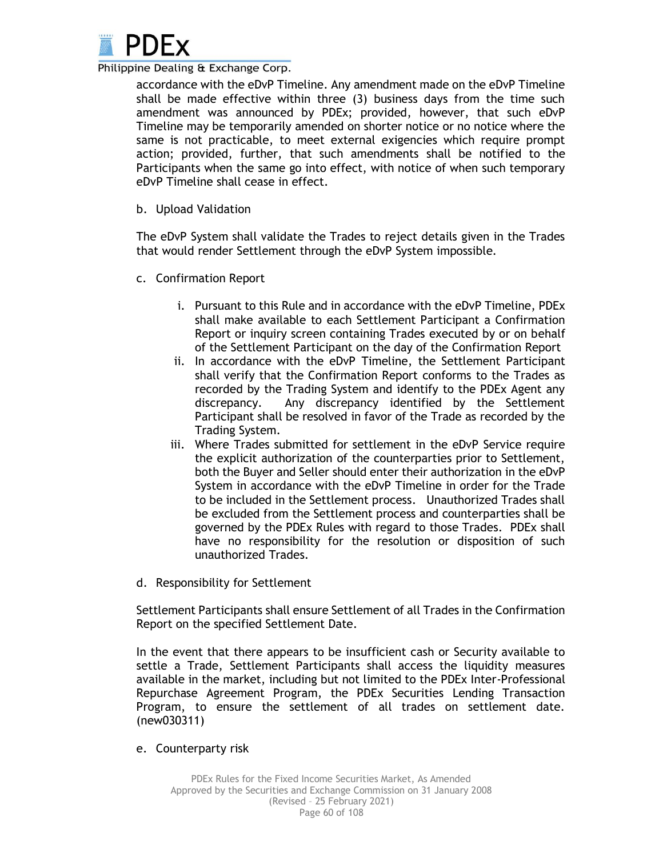

accordance with the eDvP Timeline. Any amendment made on the eDvP Timeline shall be made effective within three (3) business days from the time such amendment was announced by PDEx; provided, however, that such eDvP Timeline may be temporarily amended on shorter notice or no notice where the same is not practicable, to meet external exigencies which require prompt action; provided, further, that such amendments shall be notified to the Participants when the same go into effect, with notice of when such temporary eDvP Timeline shall cease in effect.

b. Upload Validation

The eDvP System shall validate the Trades to reject details given in the Trades that would render Settlement through the eDvP System impossible.

- c. Confirmation Report
	- i. Pursuant to this Rule and in accordance with the eDvP Timeline, PDEx shall make available to each Settlement Participant a Confirmation Report or inquiry screen containing Trades executed by or on behalf of the Settlement Participant on the day of the Confirmation Report
	- ii. In accordance with the eDvP Timeline, the Settlement Participant shall verify that the Confirmation Report conforms to the Trades as recorded by the Trading System and identify to the PDEx Agent any discrepancy. Any discrepancy identified by the Settlement Participant shall be resolved in favor of the Trade as recorded by the Trading System.
	- iii. Where Trades submitted for settlement in the eDvP Service require the explicit authorization of the counterparties prior to Settlement, both the Buyer and Seller should enter their authorization in the eDvP System in accordance with the eDvP Timeline in order for the Trade to be included in the Settlement process. Unauthorized Trades shall be excluded from the Settlement process and counterparties shall be governed by the PDEx Rules with regard to those Trades. PDEx shall have no responsibility for the resolution or disposition of such unauthorized Trades.
- d. Responsibility for Settlement

Settlement Participants shall ensure Settlement of all Trades in the Confirmation Report on the specified Settlement Date.

In the event that there appears to be insufficient cash or Security available to settle a Trade, Settlement Participants shall access the liquidity measures available in the market, including but not limited to the PDEx Inter-Professional Repurchase Agreement Program, the PDEx Securities Lending Transaction Program, to ensure the settlement of all trades on settlement date. (new030311)

e. Counterparty risk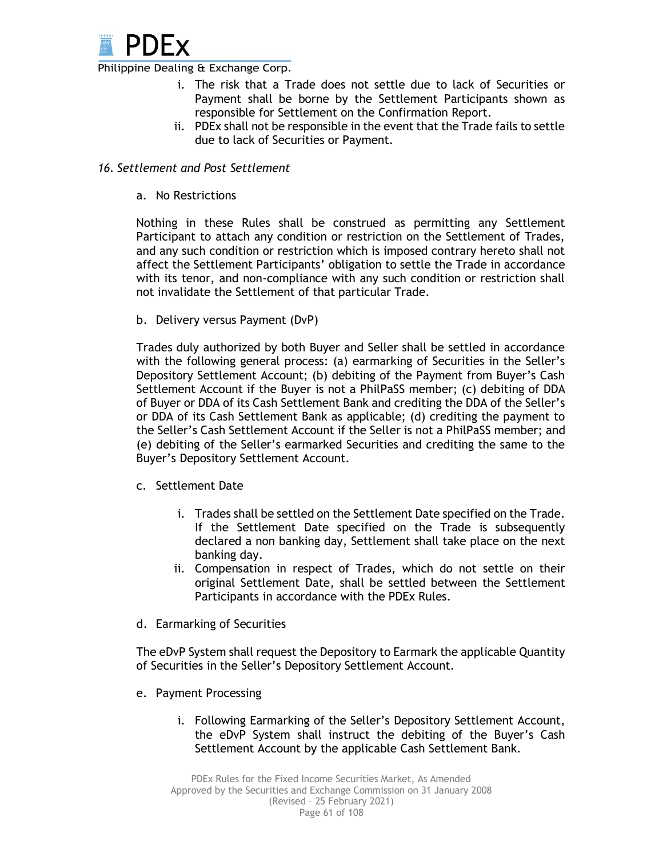

- i. The risk that a Trade does not settle due to lack of Securities or Payment shall be borne by the Settlement Participants shown as responsible for Settlement on the Confirmation Report.
- ii. PDEx shall not be responsible in the event that the Trade fails to settle due to lack of Securities or Payment.

#### *16. Settlement and Post Settlement*

a. No Restrictions

Nothing in these Rules shall be construed as permitting any Settlement Participant to attach any condition or restriction on the Settlement of Trades, and any such condition or restriction which is imposed contrary hereto shall not affect the Settlement Participants' obligation to settle the Trade in accordance with its tenor, and non-compliance with any such condition or restriction shall not invalidate the Settlement of that particular Trade.

b. Delivery versus Payment (DvP)

Trades duly authorized by both Buyer and Seller shall be settled in accordance with the following general process: (a) earmarking of Securities in the Seller's Depository Settlement Account; (b) debiting of the Payment from Buyer's Cash Settlement Account if the Buyer is not a PhilPaSS member; (c) debiting of DDA of Buyer or DDA of its Cash Settlement Bank and crediting the DDA of the Seller's or DDA of its Cash Settlement Bank as applicable; (d) crediting the payment to the Seller's Cash Settlement Account if the Seller is not a PhilPaSS member; and (e) debiting of the Seller's earmarked Securities and crediting the same to the Buyer's Depository Settlement Account.

- c. Settlement Date
	- i. Trades shall be settled on the Settlement Date specified on the Trade. If the Settlement Date specified on the Trade is subsequently declared a non banking day, Settlement shall take place on the next banking day.
	- ii. Compensation in respect of Trades, which do not settle on their original Settlement Date, shall be settled between the Settlement Participants in accordance with the PDEx Rules.
- d. Earmarking of Securities

The eDvP System shall request the Depository to Earmark the applicable Quantity of Securities in the Seller's Depository Settlement Account.

- e. Payment Processing
	- i. Following Earmarking of the Seller's Depository Settlement Account, the eDvP System shall instruct the debiting of the Buyer's Cash Settlement Account by the applicable Cash Settlement Bank.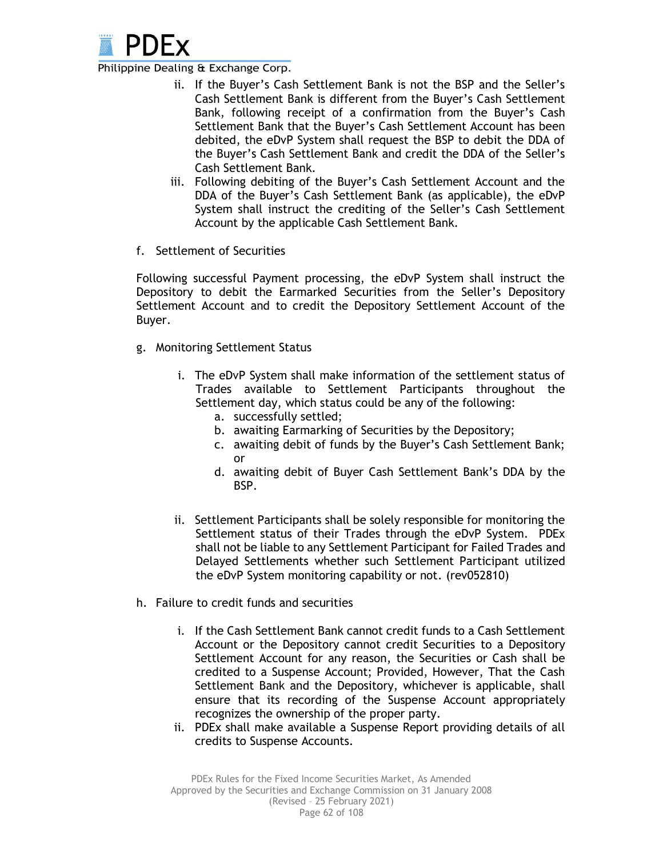

- ii. If the Buyer's Cash Settlement Bank is not the BSP and the Seller's Cash Settlement Bank is different from the Buyer's Cash Settlement Bank, following receipt of a confirmation from the Buyer's Cash Settlement Bank that the Buyer's Cash Settlement Account has been debited, the eDvP System shall request the BSP to debit the DDA of the Buyer's Cash Settlement Bank and credit the DDA of the Seller's Cash Settlement Bank.
- iii. Following debiting of the Buyer's Cash Settlement Account and the DDA of the Buyer's Cash Settlement Bank (as applicable), the eDvP System shall instruct the crediting of the Seller's Cash Settlement Account by the applicable Cash Settlement Bank.
- f. Settlement of Securities

Following successful Payment processing, the eDvP System shall instruct the Depository to debit the Earmarked Securities from the Seller's Depository Settlement Account and to credit the Depository Settlement Account of the Buyer.

- g. Monitoring Settlement Status
	- i. The eDvP System shall make information of the settlement status of Trades available to Settlement Participants throughout the Settlement day, which status could be any of the following:
		- a. successfully settled;
		- b. awaiting Earmarking of Securities by the Depository;
		- c. awaiting debit of funds by the Buyer's Cash Settlement Bank; or
		- d. awaiting debit of Buyer Cash Settlement Bank's DDA by the BSP.
	- ii. Settlement Participants shall be solely responsible for monitoring the Settlement status of their Trades through the eDvP System. PDEx shall not be liable to any Settlement Participant for Failed Trades and Delayed Settlements whether such Settlement Participant utilized the eDvP System monitoring capability or not. (rev052810)
- h. Failure to credit funds and securities
	- i. If the Cash Settlement Bank cannot credit funds to a Cash Settlement Account or the Depository cannot credit Securities to a Depository Settlement Account for any reason, the Securities or Cash shall be credited to a Suspense Account; Provided, However, That the Cash Settlement Bank and the Depository, whichever is applicable, shall ensure that its recording of the Suspense Account appropriately recognizes the ownership of the proper party.
	- ii. PDEx shall make available a Suspense Report providing details of all credits to Suspense Accounts.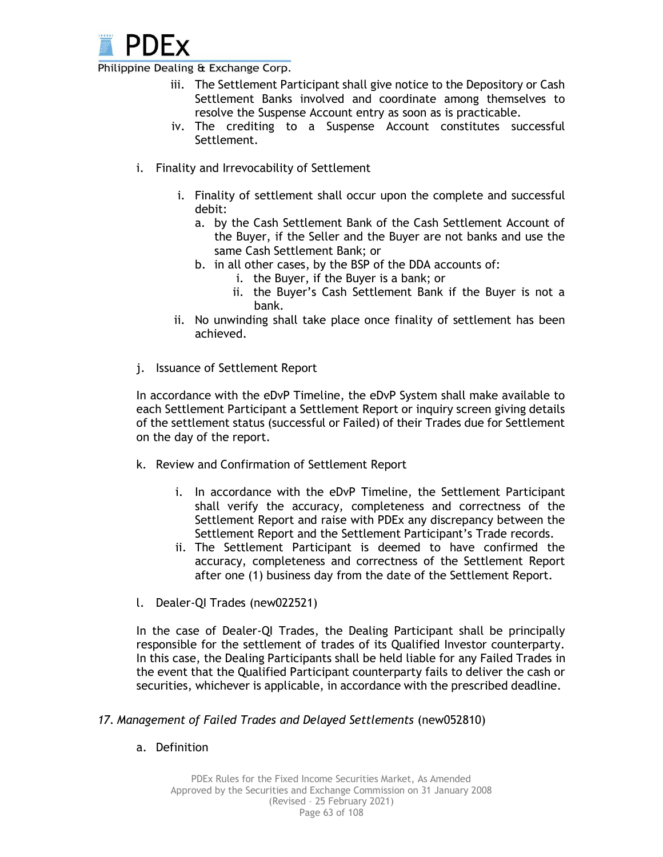

- iii. The Settlement Participant shall give notice to the Depository or Cash Settlement Banks involved and coordinate among themselves to resolve the Suspense Account entry as soon as is practicable.
- iv. The crediting to a Suspense Account constitutes successful Settlement.
- i. Finality and Irrevocability of Settlement
	- i. Finality of settlement shall occur upon the complete and successful debit:
		- a. by the Cash Settlement Bank of the Cash Settlement Account of the Buyer, if the Seller and the Buyer are not banks and use the same Cash Settlement Bank; or
		- b. in all other cases, by the BSP of the DDA accounts of:
			- i. the Buyer, if the Buyer is a bank; or
			- ii. the Buyer's Cash Settlement Bank if the Buyer is not a bank.
	- ii. No unwinding shall take place once finality of settlement has been achieved.
- j. Issuance of Settlement Report

In accordance with the eDvP Timeline, the eDvP System shall make available to each Settlement Participant a Settlement Report or inquiry screen giving details of the settlement status (successful or Failed) of their Trades due for Settlement on the day of the report.

- k. Review and Confirmation of Settlement Report
	- i. In accordance with the eDvP Timeline, the Settlement Participant shall verify the accuracy, completeness and correctness of the Settlement Report and raise with PDEx any discrepancy between the Settlement Report and the Settlement Participant's Trade records.
	- ii. The Settlement Participant is deemed to have confirmed the accuracy, completeness and correctness of the Settlement Report after one (1) business day from the date of the Settlement Report.
- l. Dealer-QI Trades (new022521)

In the case of Dealer-QI Trades, the Dealing Participant shall be principally responsible for the settlement of trades of its Qualified Investor counterparty. In this case, the Dealing Participants shall be held liable for any Failed Trades in the event that the Qualified Participant counterparty fails to deliver the cash or securities, whichever is applicable, in accordance with the prescribed deadline.

#### *17. Management of Failed Trades and Delayed Settlements* (new052810)

a. Definition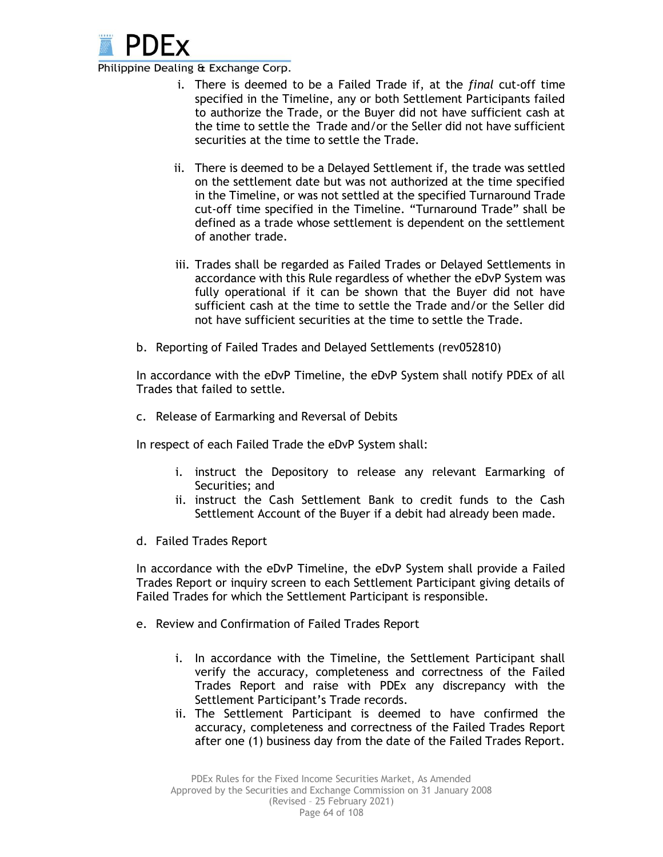

- i. There is deemed to be a Failed Trade if, at the *final* cut-off time specified in the Timeline, any or both Settlement Participants failed to authorize the Trade, or the Buyer did not have sufficient cash at the time to settle the Trade and/or the Seller did not have sufficient securities at the time to settle the Trade.
- ii. There is deemed to be a Delayed Settlement if, the trade was settled on the settlement date but was not authorized at the time specified in the Timeline, or was not settled at the specified Turnaround Trade cut-off time specified in the Timeline. "Turnaround Trade" shall be defined as a trade whose settlement is dependent on the settlement of another trade.
- iii. Trades shall be regarded as Failed Trades or Delayed Settlements in accordance with this Rule regardless of whether the eDvP System was fully operational if it can be shown that the Buyer did not have sufficient cash at the time to settle the Trade and/or the Seller did not have sufficient securities at the time to settle the Trade.
- b. Reporting of Failed Trades and Delayed Settlements (rev052810)

In accordance with the eDvP Timeline, the eDvP System shall notify PDEx of all Trades that failed to settle.

c. Release of Earmarking and Reversal of Debits

In respect of each Failed Trade the eDvP System shall:

- i. instruct the Depository to release any relevant Earmarking of Securities; and
- ii. instruct the Cash Settlement Bank to credit funds to the Cash Settlement Account of the Buyer if a debit had already been made.
- d. Failed Trades Report

In accordance with the eDvP Timeline, the eDvP System shall provide a Failed Trades Report or inquiry screen to each Settlement Participant giving details of Failed Trades for which the Settlement Participant is responsible.

- e. Review and Confirmation of Failed Trades Report
	- i. In accordance with the Timeline, the Settlement Participant shall verify the accuracy, completeness and correctness of the Failed Trades Report and raise with PDEx any discrepancy with the Settlement Participant's Trade records.
	- ii. The Settlement Participant is deemed to have confirmed the accuracy, completeness and correctness of the Failed Trades Report after one (1) business day from the date of the Failed Trades Report.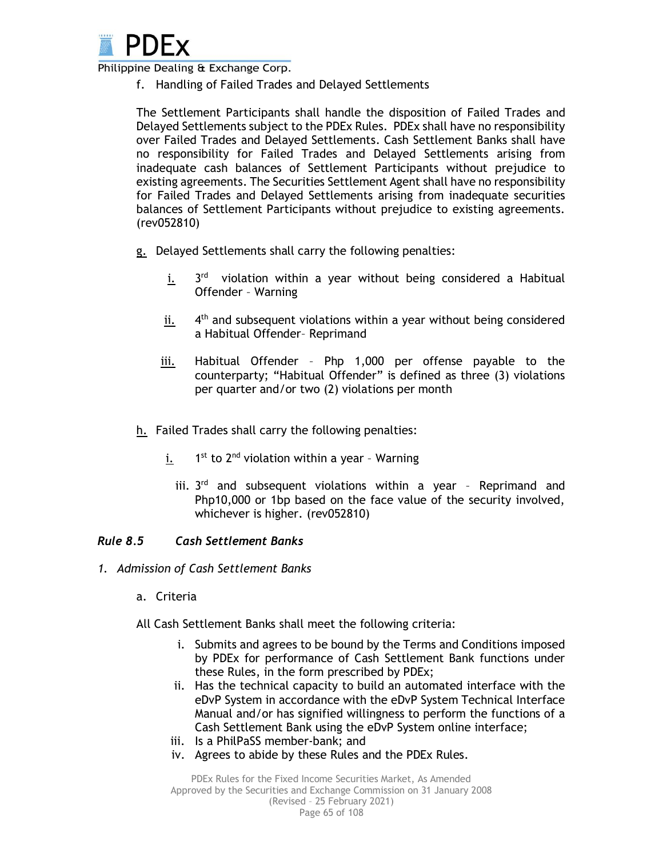

f. Handling of Failed Trades and Delayed Settlements

The Settlement Participants shall handle the disposition of Failed Trades and Delayed Settlements subject to the PDEx Rules. PDEx shall have no responsibility over Failed Trades and Delayed Settlements. Cash Settlement Banks shall have no responsibility for Failed Trades and Delayed Settlements arising from inadequate cash balances of Settlement Participants without prejudice to existing agreements. The Securities Settlement Agent shall have no responsibility for Failed Trades and Delayed Settlements arising from inadequate securities balances of Settlement Participants without prejudice to existing agreements. (rev052810)

- g. Delayed Settlements shall carry the following penalties:
	- i. <sup>rd</sup> violation within a year without being considered a Habitual Offender – Warning
	- ii.  $4<sup>th</sup>$  and subsequent violations within a year without being considered a Habitual Offender– Reprimand
	- iii. Habitual Offender Php 1,000 per offense payable to the counterparty; "Habitual Offender" is defined as three (3) violations per quarter and/or two (2) violations per month
- h. Failed Trades shall carry the following penalties:
	- i.  $1<sup>st</sup>$  to  $2<sup>nd</sup>$  violation within a year - Warning
		- iii.  $3<sup>rd</sup>$  and subsequent violations within a year Reprimand and Php10,000 or 1bp based on the face value of the security involved, whichever is higher. (rev052810)

### *Rule 8.5 Cash Settlement Banks*

- *1. Admission of Cash Settlement Banks*
	- a. Criteria
	- All Cash Settlement Banks shall meet the following criteria:
		- i. Submits and agrees to be bound by the Terms and Conditions imposed by PDEx for performance of Cash Settlement Bank functions under these Rules, in the form prescribed by PDEx;
		- ii. Has the technical capacity to build an automated interface with the eDvP System in accordance with the eDvP System Technical Interface Manual and/or has signified willingness to perform the functions of a Cash Settlement Bank using the eDvP System online interface;
		- iii. Is a PhilPaSS member-bank; and
		- iv. Agrees to abide by these Rules and the PDEx Rules.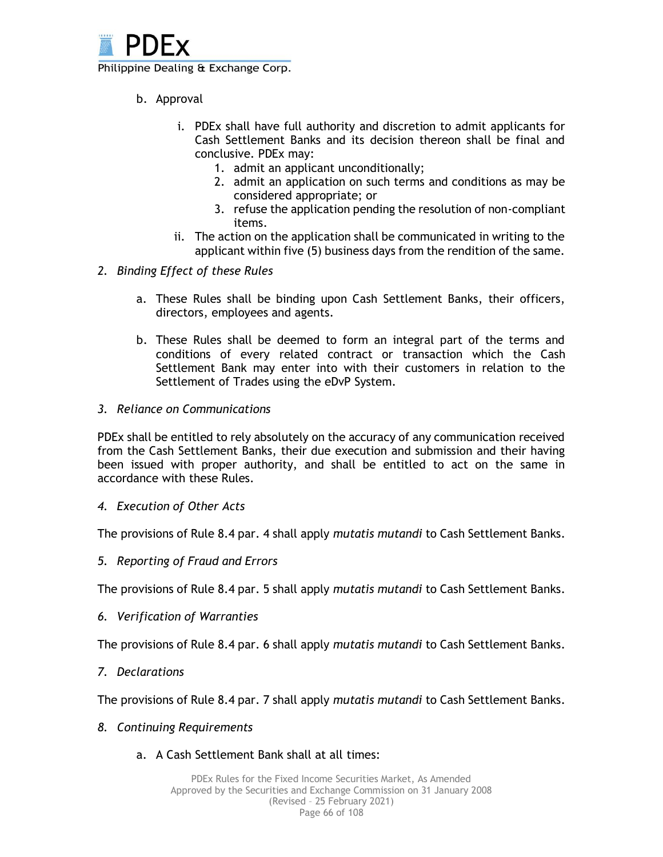

- b. Approval
	- i. PDEx shall have full authority and discretion to admit applicants for Cash Settlement Banks and its decision thereon shall be final and conclusive. PDEx may:
		- 1. admit an applicant unconditionally;
		- 2. admit an application on such terms and conditions as may be considered appropriate; or
		- 3. refuse the application pending the resolution of non-compliant items.
	- ii. The action on the application shall be communicated in writing to the applicant within five (5) business days from the rendition of the same.
- *2. Binding Effect of these Rules*
	- a. These Rules shall be binding upon Cash Settlement Banks, their officers, directors, employees and agents.
	- b. These Rules shall be deemed to form an integral part of the terms and conditions of every related contract or transaction which the Cash Settlement Bank may enter into with their customers in relation to the Settlement of Trades using the eDvP System.
- *3. Reliance on Communications*

PDEx shall be entitled to rely absolutely on the accuracy of any communication received from the Cash Settlement Banks, their due execution and submission and their having been issued with proper authority, and shall be entitled to act on the same in accordance with these Rules.

*4. Execution of Other Acts*

The provisions of Rule 8.4 par. 4 shall apply *mutatis mutandi* to Cash Settlement Banks.

*5. Reporting of Fraud and Errors*

The provisions of Rule 8.4 par. 5 shall apply *mutatis mutandi* to Cash Settlement Banks.

*6. Verification of Warranties*

The provisions of Rule 8.4 par. 6 shall apply *mutatis mutandi* to Cash Settlement Banks.

*7. Declarations*

The provisions of Rule 8.4 par. 7 shall apply *mutatis mutandi* to Cash Settlement Banks.

- *8. Continuing Requirements*
	- a. A Cash Settlement Bank shall at all times: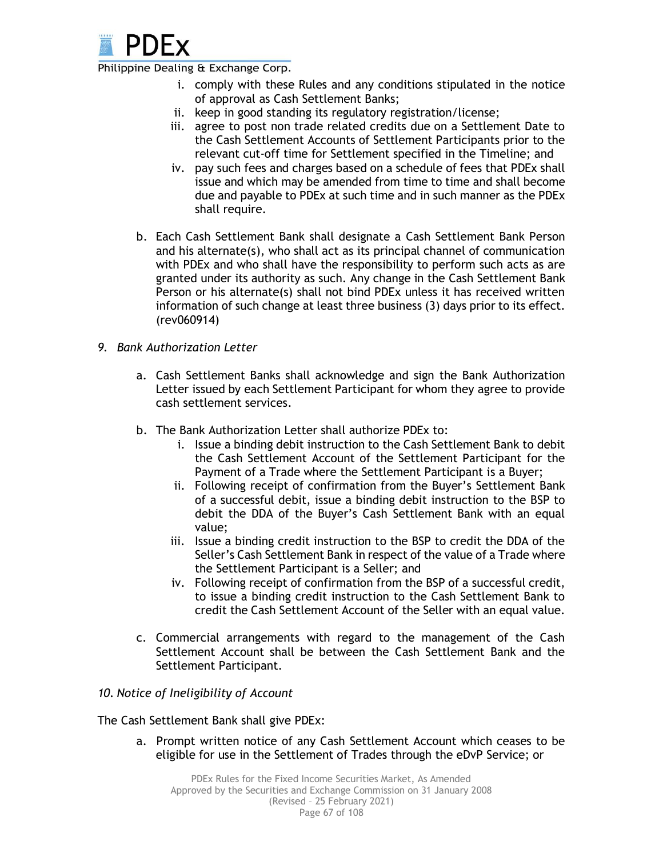

- i. comply with these Rules and any conditions stipulated in the notice of approval as Cash Settlement Banks;
- ii. keep in good standing its regulatory registration/license;
- iii. agree to post non trade related credits due on a Settlement Date to the Cash Settlement Accounts of Settlement Participants prior to the relevant cut-off time for Settlement specified in the Timeline; and
- iv. pay such fees and charges based on a schedule of fees that PDEx shall issue and which may be amended from time to time and shall become due and payable to PDEx at such time and in such manner as the PDEx shall require.
- b. Each Cash Settlement Bank shall designate a Cash Settlement Bank Person and his alternate(s), who shall act as its principal channel of communication with PDEx and who shall have the responsibility to perform such acts as are granted under its authority as such. Any change in the Cash Settlement Bank Person or his alternate(s) shall not bind PDEx unless it has received written information of such change at least three business (3) days prior to its effect. (rev060914)
- *9. Bank Authorization Letter* 
	- a. Cash Settlement Banks shall acknowledge and sign the Bank Authorization Letter issued by each Settlement Participant for whom they agree to provide cash settlement services.
	- b. The Bank Authorization Letter shall authorize PDEx to:
		- i. Issue a binding debit instruction to the Cash Settlement Bank to debit the Cash Settlement Account of the Settlement Participant for the Payment of a Trade where the Settlement Participant is a Buyer;
		- ii. Following receipt of confirmation from the Buyer's Settlement Bank of a successful debit, issue a binding debit instruction to the BSP to debit the DDA of the Buyer's Cash Settlement Bank with an equal value;
		- iii. Issue a binding credit instruction to the BSP to credit the DDA of the Seller's Cash Settlement Bank in respect of the value of a Trade where the Settlement Participant is a Seller; and
		- iv. Following receipt of confirmation from the BSP of a successful credit, to issue a binding credit instruction to the Cash Settlement Bank to credit the Cash Settlement Account of the Seller with an equal value.
	- c. Commercial arrangements with regard to the management of the Cash Settlement Account shall be between the Cash Settlement Bank and the Settlement Participant.

### *10. Notice of Ineligibility of Account*

The Cash Settlement Bank shall give PDEx:

a. Prompt written notice of any Cash Settlement Account which ceases to be eligible for use in the Settlement of Trades through the eDvP Service; or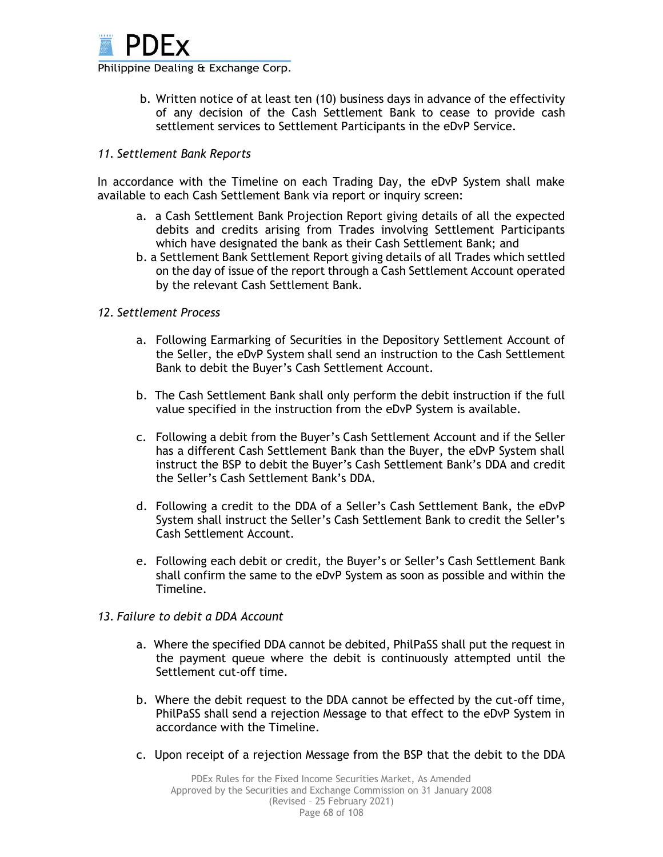

b. Written notice of at least ten (10) business days in advance of the effectivity of any decision of the Cash Settlement Bank to cease to provide cash settlement services to Settlement Participants in the eDvP Service.

#### *11. Settlement Bank Reports*

In accordance with the Timeline on each Trading Day, the eDvP System shall make available to each Cash Settlement Bank via report or inquiry screen:

- a. a Cash Settlement Bank Projection Report giving details of all the expected debits and credits arising from Trades involving Settlement Participants which have designated the bank as their Cash Settlement Bank; and
- b. a Settlement Bank Settlement Report giving details of all Trades which settled on the day of issue of the report through a Cash Settlement Account operated by the relevant Cash Settlement Bank.

#### *12. Settlement Process*

- a. Following Earmarking of Securities in the Depository Settlement Account of the Seller, the eDvP System shall send an instruction to the Cash Settlement Bank to debit the Buyer's Cash Settlement Account.
- b. The Cash Settlement Bank shall only perform the debit instruction if the full value specified in the instruction from the eDvP System is available.
- c. Following a debit from the Buyer's Cash Settlement Account and if the Seller has a different Cash Settlement Bank than the Buyer, the eDvP System shall instruct the BSP to debit the Buyer's Cash Settlement Bank's DDA and credit the Seller's Cash Settlement Bank's DDA.
- d. Following a credit to the DDA of a Seller's Cash Settlement Bank, the eDvP System shall instruct the Seller's Cash Settlement Bank to credit the Seller's Cash Settlement Account.
- e. Following each debit or credit, the Buyer's or Seller's Cash Settlement Bank shall confirm the same to the eDvP System as soon as possible and within the Timeline.
- *13. Failure to debit a DDA Account*
	- a. Where the specified DDA cannot be debited, PhilPaSS shall put the request in the payment queue where the debit is continuously attempted until the Settlement cut-off time.
	- b. Where the debit request to the DDA cannot be effected by the cut-off time, PhilPaSS shall send a rejection Message to that effect to the eDvP System in accordance with the Timeline.
	- c. Upon receipt of a rejection Message from the BSP that the debit to the DDA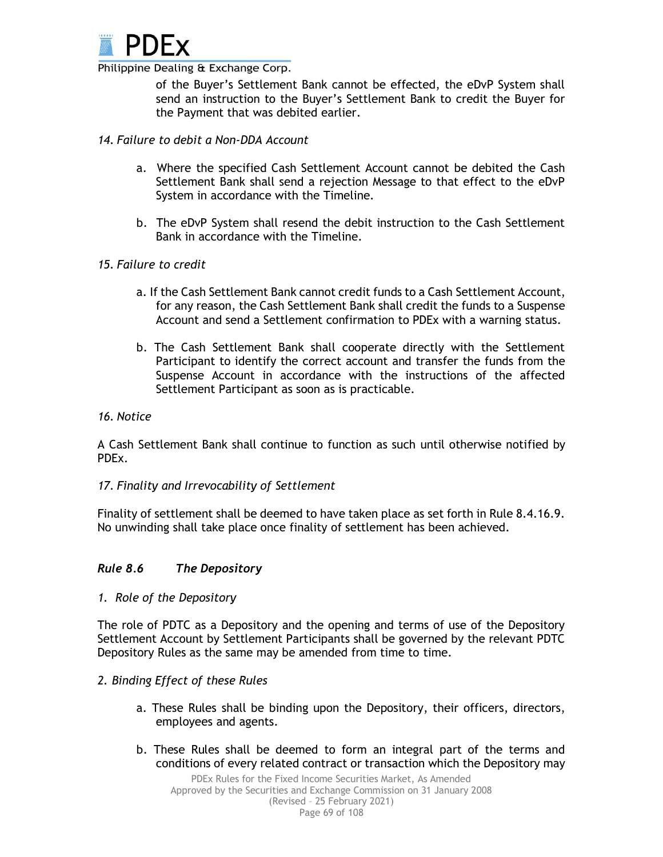

of the Buyer's Settlement Bank cannot be effected, the eDvP System shall send an instruction to the Buyer's Settlement Bank to credit the Buyer for the Payment that was debited earlier.

#### *14. Failure to debit a Non-DDA Account*

- a. Where the specified Cash Settlement Account cannot be debited the Cash Settlement Bank shall send a rejection Message to that effect to the eDvP System in accordance with the Timeline.
- b. The eDvP System shall resend the debit instruction to the Cash Settlement Bank in accordance with the Timeline.

#### *15. Failure to credit*

- a. If the Cash Settlement Bank cannot credit funds to a Cash Settlement Account, for any reason, the Cash Settlement Bank shall credit the funds to a Suspense Account and send a Settlement confirmation to PDEx with a warning status.
- b. The Cash Settlement Bank shall cooperate directly with the Settlement Participant to identify the correct account and transfer the funds from the Suspense Account in accordance with the instructions of the affected Settlement Participant as soon as is practicable.

#### *16. Notice*

A Cash Settlement Bank shall continue to function as such until otherwise notified by PDEx.

#### *17. Finality and Irrevocability of Settlement*

Finality of settlement shall be deemed to have taken place as set forth in Rule 8.4.16.9. No unwinding shall take place once finality of settlement has been achieved.

### *Rule 8.6 The Depository*

*1. Role of the Depository*

The role of PDTC as a Depository and the opening and terms of use of the Depository Settlement Account by Settlement Participants shall be governed by the relevant PDTC Depository Rules as the same may be amended from time to time.

#### *2. Binding Effect of these Rules*

- a. These Rules shall be binding upon the Depository, their officers, directors, employees and agents.
- b. These Rules shall be deemed to form an integral part of the terms and conditions of every related contract or transaction which the Depository may

Page 69 of 108 PDEx Rules for the Fixed Income Securities Market, As Amended Approved by the Securities and Exchange Commission on 31 January 2008 (Revised – 25 February 2021)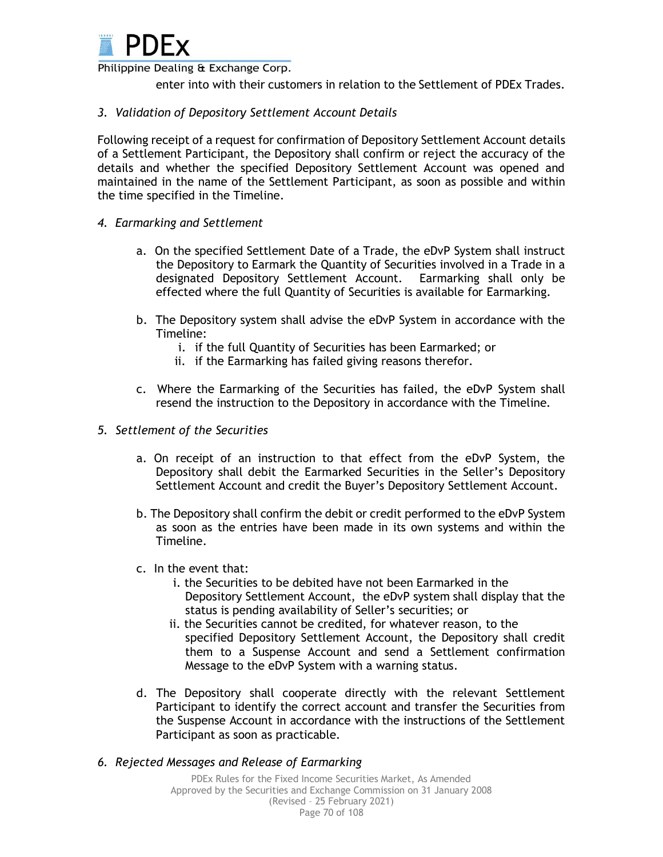

enter into with their customers in relation to the Settlement of PDEx Trades.

#### *3. Validation of Depository Settlement Account Details*

Following receipt of a request for confirmation of Depository Settlement Account details of a Settlement Participant, the Depository shall confirm or reject the accuracy of the details and whether the specified Depository Settlement Account was opened and maintained in the name of the Settlement Participant, as soon as possible and within the time specified in the Timeline.

- *4. Earmarking and Settlement*
	- a. On the specified Settlement Date of a Trade, the eDvP System shall instruct the Depository to Earmark the Quantity of Securities involved in a Trade in a designated Depository Settlement Account. Earmarking shall only be effected where the full Quantity of Securities is available for Earmarking.
	- b. The Depository system shall advise the eDvP System in accordance with the Timeline:
		- i. if the full Quantity of Securities has been Earmarked; or
		- ii. if the Earmarking has failed giving reasons therefor.
	- c. Where the Earmarking of the Securities has failed, the eDvP System shall resend the instruction to the Depository in accordance with the Timeline.
- *5. Settlement of the Securities* 
	- a. On receipt of an instruction to that effect from the eDvP System, the Depository shall debit the Earmarked Securities in the Seller's Depository Settlement Account and credit the Buyer's Depository Settlement Account.
	- b. The Depository shall confirm the debit or credit performed to the eDvP System as soon as the entries have been made in its own systems and within the Timeline.
	- c. In the event that:
		- i. the Securities to be debited have not been Earmarked in the Depository Settlement Account, the eDvP system shall display that the status is pending availability of Seller's securities; or
		- ii. the Securities cannot be credited, for whatever reason, to the specified Depository Settlement Account, the Depository shall credit them to a Suspense Account and send a Settlement confirmation Message to the eDvP System with a warning status.
	- d. The Depository shall cooperate directly with the relevant Settlement Participant to identify the correct account and transfer the Securities from the Suspense Account in accordance with the instructions of the Settlement Participant as soon as practicable.
- *6. Rejected Messages and Release of Earmarking*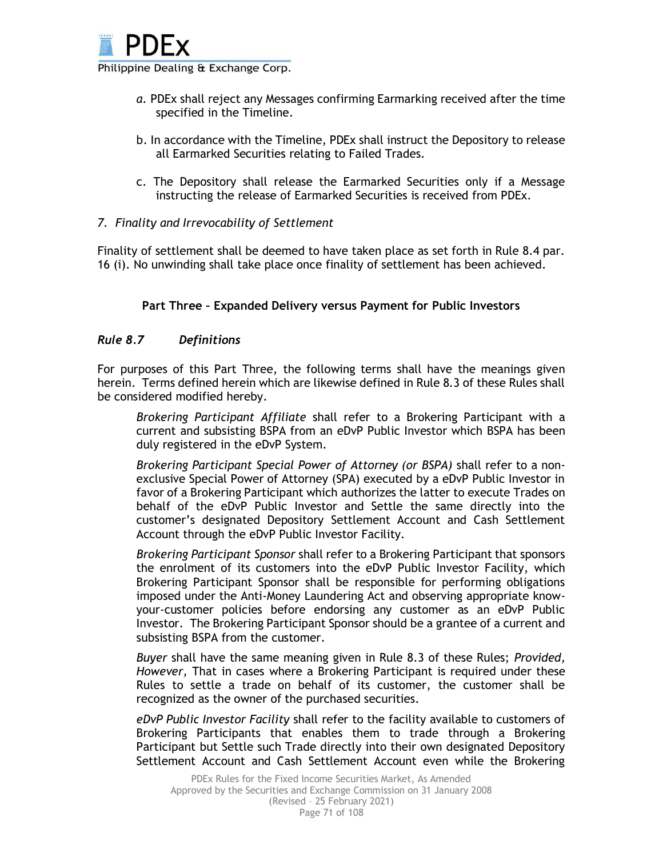

- *a.* PDEx shall reject any Messages confirming Earmarking received after the time specified in the Timeline.
- b. In accordance with the Timeline, PDEx shall instruct the Depository to release all Earmarked Securities relating to Failed Trades.
- c. The Depository shall release the Earmarked Securities only if a Message instructing the release of Earmarked Securities is received from PDEx.

### *7. Finality and Irrevocability of Settlement*

Finality of settlement shall be deemed to have taken place as set forth in Rule 8.4 par. 16 (i). No unwinding shall take place once finality of settlement has been achieved.

### **Part Three – Expanded Delivery versus Payment for Public Investors**

#### *Rule 8.7 Definitions*

For purposes of this Part Three, the following terms shall have the meanings given herein. Terms defined herein which are likewise defined in Rule 8.3 of these Rules shall be considered modified hereby.

*Brokering Participant Affiliate* shall refer to a Brokering Participant with a current and subsisting BSPA from an eDvP Public Investor which BSPA has been duly registered in the eDvP System.

*Brokering Participant Special Power of Attorney (or BSPA)* shall refer to a nonexclusive Special Power of Attorney (SPA) executed by a eDvP Public Investor in favor of a Brokering Participant which authorizes the latter to execute Trades on behalf of the eDvP Public Investor and Settle the same directly into the customer's designated Depository Settlement Account and Cash Settlement Account through the eDvP Public Investor Facility.

*Brokering Participant Sponsor* shall refer to a Brokering Participant that sponsors the enrolment of its customers into the eDvP Public Investor Facility, which Brokering Participant Sponsor shall be responsible for performing obligations imposed under the Anti-Money Laundering Act and observing appropriate knowyour-customer policies before endorsing any customer as an eDvP Public Investor. The Brokering Participant Sponsor should be a grantee of a current and subsisting BSPA from the customer.

*Buyer* shall have the same meaning given in Rule 8.3 of these Rules; *Provided, However,* That in cases where a Brokering Participant is required under these Rules to settle a trade on behalf of its customer, the customer shall be recognized as the owner of the purchased securities.

*eDvP Public Investor Facility* shall refer to the facility available to customers of Brokering Participants that enables them to trade through a Brokering Participant but Settle such Trade directly into their own designated Depository Settlement Account and Cash Settlement Account even while the Brokering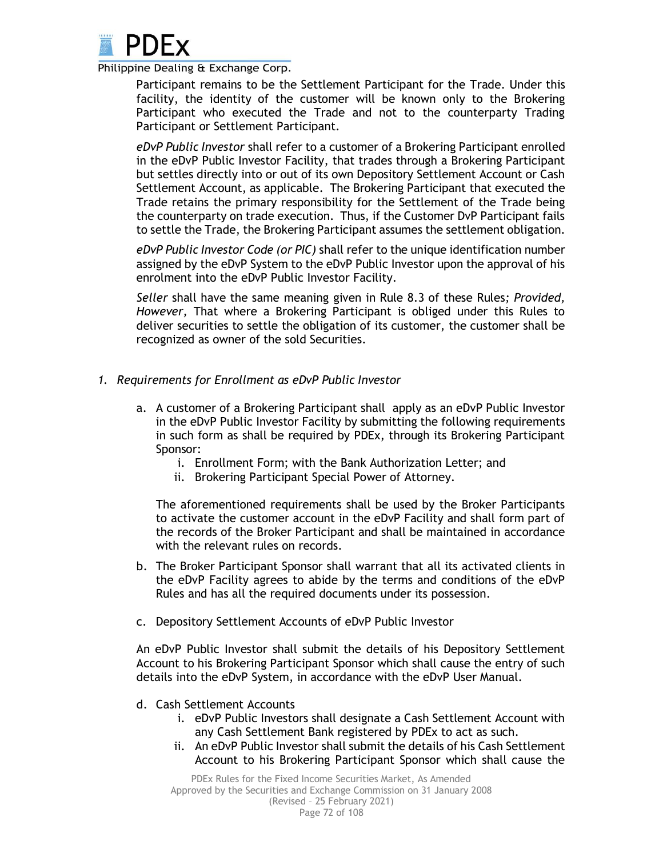

Participant remains to be the Settlement Participant for the Trade. Under this facility, the identity of the customer will be known only to the Brokering Participant who executed the Trade and not to the counterparty Trading Participant or Settlement Participant.

*eDvP Public Investor* shall refer to a customer of a Brokering Participant enrolled in the eDvP Public Investor Facility, that trades through a Brokering Participant but settles directly into or out of its own Depository Settlement Account or Cash Settlement Account, as applicable. The Brokering Participant that executed the Trade retains the primary responsibility for the Settlement of the Trade being the counterparty on trade execution. Thus, if the Customer DvP Participant fails to settle the Trade, the Brokering Participant assumes the settlement obligation.

*eDvP Public Investor Code (or PIC)* shall refer to the unique identification number assigned by the eDvP System to the eDvP Public Investor upon the approval of his enrolment into the eDvP Public Investor Facility.

*Seller* shall have the same meaning given in Rule 8.3 of these Rules*; Provided, However,* That where a Brokering Participant is obliged under this Rules to deliver securities to settle the obligation of its customer, the customer shall be recognized as owner of the sold Securities.

- *1. Requirements for Enrollment as eDvP Public Investor*
	- a. A customer of a Brokering Participant shall apply as an eDvP Public Investor in the eDvP Public Investor Facility by submitting the following requirements in such form as shall be required by PDEx, through its Brokering Participant Sponsor:
		- i. Enrollment Form; with the Bank Authorization Letter; and
		- ii. Brokering Participant Special Power of Attorney.

The aforementioned requirements shall be used by the Broker Participants to activate the customer account in the eDvP Facility and shall form part of the records of the Broker Participant and shall be maintained in accordance with the relevant rules on records.

- b. The Broker Participant Sponsor shall warrant that all its activated clients in the eDvP Facility agrees to abide by the terms and conditions of the eDvP Rules and has all the required documents under its possession.
- c. Depository Settlement Accounts of eDvP Public Investor

An eDvP Public Investor shall submit the details of his Depository Settlement Account to his Brokering Participant Sponsor which shall cause the entry of such details into the eDvP System, in accordance with the eDvP User Manual.

- d. Cash Settlement Accounts
	- i. eDvP Public Investors shall designate a Cash Settlement Account with any Cash Settlement Bank registered by PDEx to act as such.
	- ii. An eDvP Public Investor shall submit the details of his Cash Settlement Account to his Brokering Participant Sponsor which shall cause the

Page 72 of 108 PDEx Rules for the Fixed Income Securities Market, As Amended Approved by the Securities and Exchange Commission on 31 January 2008 (Revised – 25 February 2021)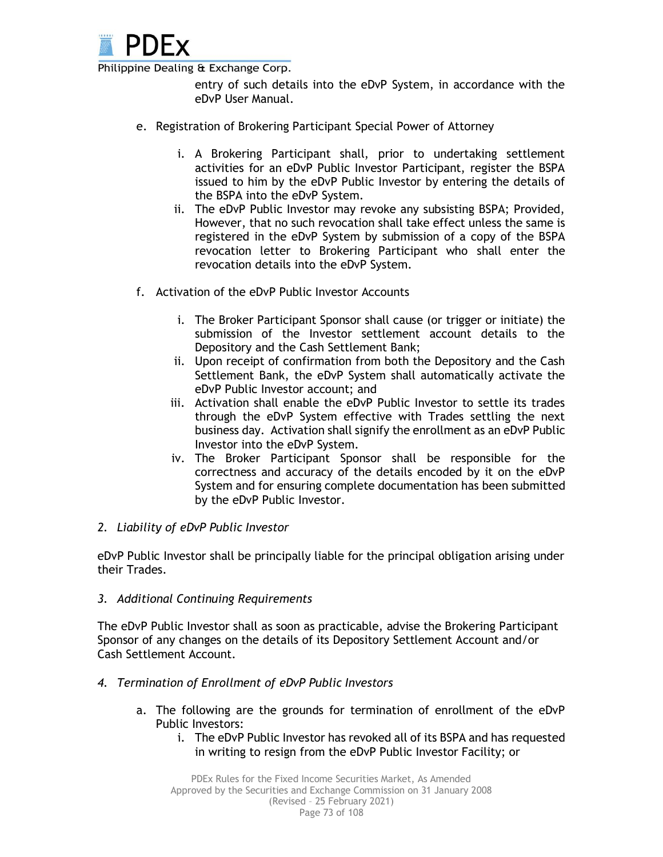

entry of such details into the eDvP System, in accordance with the eDvP User Manual.

- e. Registration of Brokering Participant Special Power of Attorney
	- i. A Brokering Participant shall, prior to undertaking settlement activities for an eDvP Public Investor Participant, register the BSPA issued to him by the eDvP Public Investor by entering the details of the BSPA into the eDvP System.
	- ii. The eDvP Public Investor may revoke any subsisting BSPA; Provided, However, that no such revocation shall take effect unless the same is registered in the eDvP System by submission of a copy of the BSPA revocation letter to Brokering Participant who shall enter the revocation details into the eDvP System.
- f. Activation of the eDvP Public Investor Accounts
	- i. The Broker Participant Sponsor shall cause (or trigger or initiate) the submission of the Investor settlement account details to the Depository and the Cash Settlement Bank;
	- ii. Upon receipt of confirmation from both the Depository and the Cash Settlement Bank, the eDvP System shall automatically activate the eDvP Public Investor account; and
	- iii. Activation shall enable the eDvP Public Investor to settle its trades through the eDvP System effective with Trades settling the next business day. Activation shall signify the enrollment as an eDvP Public Investor into the eDvP System.
	- iv. The Broker Participant Sponsor shall be responsible for the correctness and accuracy of the details encoded by it on the eDvP System and for ensuring complete documentation has been submitted by the eDvP Public Investor.

#### *2. Liability of eDvP Public Investor*

eDvP Public Investor shall be principally liable for the principal obligation arising under their Trades.

#### *3. Additional Continuing Requirements*

The eDvP Public Investor shall as soon as practicable, advise the Brokering Participant Sponsor of any changes on the details of its Depository Settlement Account and/or Cash Settlement Account.

- *4. Termination of Enrollment of eDvP Public Investors* 
	- a. The following are the grounds for termination of enrollment of the eDvP Public Investors:
		- i. The eDvP Public Investor has revoked all of its BSPA and has requested in writing to resign from the eDvP Public Investor Facility; or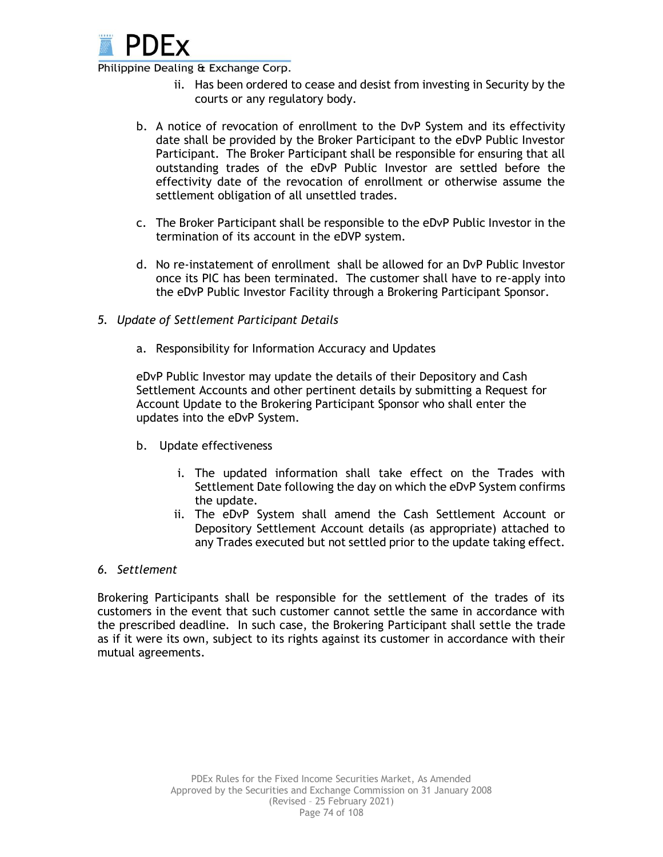

- ii. Has been ordered to cease and desist from investing in Security by the courts or any regulatory body.
- b. A notice of revocation of enrollment to the DvP System and its effectivity date shall be provided by the Broker Participant to the eDvP Public Investor Participant. The Broker Participant shall be responsible for ensuring that all outstanding trades of the eDvP Public Investor are settled before the effectivity date of the revocation of enrollment or otherwise assume the settlement obligation of all unsettled trades.
- c. The Broker Participant shall be responsible to the eDvP Public Investor in the termination of its account in the eDVP system.
- d. No re-instatement of enrollment shall be allowed for an DvP Public Investor once its PIC has been terminated. The customer shall have to re-apply into the eDvP Public Investor Facility through a Brokering Participant Sponsor.
- *5. Update of Settlement Participant Details*
	- a. Responsibility for Information Accuracy and Updates

eDvP Public Investor may update the details of their Depository and Cash Settlement Accounts and other pertinent details by submitting a Request for Account Update to the Brokering Participant Sponsor who shall enter the updates into the eDvP System.

- b. Update effectiveness
	- i. The updated information shall take effect on the Trades with Settlement Date following the day on which the eDvP System confirms the update.
	- ii. The eDvP System shall amend the Cash Settlement Account or Depository Settlement Account details (as appropriate) attached to any Trades executed but not settled prior to the update taking effect.

#### *6. Settlement*

Brokering Participants shall be responsible for the settlement of the trades of its customers in the event that such customer cannot settle the same in accordance with the prescribed deadline. In such case, the Brokering Participant shall settle the trade as if it were its own, subject to its rights against its customer in accordance with their mutual agreements.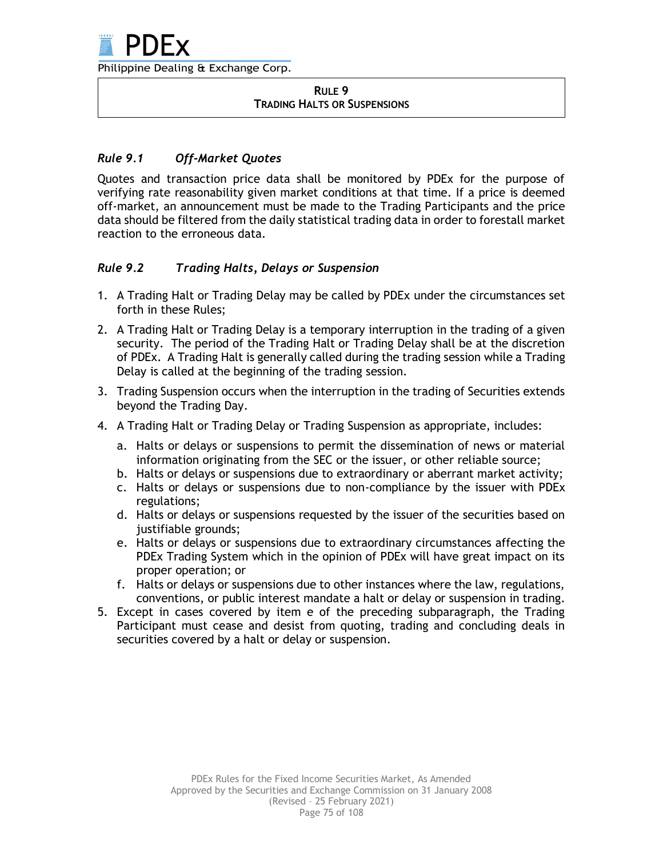#### **RULE 9 TRADING HALTS OR SUSPENSIONS**

# *Rule 9.1 Off-Market Quotes*

Quotes and transaction price data shall be monitored by PDEx for the purpose of verifying rate reasonability given market conditions at that time. If a price is deemed off-market, an announcement must be made to the Trading Participants and the price data should be filtered from the daily statistical trading data in order to forestall market reaction to the erroneous data.

# *Rule 9.2 Trading Halts, Delays or Suspension*

- 1. A Trading Halt or Trading Delay may be called by PDEx under the circumstances set forth in these Rules;
- 2. A Trading Halt or Trading Delay is a temporary interruption in the trading of a given security. The period of the Trading Halt or Trading Delay shall be at the discretion of PDEx. A Trading Halt is generally called during the trading session while a Trading Delay is called at the beginning of the trading session.
- 3. Trading Suspension occurs when the interruption in the trading of Securities extends beyond the Trading Day.
- 4. A Trading Halt or Trading Delay or Trading Suspension as appropriate, includes:
	- a. Halts or delays or suspensions to permit the dissemination of news or material information originating from the SEC or the issuer, or other reliable source;
	- b. Halts or delays or suspensions due to extraordinary or aberrant market activity;
	- c. Halts or delays or suspensions due to non-compliance by the issuer with PDEx regulations;
	- d. Halts or delays or suspensions requested by the issuer of the securities based on justifiable grounds;
	- e. Halts or delays or suspensions due to extraordinary circumstances affecting the PDEx Trading System which in the opinion of PDEx will have great impact on its proper operation; or
	- f. Halts or delays or suspensions due to other instances where the law, regulations, conventions, or public interest mandate a halt or delay or suspension in trading.
- 5. Except in cases covered by item e of the preceding subparagraph, the Trading Participant must cease and desist from quoting, trading and concluding deals in securities covered by a halt or delay or suspension.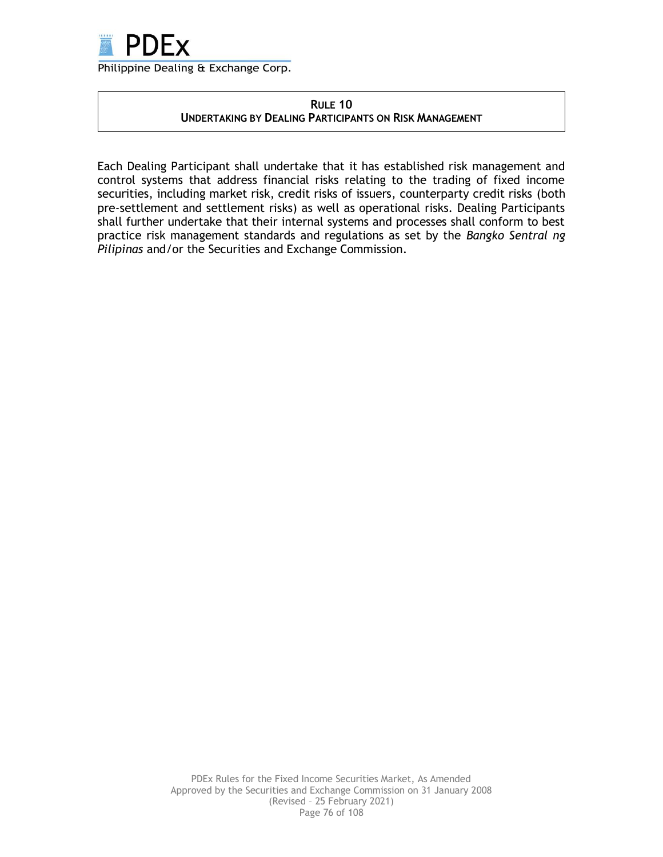

### **RULE 10 UNDERTAKING BY DEALING PARTICIPANTS ON RISK MANAGEMENT**

Each Dealing Participant shall undertake that it has established risk management and control systems that address financial risks relating to the trading of fixed income securities, including market risk, credit risks of issuers, counterparty credit risks (both pre-settlement and settlement risks) as well as operational risks. Dealing Participants shall further undertake that their internal systems and processes shall conform to best practice risk management standards and regulations as set by the *Bangko Sentral ng Pilipinas* and/or the Securities and Exchange Commission.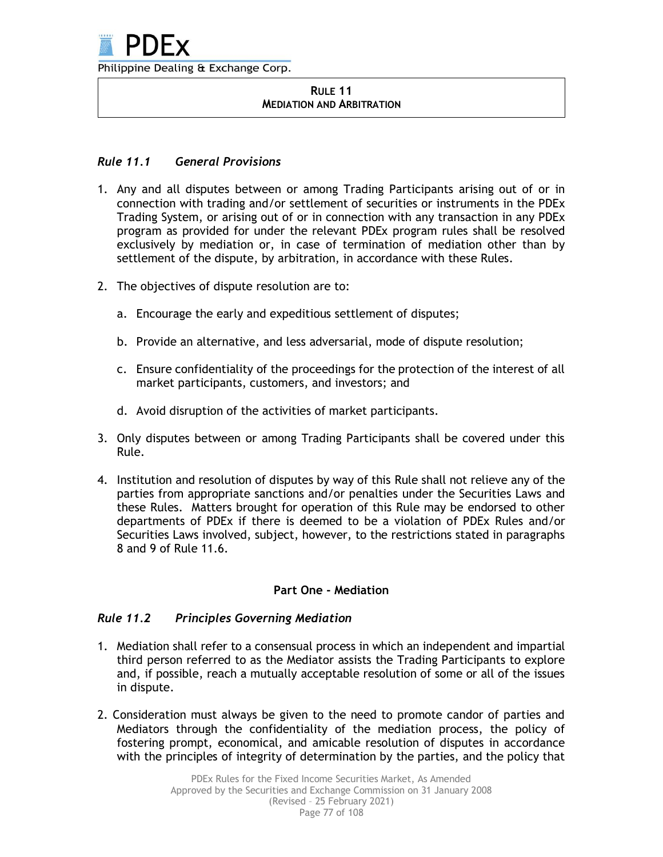

#### **RULE 11 MEDIATION AND ARBITRATION**

# *Rule 11.1 General Provisions*

- 1. Any and all disputes between or among Trading Participants arising out of or in connection with trading and/or settlement of securities or instruments in the PDEx Trading System, or arising out of or in connection with any transaction in any PDEx program as provided for under the relevant PDEx program rules shall be resolved exclusively by mediation or, in case of termination of mediation other than by settlement of the dispute, by arbitration, in accordance with these Rules.
- 2. The objectives of dispute resolution are to:
	- a. Encourage the early and expeditious settlement of disputes;
	- b. Provide an alternative, and less adversarial, mode of dispute resolution;
	- c. Ensure confidentiality of the proceedings for the protection of the interest of all market participants, customers, and investors; and
	- d. Avoid disruption of the activities of market participants.
- 3. Only disputes between or among Trading Participants shall be covered under this Rule.
- 4. Institution and resolution of disputes by way of this Rule shall not relieve any of the parties from appropriate sanctions and/or penalties under the Securities Laws and these Rules. Matters brought for operation of this Rule may be endorsed to other departments of PDEx if there is deemed to be a violation of PDEx Rules and/or Securities Laws involved, subject, however, to the restrictions stated in paragraphs 8 and 9 of Rule 11.6.

# **Part One - Mediation**

# *Rule 11.2 Principles Governing Mediation*

- 1. Mediation shall refer to a consensual process in which an independent and impartial third person referred to as the Mediator assists the Trading Participants to explore and, if possible, reach a mutually acceptable resolution of some or all of the issues in dispute.
- 2. Consideration must always be given to the need to promote candor of parties and Mediators through the confidentiality of the mediation process, the policy of fostering prompt, economical, and amicable resolution of disputes in accordance with the principles of integrity of determination by the parties, and the policy that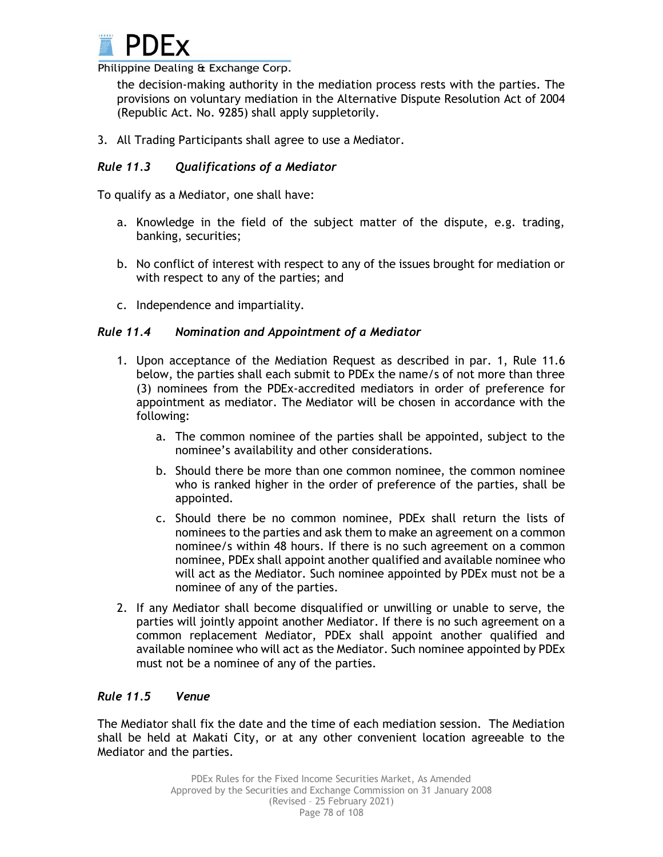

the decision-making authority in the mediation process rests with the parties. The provisions on voluntary mediation in the Alternative Dispute Resolution Act of 2004 (Republic Act. No. 9285) shall apply suppletorily.

3. All Trading Participants shall agree to use a Mediator.

# *Rule 11.3 Qualifications of a Mediator*

To qualify as a Mediator, one shall have:

- a. Knowledge in the field of the subject matter of the dispute, e.g. trading, banking, securities;
- b. No conflict of interest with respect to any of the issues brought for mediation or with respect to any of the parties; and
- c. Independence and impartiality.

# *Rule 11.4 Nomination and Appointment of a Mediator*

- 1. Upon acceptance of the Mediation Request as described in par. 1, Rule 11.6 below, the parties shall each submit to PDEx the name/s of not more than three (3) nominees from the PDEx-accredited mediators in order of preference for appointment as mediator. The Mediator will be chosen in accordance with the following:
	- a. The common nominee of the parties shall be appointed, subject to the nominee's availability and other considerations.
	- b. Should there be more than one common nominee, the common nominee who is ranked higher in the order of preference of the parties, shall be appointed.
	- c. Should there be no common nominee, PDEx shall return the lists of nominees to the parties and ask them to make an agreement on a common nominee/s within 48 hours. If there is no such agreement on a common nominee, PDEx shall appoint another qualified and available nominee who will act as the Mediator. Such nominee appointed by PDEx must not be a nominee of any of the parties.
- 2. If any Mediator shall become disqualified or unwilling or unable to serve, the parties will jointly appoint another Mediator. If there is no such agreement on a common replacement Mediator, PDEx shall appoint another qualified and available nominee who will act as the Mediator. Such nominee appointed by PDEx must not be a nominee of any of the parties.

# *Rule 11.5 Venue*

The Mediator shall fix the date and the time of each mediation session. The Mediation shall be held at Makati City, or at any other convenient location agreeable to the Mediator and the parties.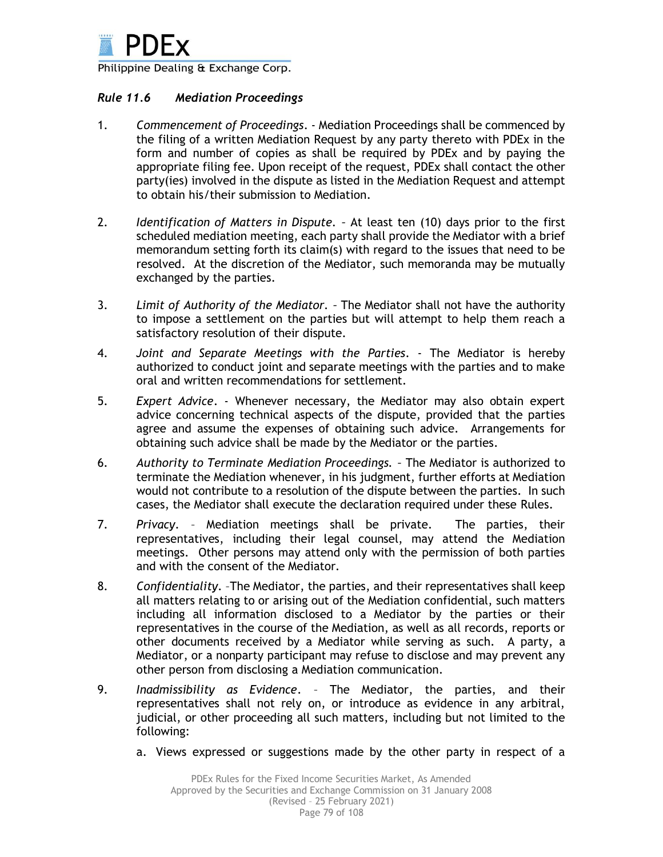

### *Rule 11.6 Mediation Proceedings*

- 1. *Commencement of Proceedings*. Mediation Proceedings shall be commenced by the filing of a written Mediation Request by any party thereto with PDEx in the form and number of copies as shall be required by PDEx and by paying the appropriate filing fee. Upon receipt of the request, PDEx shall contact the other party(ies) involved in the dispute as listed in the Mediation Request and attempt to obtain his/their submission to Mediation.
- 2. *Identification of Matters in Dispute. –* At least ten (10) days prior to the first scheduled mediation meeting, each party shall provide the Mediator with a brief memorandum setting forth its claim(s) with regard to the issues that need to be resolved. At the discretion of the Mediator, such memoranda may be mutually exchanged by the parties.
- 3. *Limit of Authority of the Mediator. –* The Mediator shall not have the authority to impose a settlement on the parties but will attempt to help them reach a satisfactory resolution of their dispute.
- 4. *Joint and Separate Meetings with the Parties*. The Mediator is hereby authorized to conduct joint and separate meetings with the parties and to make oral and written recommendations for settlement.
- 5. *Expert Advice*. Whenever necessary, the Mediator may also obtain expert advice concerning technical aspects of the dispute, provided that the parties agree and assume the expenses of obtaining such advice. Arrangements for obtaining such advice shall be made by the Mediator or the parties.
- 6. *Authority to Terminate Mediation Proceedings. –* The Mediator is authorized to terminate the Mediation whenever, in his judgment, further efforts at Mediation would not contribute to a resolution of the dispute between the parties. In such cases, the Mediator shall execute the declaration required under these Rules.
- 7. *Privacy*. Mediation meetings shall be private. The parties, their representatives, including their legal counsel, may attend the Mediation meetings. Other persons may attend only with the permission of both parties and with the consent of the Mediator.
- 8. *Confidentiality*. –The Mediator, the parties, and their representatives shall keep all matters relating to or arising out of the Mediation confidential, such matters including all information disclosed to a Mediator by the parties or their representatives in the course of the Mediation, as well as all records, reports or other documents received by a Mediator while serving as such. A party, a Mediator, or a nonparty participant may refuse to disclose and may prevent any other person from disclosing a Mediation communication.
- 9. *Inadmissibility as Evidence*. The Mediator, the parties, and their representatives shall not rely on, or introduce as evidence in any arbitral, judicial, or other proceeding all such matters, including but not limited to the following:
	- a. Views expressed or suggestions made by the other party in respect of a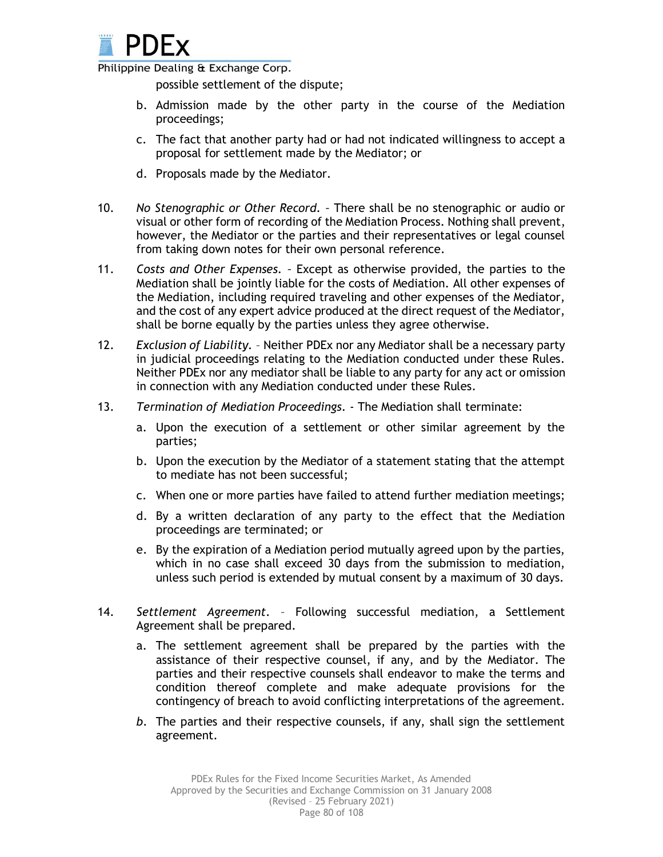

possible settlement of the dispute;

- b. Admission made by the other party in the course of the Mediation proceedings;
- c. The fact that another party had or had not indicated willingness to accept a proposal for settlement made by the Mediator; or
- d. Proposals made by the Mediator.
- 10. *No Stenographic or Other Record. –* There shall be no stenographic or audio or visual or other form of recording of the Mediation Process. Nothing shall prevent, however, the Mediator or the parties and their representatives or legal counsel from taking down notes for their own personal reference.
- 11. *Costs and Other Expenses. –* Except as otherwise provided, the parties to the Mediation shall be jointly liable for the costs of Mediation. All other expenses of the Mediation, including required traveling and other expenses of the Mediator, and the cost of any expert advice produced at the direct request of the Mediator, shall be borne equally by the parties unless they agree otherwise.
- 12. *Exclusion of Liability.* Neither PDEx nor any Mediator shall be a necessary party in judicial proceedings relating to the Mediation conducted under these Rules. Neither PDEx nor any mediator shall be liable to any party for any act or omission in connection with any Mediation conducted under these Rules.
- 13. *Termination of Mediation Proceedings.* The Mediation shall terminate:
	- a. Upon the execution of a settlement or other similar agreement by the parties;
	- b. Upon the execution by the Mediator of a statement stating that the attempt to mediate has not been successful;
	- c. When one or more parties have failed to attend further mediation meetings;
	- d. By a written declaration of any party to the effect that the Mediation proceedings are terminated; or
	- e. By the expiration of a Mediation period mutually agreed upon by the parties, which in no case shall exceed 30 days from the submission to mediation, unless such period is extended by mutual consent by a maximum of 30 days.
- 14. *Settlement Agreement*. Following successful mediation, a Settlement Agreement shall be prepared.
	- a. The settlement agreement shall be prepared by the parties with the assistance of their respective counsel, if any, and by the Mediator. The parties and their respective counsels shall endeavor to make the terms and condition thereof complete and make adequate provisions for the contingency of breach to avoid conflicting interpretations of the agreement.
	- *b.* The parties and their respective counsels, if any, shall sign the settlement agreement.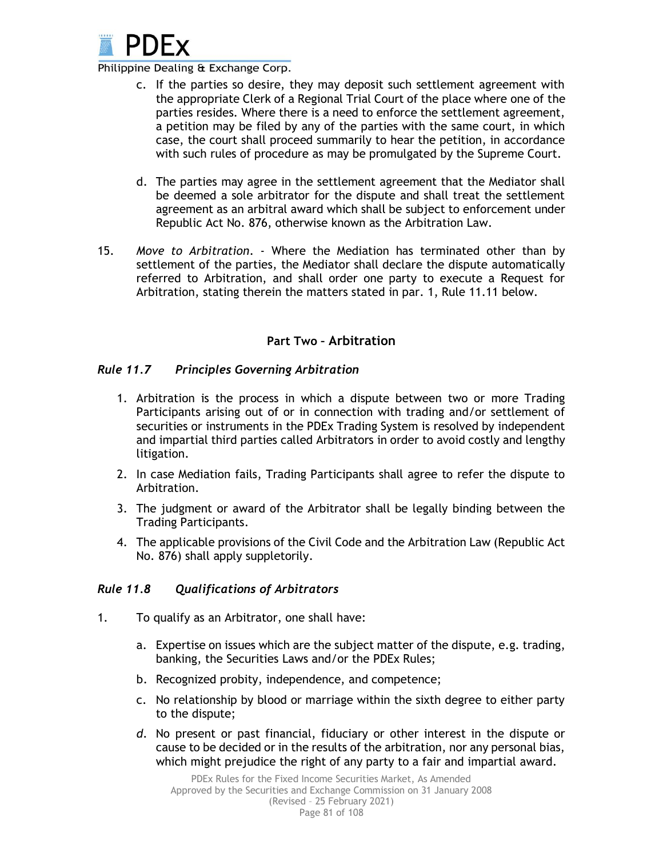

- c. If the parties so desire, they may deposit such settlement agreement with the appropriate Clerk of a Regional Trial Court of the place where one of the parties resides. Where there is a need to enforce the settlement agreement, a petition may be filed by any of the parties with the same court, in which case, the court shall proceed summarily to hear the petition, in accordance with such rules of procedure as may be promulgated by the Supreme Court.
- d. The parties may agree in the settlement agreement that the Mediator shall be deemed a sole arbitrator for the dispute and shall treat the settlement agreement as an arbitral award which shall be subject to enforcement under Republic Act No. 876, otherwise known as the Arbitration Law.
- 15. *Move to Arbitration*. Where the Mediation has terminated other than by settlement of the parties, the Mediator shall declare the dispute automatically referred to Arbitration, and shall order one party to execute a Request for Arbitration, stating therein the matters stated in par. 1, Rule 11.11 below.

# **Part Two – Arbitration**

# *Rule 11.7 Principles Governing Arbitration*

- 1. Arbitration is the process in which a dispute between two or more Trading Participants arising out of or in connection with trading and/or settlement of securities or instruments in the PDEx Trading System is resolved by independent and impartial third parties called Arbitrators in order to avoid costly and lengthy litigation.
- 2. In case Mediation fails, Trading Participants shall agree to refer the dispute to Arbitration.
- 3. The judgment or award of the Arbitrator shall be legally binding between the Trading Participants.
- 4. The applicable provisions of the Civil Code and the Arbitration Law (Republic Act No. 876) shall apply suppletorily.

#### *Rule 11.8 Qualifications of Arbitrators*

- 1. To qualify as an Arbitrator, one shall have:
	- a. Expertise on issues which are the subject matter of the dispute, e.g. trading, banking, the Securities Laws and/or the PDEx Rules;
	- b. Recognized probity, independence, and competence;
	- c. No relationship by blood or marriage within the sixth degree to either party to the dispute;
	- *d.* No present or past financial, fiduciary or other interest in the dispute or cause to be decided or in the results of the arbitration, nor any personal bias, which might prejudice the right of any party to a fair and impartial award.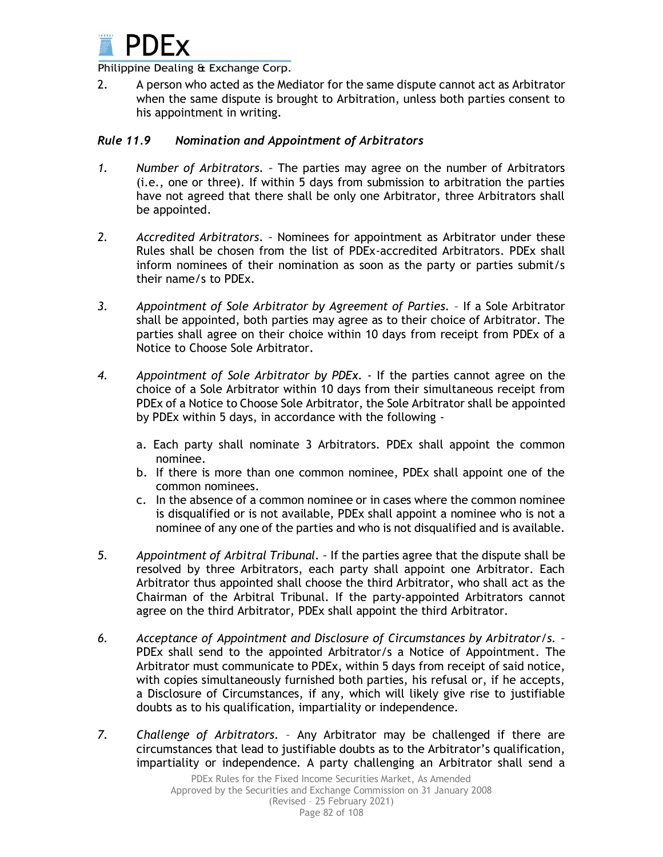

2. A person who acted as the Mediator for the same dispute cannot act as Arbitrator when the same dispute is brought to Arbitration, unless both parties consent to his appointment in writing.

### *Rule 11.9 Nomination and Appointment of Arbitrators*

- *1. Number of Arbitrators. –* The parties may agree on the number of Arbitrators (i.e., one or three). If within 5 days from submission to arbitration the parties have not agreed that there shall be only one Arbitrator, three Arbitrators shall be appointed.
- *2. Accredited Arbitrators. –* Nominees for appointment as Arbitrator under these Rules shall be chosen from the list of PDEx-accredited Arbitrators. PDEx shall inform nominees of their nomination as soon as the party or parties submit/s their name/s to PDEx.
- *3. Appointment of Sole Arbitrator by Agreement of Parties.* If a Sole Arbitrator shall be appointed, both parties may agree as to their choice of Arbitrator. The parties shall agree on their choice within 10 days from receipt from PDEx of a Notice to Choose Sole Arbitrator.
- *4. Appointment of Sole Arbitrator by PDEx.* If the parties cannot agree on the choice of a Sole Arbitrator within 10 days from their simultaneous receipt from PDEx of a Notice to Choose Sole Arbitrator, the Sole Arbitrator shall be appointed by PDEx within 5 days, in accordance with the following
	- a. Each party shall nominate 3 Arbitrators. PDEx shall appoint the common nominee.
	- b. If there is more than one common nominee, PDEx shall appoint one of the common nominees.
	- c. In the absence of a common nominee or in cases where the common nominee is disqualified or is not available, PDEx shall appoint a nominee who is not a nominee of any one of the parties and who is not disqualified and is available.
- *5. Appointment of Arbitral Tribunal. –* If the parties agree that the dispute shall be resolved by three Arbitrators, each party shall appoint one Arbitrator. Each Arbitrator thus appointed shall choose the third Arbitrator, who shall act as the Chairman of the Arbitral Tribunal. If the party-appointed Arbitrators cannot agree on the third Arbitrator, PDEx shall appoint the third Arbitrator.
- *6. Acceptance of Appointment and Disclosure of Circumstances by Arbitrator/s. –* PDEx shall send to the appointed Arbitrator/s a Notice of Appointment. The Arbitrator must communicate to PDEx, within 5 days from receipt of said notice, with copies simultaneously furnished both parties, his refusal or, if he accepts, a Disclosure of Circumstances, if any, which will likely give rise to justifiable doubts as to his qualification, impartiality or independence.
- *7. Challenge of Arbitrators.* Any Arbitrator may be challenged if there are circumstances that lead to justifiable doubts as to the Arbitrator's qualification, impartiality or independence. A party challenging an Arbitrator shall send a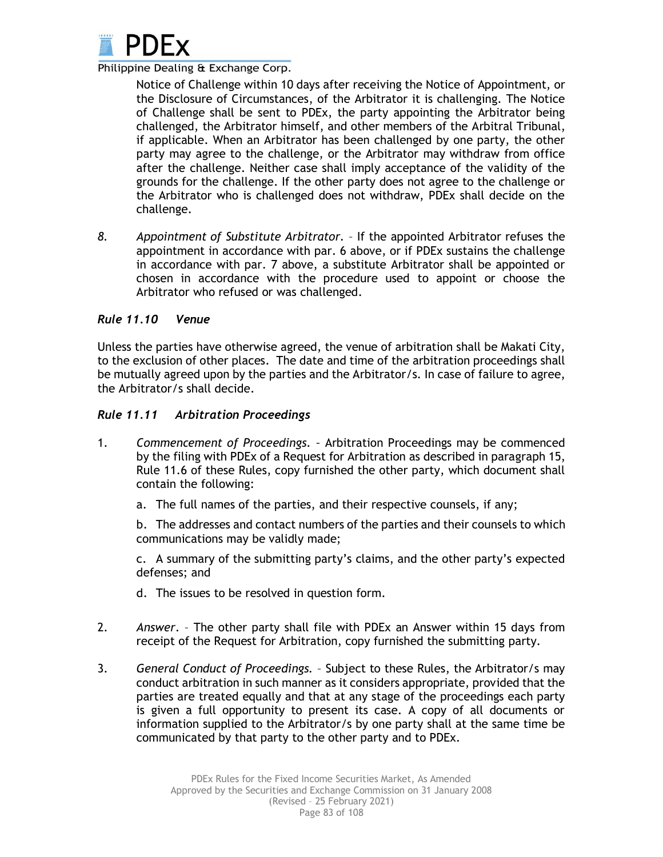

Notice of Challenge within 10 days after receiving the Notice of Appointment, or the Disclosure of Circumstances, of the Arbitrator it is challenging. The Notice of Challenge shall be sent to PDEx, the party appointing the Arbitrator being challenged, the Arbitrator himself, and other members of the Arbitral Tribunal, if applicable. When an Arbitrator has been challenged by one party, the other party may agree to the challenge, or the Arbitrator may withdraw from office after the challenge. Neither case shall imply acceptance of the validity of the grounds for the challenge. If the other party does not agree to the challenge or the Arbitrator who is challenged does not withdraw, PDEx shall decide on the challenge.

*8. Appointment of Substitute Arbitrator.* – If the appointed Arbitrator refuses the appointment in accordance with par. 6 above, or if PDEx sustains the challenge in accordance with par. 7 above, a substitute Arbitrator shall be appointed or chosen in accordance with the procedure used to appoint or choose the Arbitrator who refused or was challenged.

### *Rule 11.10 Venue*

Unless the parties have otherwise agreed, the venue of arbitration shall be Makati City, to the exclusion of other places. The date and time of the arbitration proceedings shall be mutually agreed upon by the parties and the Arbitrator/s. In case of failure to agree, the Arbitrator/s shall decide.

### *Rule 11.11 Arbitration Proceedings*

- 1. *Commencement of Proceedings. –* Arbitration Proceedings may be commenced by the filing with PDEx of a Request for Arbitration as described in paragraph 15, Rule 11.6 of these Rules, copy furnished the other party, which document shall contain the following:
	- a. The full names of the parties, and their respective counsels, if any;

b. The addresses and contact numbers of the parties and their counsels to which communications may be validly made;

c. A summary of the submitting party's claims, and the other party's expected defenses; and

- d. The issues to be resolved in question form.
- 2. *Answer*. The other party shall file with PDEx an Answer within 15 days from receipt of the Request for Arbitration, copy furnished the submitting party.
- 3. *General Conduct of Proceedings.* Subject to these Rules, the Arbitrator/s may conduct arbitration in such manner as it considers appropriate, provided that the parties are treated equally and that at any stage of the proceedings each party is given a full opportunity to present its case. A copy of all documents or information supplied to the Arbitrator/s by one party shall at the same time be communicated by that party to the other party and to PDEx.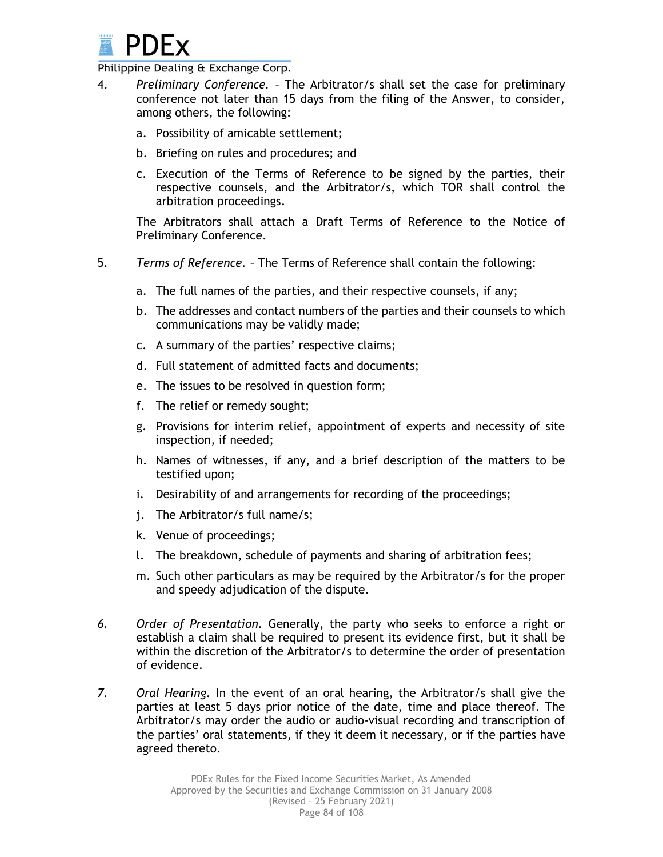

- 4. *Preliminary Conference. –* The Arbitrator/s shall set the case for preliminary conference not later than 15 days from the filing of the Answer, to consider, among others, the following:
	- a. Possibility of amicable settlement;
	- b. Briefing on rules and procedures; and
	- c. Execution of the Terms of Reference to be signed by the parties, their respective counsels, and the Arbitrator/s, which TOR shall control the arbitration proceedings.

The Arbitrators shall attach a Draft Terms of Reference to the Notice of Preliminary Conference.

- 5. *Terms of Reference. –* The Terms of Reference shall contain the following:
	- a. The full names of the parties, and their respective counsels, if any;
	- b. The addresses and contact numbers of the parties and their counsels to which communications may be validly made;
	- c. A summary of the parties' respective claims;
	- d. Full statement of admitted facts and documents;
	- e. The issues to be resolved in question form;
	- f. The relief or remedy sought;
	- g. Provisions for interim relief, appointment of experts and necessity of site inspection, if needed;
	- h. Names of witnesses, if any, and a brief description of the matters to be testified upon;
	- i. Desirability of and arrangements for recording of the proceedings;
	- j. The Arbitrator/s full name/s;
	- k. Venue of proceedings;
	- l. The breakdown, schedule of payments and sharing of arbitration fees;
	- m. Such other particulars as may be required by the Arbitrator/s for the proper and speedy adjudication of the dispute.
- *6. Order of Presentation.* Generally, the party who seeks to enforce a right or establish a claim shall be required to present its evidence first, but it shall be within the discretion of the Arbitrator/s to determine the order of presentation of evidence.
- *7. Oral Hearing.* In the event of an oral hearing, the Arbitrator/s shall give the parties at least 5 days prior notice of the date, time and place thereof. The Arbitrator/s may order the audio or audio-visual recording and transcription of the parties' oral statements, if they it deem it necessary, or if the parties have agreed thereto.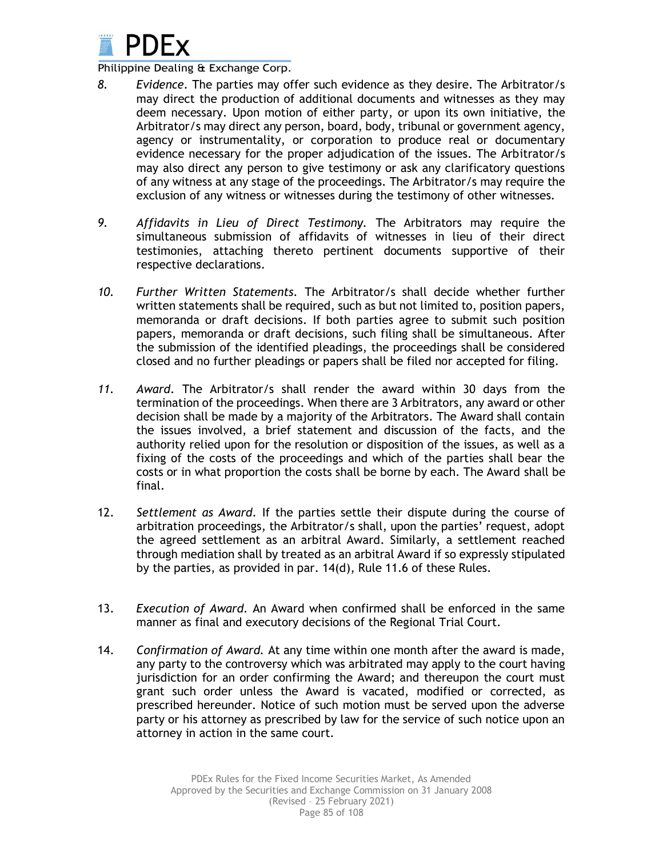

- *8. Evidence.* The parties may offer such evidence as they desire. The Arbitrator/s may direct the production of additional documents and witnesses as they may deem necessary. Upon motion of either party, or upon its own initiative, the Arbitrator/s may direct any person, board, body, tribunal or government agency, agency or instrumentality, or corporation to produce real or documentary evidence necessary for the proper adjudication of the issues. The Arbitrator/s may also direct any person to give testimony or ask any clarificatory questions of any witness at any stage of the proceedings. The Arbitrator/s may require the exclusion of any witness or witnesses during the testimony of other witnesses.
- *9. Affidavits in Lieu of Direct Testimony.* The Arbitrators may require the simultaneous submission of affidavits of witnesses in lieu of their direct testimonies, attaching thereto pertinent documents supportive of their respective declarations.
- *10. Further Written Statements.* The Arbitrator/s shall decide whether further written statements shall be required, such as but not limited to, position papers, memoranda or draft decisions. If both parties agree to submit such position papers, memoranda or draft decisions, such filing shall be simultaneous. After the submission of the identified pleadings, the proceedings shall be considered closed and no further pleadings or papers shall be filed nor accepted for filing.
- *11. Award.* The Arbitrator/s shall render the award within 30 days from the termination of the proceedings. When there are 3 Arbitrators, any award or other decision shall be made by a majority of the Arbitrators. The Award shall contain the issues involved, a brief statement and discussion of the facts, and the authority relied upon for the resolution or disposition of the issues, as well as a fixing of the costs of the proceedings and which of the parties shall bear the costs or in what proportion the costs shall be borne by each. The Award shall be final.
- 12. *Settlement as Award.* If the parties settle their dispute during the course of arbitration proceedings, the Arbitrator/s shall, upon the parties' request, adopt the agreed settlement as an arbitral Award. Similarly, a settlement reached through mediation shall by treated as an arbitral Award if so expressly stipulated by the parties, as provided in par. 14(d), Rule 11.6 of these Rules.
- 13. *Execution of Award.* An Award when confirmed shall be enforced in the same manner as final and executory decisions of the Regional Trial Court.
- 14. *Confirmation of Award.* At any time within one month after the award is made, any party to the controversy which was arbitrated may apply to the court having jurisdiction for an order confirming the Award; and thereupon the court must grant such order unless the Award is vacated, modified or corrected, as prescribed hereunder. Notice of such motion must be served upon the adverse party or his attorney as prescribed by law for the service of such notice upon an attorney in action in the same court.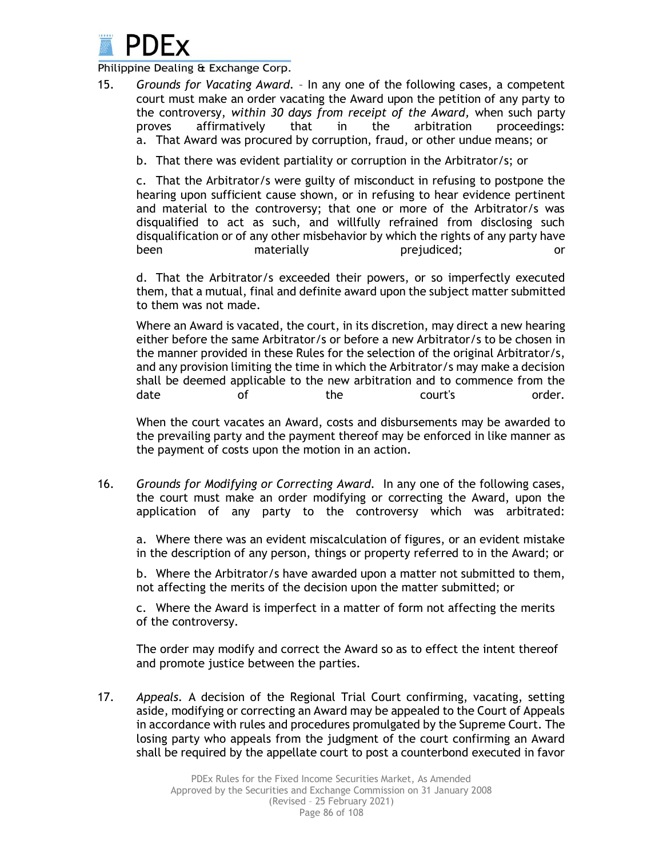

15. *Grounds for Vacating Award.* – In any one of the following cases, a competent court must make an order vacating the Award upon the petition of any party to the controversy, *within 30 days from receipt of the Award,* when such party proves affirmatively that in the arbitration proceedings: a. That Award was procured by corruption, fraud, or other undue means; or

b. That there was evident partiality or corruption in the Arbitrator/s; or

c. That the Arbitrator/s were guilty of misconduct in refusing to postpone the hearing upon sufficient cause shown, or in refusing to hear evidence pertinent and material to the controversy; that one or more of the Arbitrator/s was disqualified to act as such, and willfully refrained from disclosing such disqualification or of any other misbehavior by which the rights of any party have been materially prejudiced; been or

d. That the Arbitrator/s exceeded their powers, or so imperfectly executed them, that a mutual, final and definite award upon the subject matter submitted to them was not made.

Where an Award is vacated, the court, in its discretion, may direct a new hearing either before the same Arbitrator/s or before a new Arbitrator/s to be chosen in the manner provided in these Rules for the selection of the original Arbitrator/s, and any provision limiting the time in which the Arbitrator/s may make a decision shall be deemed applicable to the new arbitration and to commence from the date of the court's order.

When the court vacates an Award, costs and disbursements may be awarded to the prevailing party and the payment thereof may be enforced in like manner as the payment of costs upon the motion in an action.

16. *Grounds for Modifying or Correcting Award.* In any one of the following cases, the court must make an order modifying or correcting the Award, upon the application of any party to the controversy which was arbitrated:

a. Where there was an evident miscalculation of figures, or an evident mistake in the description of any person, things or property referred to in the Award; or

b. Where the Arbitrator/s have awarded upon a matter not submitted to them, not affecting the merits of the decision upon the matter submitted; or

c. Where the Award is imperfect in a matter of form not affecting the merits of the controversy.

The order may modify and correct the Award so as to effect the intent thereof and promote justice between the parties.

17. *Appeals.* A decision of the Regional Trial Court confirming, vacating, setting aside, modifying or correcting an Award may be appealed to the Court of Appeals in accordance with rules and procedures promulgated by the Supreme Court. The losing party who appeals from the judgment of the court confirming an Award shall be required by the appellate court to post a counterbond executed in favor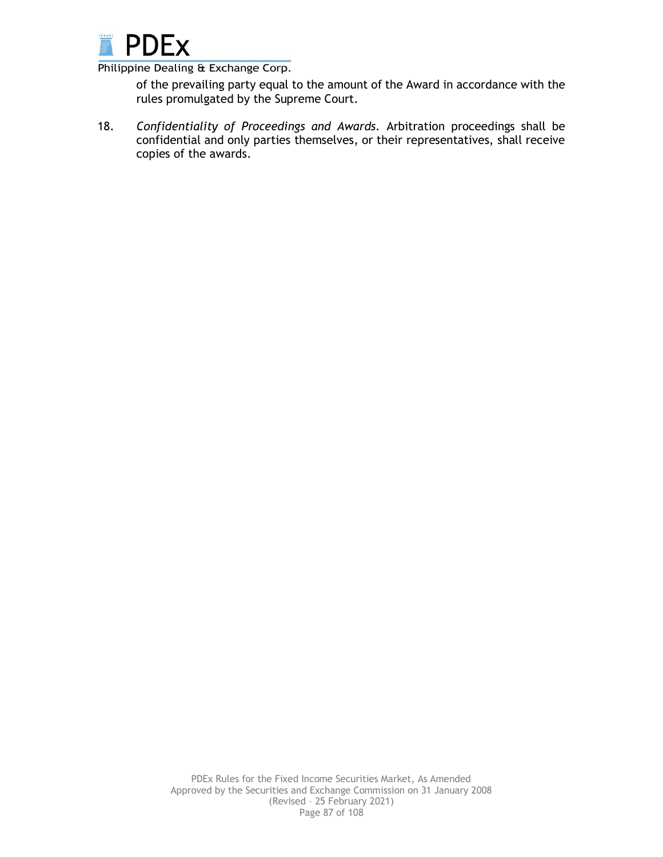

of the prevailing party equal to the amount of the Award in accordance with the rules promulgated by the Supreme Court.

18. *Confidentiality of Proceedings and Awards.* Arbitration proceedings shall be confidential and only parties themselves, or their representatives, shall receive copies of the awards.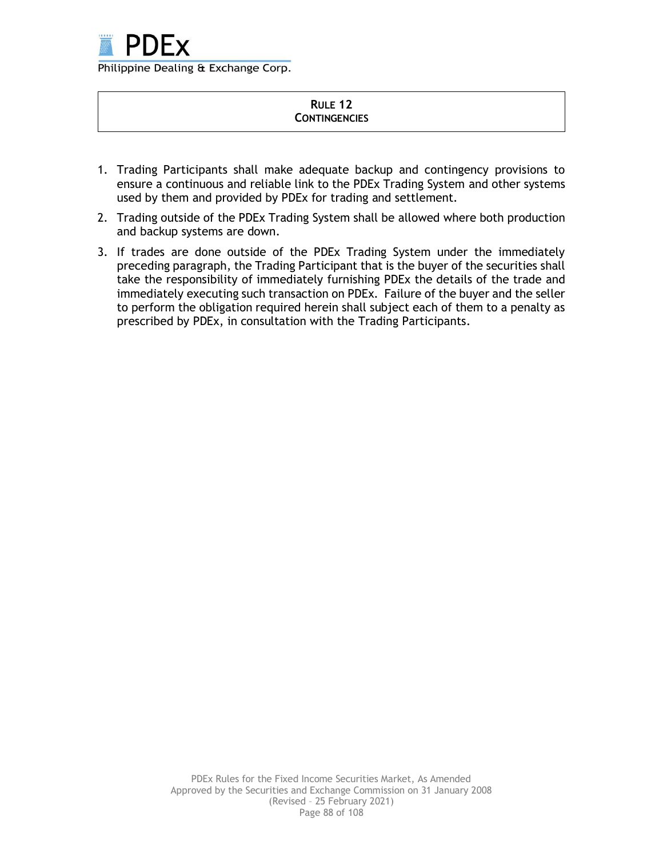

#### **RULE 12 CONTINGENCIES**

- 1. Trading Participants shall make adequate backup and contingency provisions to ensure a continuous and reliable link to the PDEx Trading System and other systems used by them and provided by PDEx for trading and settlement.
- 2. Trading outside of the PDEx Trading System shall be allowed where both production and backup systems are down.
- 3. If trades are done outside of the PDEx Trading System under the immediately preceding paragraph, the Trading Participant that is the buyer of the securities shall take the responsibility of immediately furnishing PDEx the details of the trade and immediately executing such transaction on PDEx. Failure of the buyer and the seller to perform the obligation required herein shall subject each of them to a penalty as prescribed by PDEx, in consultation with the Trading Participants.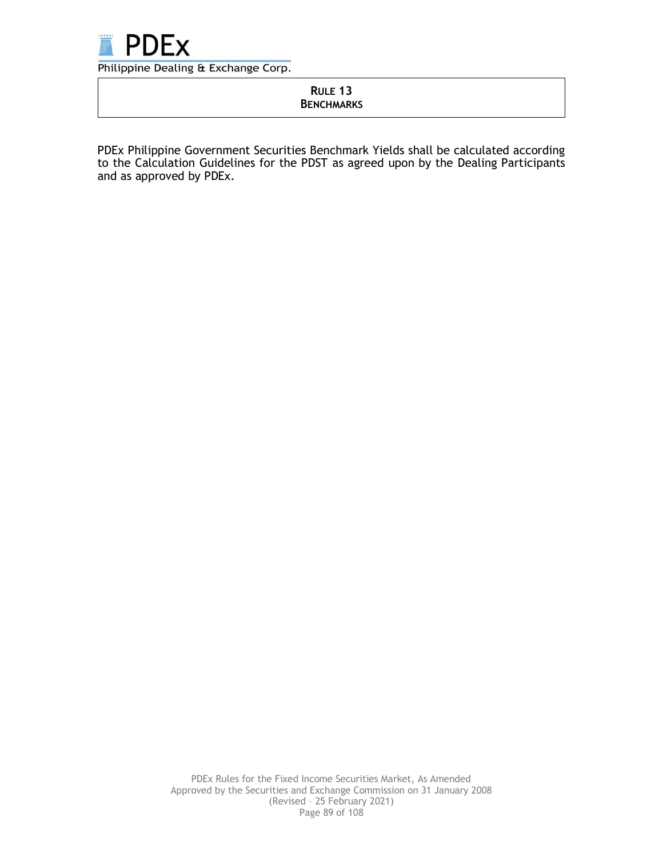

# **RULE 13 BENCHMARKS**

PDEx Philippine Government Securities Benchmark Yields shall be calculated according to the Calculation Guidelines for the PDST as agreed upon by the Dealing Participants and as approved by PDEx.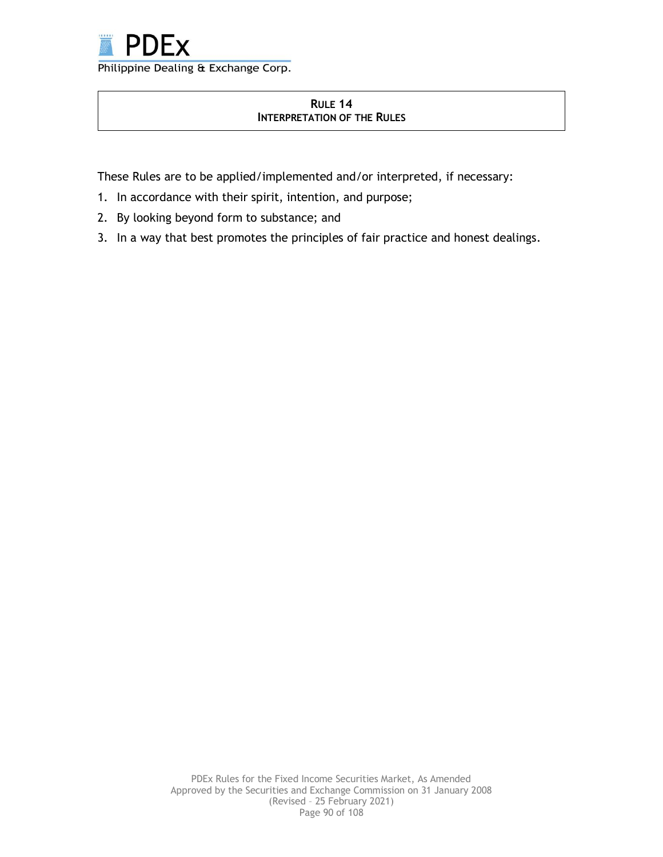

# **RULE 14 INTERPRETATION OF THE RULES**

These Rules are to be applied/implemented and/or interpreted, if necessary:

- 1. In accordance with their spirit, intention, and purpose;
- 2. By looking beyond form to substance; and
- 3. In a way that best promotes the principles of fair practice and honest dealings.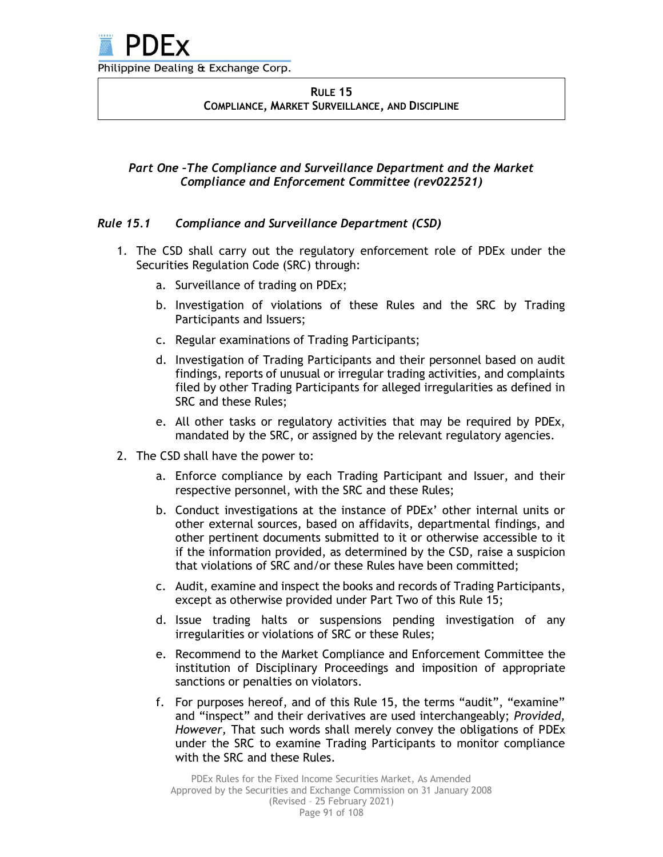### **RULE 15 COMPLIANCE, MARKET SURVEILLANCE, AND DISCIPLINE**

# *Part One –The Compliance and Surveillance Department and the Market Compliance and Enforcement Committee (rev022521)*

# *Rule 15.1 Compliance and Surveillance Department (CSD)*

- 1. The CSD shall carry out the regulatory enforcement role of PDEx under the Securities Regulation Code (SRC) through:
	- a. Surveillance of trading on PDEx;
	- b. Investigation of violations of these Rules and the SRC by Trading Participants and Issuers;
	- c. Regular examinations of Trading Participants;
	- d. Investigation of Trading Participants and their personnel based on audit findings, reports of unusual or irregular trading activities, and complaints filed by other Trading Participants for alleged irregularities as defined in SRC and these Rules;
	- e. All other tasks or regulatory activities that may be required by PDEx, mandated by the SRC, or assigned by the relevant regulatory agencies.
- 2. The CSD shall have the power to:
	- a. Enforce compliance by each Trading Participant and Issuer, and their respective personnel, with the SRC and these Rules;
	- b. Conduct investigations at the instance of PDEx' other internal units or other external sources, based on affidavits, departmental findings, and other pertinent documents submitted to it or otherwise accessible to it if the information provided, as determined by the CSD, raise a suspicion that violations of SRC and/or these Rules have been committed;
	- c. Audit, examine and inspect the books and records of Trading Participants, except as otherwise provided under Part Two of this Rule 15;
	- d. Issue trading halts or suspensions pending investigation of any irregularities or violations of SRC or these Rules;
	- e. Recommend to the Market Compliance and Enforcement Committee the institution of Disciplinary Proceedings and imposition of appropriate sanctions or penalties on violators.
	- f. For purposes hereof, and of this Rule 15, the terms "audit", "examine" and "inspect" and their derivatives are used interchangeably; *Provided, However,* That such words shall merely convey the obligations of PDEx under the SRC to examine Trading Participants to monitor compliance with the SRC and these Rules.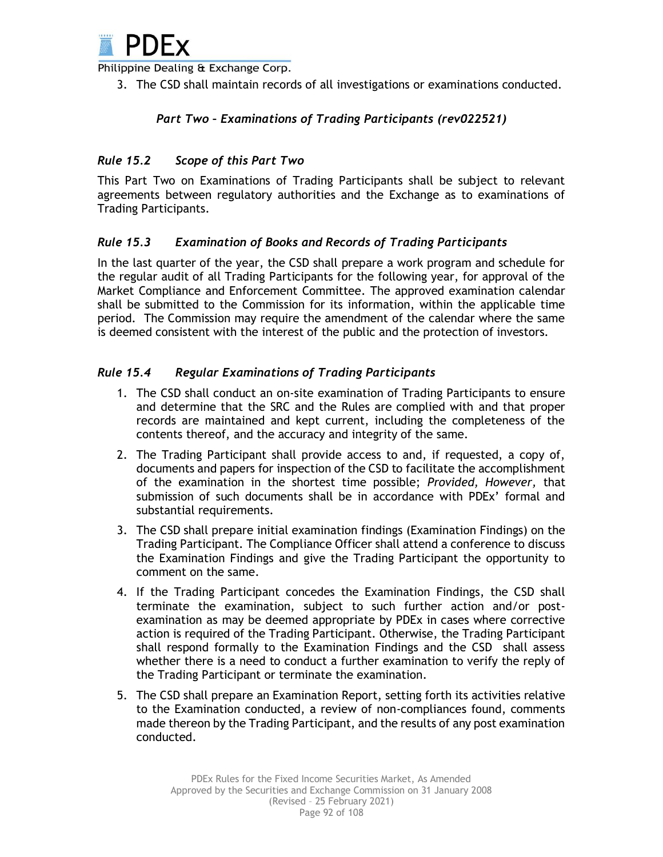

3. The CSD shall maintain records of all investigations or examinations conducted.

# *Part Two – Examinations of Trading Participants (rev022521)*

# *Rule 15.2 Scope of this Part Two*

This Part Two on Examinations of Trading Participants shall be subject to relevant agreements between regulatory authorities and the Exchange as to examinations of Trading Participants.

### *Rule 15.3 Examination of Books and Records of Trading Participants*

In the last quarter of the year, the CSD shall prepare a work program and schedule for the regular audit of all Trading Participants for the following year, for approval of the Market Compliance and Enforcement Committee. The approved examination calendar shall be submitted to the Commission for its information, within the applicable time period. The Commission may require the amendment of the calendar where the same is deemed consistent with the interest of the public and the protection of investors.

### *Rule 15.4 Regular Examinations of Trading Participants*

- 1. The CSD shall conduct an on-site examination of Trading Participants to ensure and determine that the SRC and the Rules are complied with and that proper records are maintained and kept current, including the completeness of the contents thereof, and the accuracy and integrity of the same.
- 2. The Trading Participant shall provide access to and, if requested, a copy of, documents and papers for inspection of the CSD to facilitate the accomplishment of the examination in the shortest time possible; *Provided, However,* that submission of such documents shall be in accordance with PDEx' formal and substantial requirements.
- 3. The CSD shall prepare initial examination findings (Examination Findings) on the Trading Participant. The Compliance Officer shall attend a conference to discuss the Examination Findings and give the Trading Participant the opportunity to comment on the same.
- 4. If the Trading Participant concedes the Examination Findings, the CSD shall terminate the examination, subject to such further action and/or postexamination as may be deemed appropriate by PDEx in cases where corrective action is required of the Trading Participant. Otherwise, the Trading Participant shall respond formally to the Examination Findings and the CSD shall assess whether there is a need to conduct a further examination to verify the reply of the Trading Participant or terminate the examination.
- 5. The CSD shall prepare an Examination Report, setting forth its activities relative to the Examination conducted, a review of non-compliances found, comments made thereon by the Trading Participant, and the results of any post examination conducted.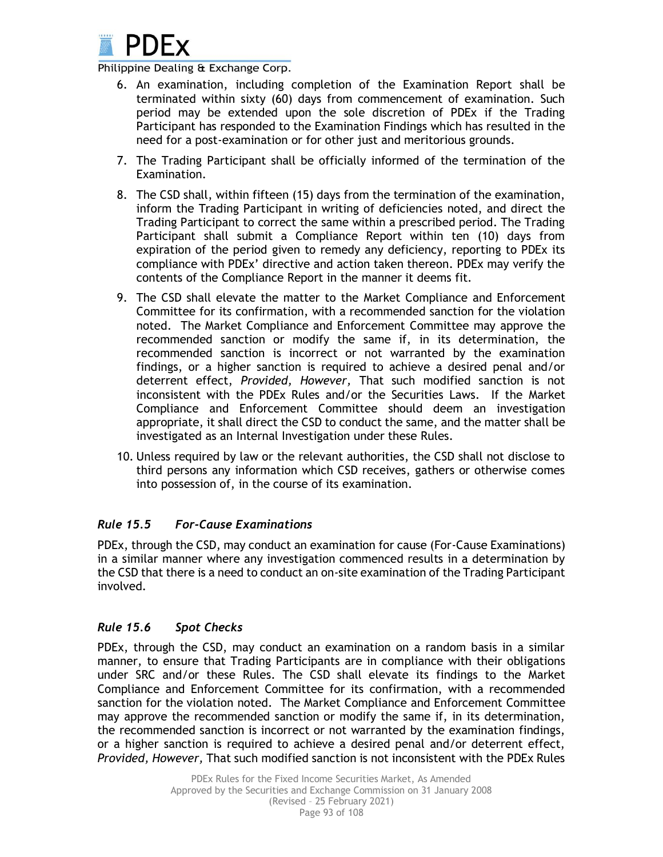

- 6. An examination, including completion of the Examination Report shall be terminated within sixty (60) days from commencement of examination. Such period may be extended upon the sole discretion of PDEx if the Trading Participant has responded to the Examination Findings which has resulted in the need for a post-examination or for other just and meritorious grounds.
- 7. The Trading Participant shall be officially informed of the termination of the Examination.
- 8. The CSD shall, within fifteen (15) days from the termination of the examination, inform the Trading Participant in writing of deficiencies noted, and direct the Trading Participant to correct the same within a prescribed period. The Trading Participant shall submit a Compliance Report within ten (10) days from expiration of the period given to remedy any deficiency, reporting to PDEx its compliance with PDEx' directive and action taken thereon. PDEx may verify the contents of the Compliance Report in the manner it deems fit.
- 9. The CSD shall elevate the matter to the Market Compliance and Enforcement Committee for its confirmation, with a recommended sanction for the violation noted. The Market Compliance and Enforcement Committee may approve the recommended sanction or modify the same if, in its determination, the recommended sanction is incorrect or not warranted by the examination findings, or a higher sanction is required to achieve a desired penal and/or deterrent effect, *Provided, However,* That such modified sanction is not inconsistent with the PDEx Rules and/or the Securities Laws. If the Market Compliance and Enforcement Committee should deem an investigation appropriate, it shall direct the CSD to conduct the same, and the matter shall be investigated as an Internal Investigation under these Rules.
- 10. Unless required by law or the relevant authorities, the CSD shall not disclose to third persons any information which CSD receives, gathers or otherwise comes into possession of, in the course of its examination.

# *Rule 15.5 For-Cause Examinations*

PDEx, through the CSD, may conduct an examination for cause (For-Cause Examinations) in a similar manner where any investigation commenced results in a determination by the CSD that there is a need to conduct an on-site examination of the Trading Participant involved.

# *Rule 15.6 Spot Checks*

PDEx, through the CSD, may conduct an examination on a random basis in a similar manner, to ensure that Trading Participants are in compliance with their obligations under SRC and/or these Rules. The CSD shall elevate its findings to the Market Compliance and Enforcement Committee for its confirmation, with a recommended sanction for the violation noted. The Market Compliance and Enforcement Committee may approve the recommended sanction or modify the same if, in its determination, the recommended sanction is incorrect or not warranted by the examination findings, or a higher sanction is required to achieve a desired penal and/or deterrent effect, *Provided, However,* That such modified sanction is not inconsistent with the PDEx Rules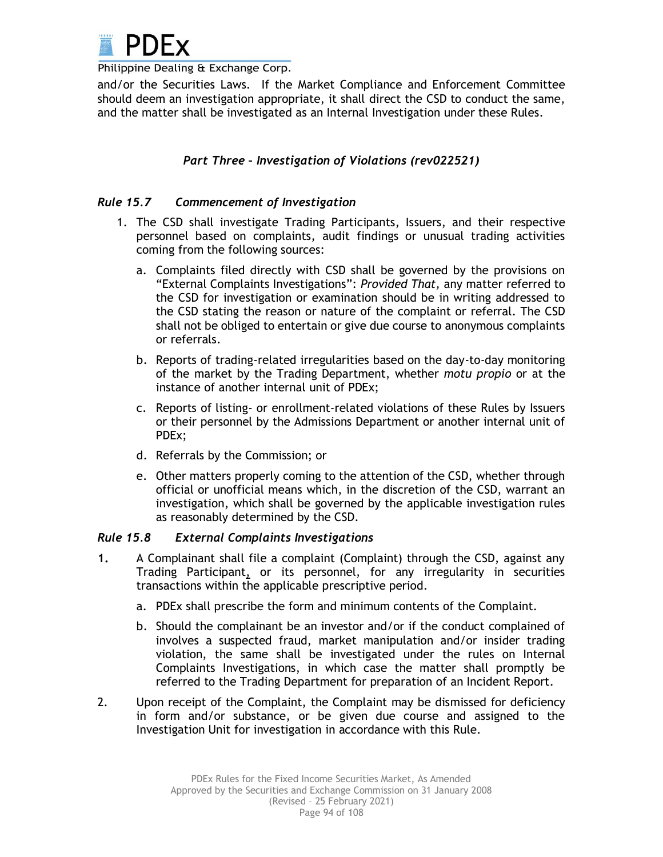

and/or the Securities Laws. If the Market Compliance and Enforcement Committee should deem an investigation appropriate, it shall direct the CSD to conduct the same, and the matter shall be investigated as an Internal Investigation under these Rules.

# *Part Three – Investigation of Violations (rev022521)*

### *Rule 15.7 Commencement of Investigation*

- 1. The CSD shall investigate Trading Participants, Issuers, and their respective personnel based on complaints, audit findings or unusual trading activities coming from the following sources:
	- a. Complaints filed directly with CSD shall be governed by the provisions on "External Complaints Investigations": *Provided That,* any matter referred to the CSD for investigation or examination should be in writing addressed to the CSD stating the reason or nature of the complaint or referral. The CSD shall not be obliged to entertain or give due course to anonymous complaints or referrals.
	- b. Reports of trading-related irregularities based on the day-to-day monitoring of the market by the Trading Department, whether *motu propio* or at the instance of another internal unit of PDEx;
	- c. Reports of listing- or enrollment-related violations of these Rules by Issuers or their personnel by the Admissions Department or another internal unit of PDEx;
	- d. Referrals by the Commission; or
	- e. Other matters properly coming to the attention of the CSD, whether through official or unofficial means which, in the discretion of the CSD, warrant an investigation, which shall be governed by the applicable investigation rules as reasonably determined by the CSD.

#### *Rule 15.8 External Complaints Investigations*

- **1.** A Complainant shall file a complaint (Complaint) through the CSD, against any Trading Participant, or its personnel, for any irregularity in securities transactions within the applicable prescriptive period.
	- a. PDEx shall prescribe the form and minimum contents of the Complaint.
	- b. Should the complainant be an investor and/or if the conduct complained of involves a suspected fraud, market manipulation and/or insider trading violation, the same shall be investigated under the rules on Internal Complaints Investigations, in which case the matter shall promptly be referred to the Trading Department for preparation of an Incident Report.
- 2. Upon receipt of the Complaint, the Complaint may be dismissed for deficiency in form and/or substance, or be given due course and assigned to the Investigation Unit for investigation in accordance with this Rule.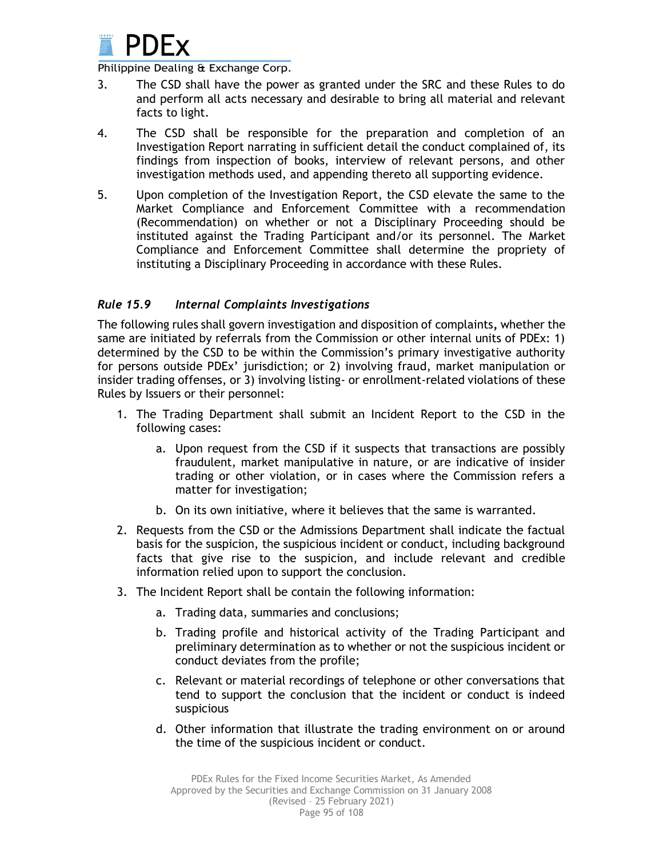

- 3. The CSD shall have the power as granted under the SRC and these Rules to do and perform all acts necessary and desirable to bring all material and relevant facts to light.
- 4. The CSD shall be responsible for the preparation and completion of an Investigation Report narrating in sufficient detail the conduct complained of, its findings from inspection of books, interview of relevant persons, and other investigation methods used, and appending thereto all supporting evidence.
- 5. Upon completion of the Investigation Report, the CSD elevate the same to the Market Compliance and Enforcement Committee with a recommendation (Recommendation) on whether or not a Disciplinary Proceeding should be instituted against the Trading Participant and/or its personnel. The Market Compliance and Enforcement Committee shall determine the propriety of instituting a Disciplinary Proceeding in accordance with these Rules.

# *Rule 15.9 Internal Complaints Investigations*

The following rules shall govern investigation and disposition of complaints**,** whether the same are initiated by referrals from the Commission or other internal units of PDEx: 1) determined by the CSD to be within the Commission's primary investigative authority for persons outside PDEx' jurisdiction; or 2) involving fraud, market manipulation or insider trading offenses, or 3) involving listing- or enrollment-related violations of these Rules by Issuers or their personnel:

- 1. The Trading Department shall submit an Incident Report to the CSD in the following cases:
	- a. Upon request from the CSD if it suspects that transactions are possibly fraudulent, market manipulative in nature, or are indicative of insider trading or other violation, or in cases where the Commission refers a matter for investigation;
	- b. On its own initiative, where it believes that the same is warranted.
- 2. Requests from the CSD or the Admissions Department shall indicate the factual basis for the suspicion, the suspicious incident or conduct, including background facts that give rise to the suspicion, and include relevant and credible information relied upon to support the conclusion.
- 3. The Incident Report shall be contain the following information:
	- a. Trading data, summaries and conclusions;
	- b. Trading profile and historical activity of the Trading Participant and preliminary determination as to whether or not the suspicious incident or conduct deviates from the profile;
	- c. Relevant or material recordings of telephone or other conversations that tend to support the conclusion that the incident or conduct is indeed suspicious
	- d. Other information that illustrate the trading environment on or around the time of the suspicious incident or conduct.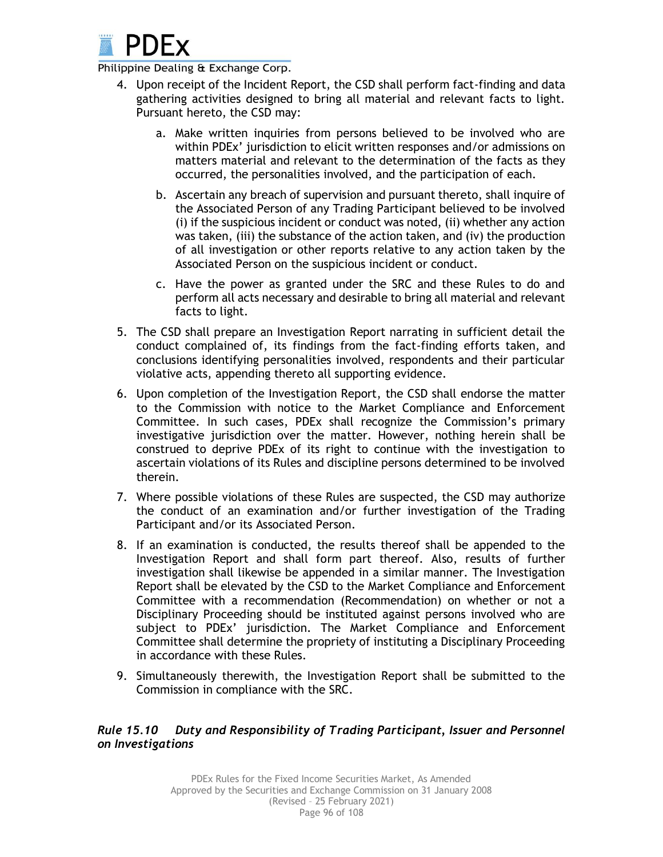

- 4. Upon receipt of the Incident Report, the CSD shall perform fact-finding and data gathering activities designed to bring all material and relevant facts to light. Pursuant hereto, the CSD may:
	- a. Make written inquiries from persons believed to be involved who are within PDEx' jurisdiction to elicit written responses and/or admissions on matters material and relevant to the determination of the facts as they occurred, the personalities involved, and the participation of each.
	- b. Ascertain any breach of supervision and pursuant thereto, shall inquire of the Associated Person of any Trading Participant believed to be involved (i) if the suspicious incident or conduct was noted, (ii) whether any action was taken, (iii) the substance of the action taken, and (iv) the production of all investigation or other reports relative to any action taken by the Associated Person on the suspicious incident or conduct.
	- c. Have the power as granted under the SRC and these Rules to do and perform all acts necessary and desirable to bring all material and relevant facts to light.
- 5. The CSD shall prepare an Investigation Report narrating in sufficient detail the conduct complained of, its findings from the fact-finding efforts taken, and conclusions identifying personalities involved, respondents and their particular violative acts, appending thereto all supporting evidence.
- 6. Upon completion of the Investigation Report, the CSD shall endorse the matter to the Commission with notice to the Market Compliance and Enforcement Committee. In such cases, PDEx shall recognize the Commission's primary investigative jurisdiction over the matter. However, nothing herein shall be construed to deprive PDEx of its right to continue with the investigation to ascertain violations of its Rules and discipline persons determined to be involved therein.
- 7. Where possible violations of these Rules are suspected, the CSD may authorize the conduct of an examination and/or further investigation of the Trading Participant and/or its Associated Person.
- 8. If an examination is conducted, the results thereof shall be appended to the Investigation Report and shall form part thereof. Also, results of further investigation shall likewise be appended in a similar manner. The Investigation Report shall be elevated by the CSD to the Market Compliance and Enforcement Committee with a recommendation (Recommendation) on whether or not a Disciplinary Proceeding should be instituted against persons involved who are subject to PDEx' jurisdiction. The Market Compliance and Enforcement Committee shall determine the propriety of instituting a Disciplinary Proceeding in accordance with these Rules.
- 9. Simultaneously therewith, the Investigation Report shall be submitted to the Commission in compliance with the SRC.

# *Rule 15.10 Duty and Responsibility of Trading Participant, Issuer and Personnel on Investigations*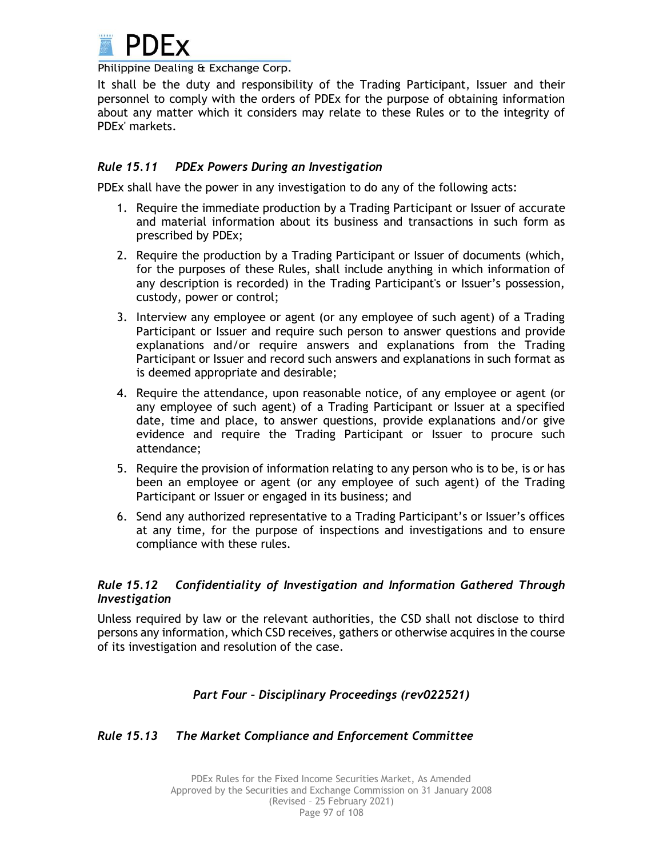

It shall be the duty and responsibility of the Trading Participant, Issuer and their personnel to comply with the orders of PDEx for the purpose of obtaining information about any matter which it considers may relate to these Rules or to the integrity of PDEx' markets.

# *Rule 15.11 PDEx Powers During an Investigation*

PDEx shall have the power in any investigation to do any of the following acts:

- 1. Require the immediate production by a Trading Participant or Issuer of accurate and material information about its business and transactions in such form as prescribed by PDEx;
- 2. Require the production by a Trading Participant or Issuer of documents (which, for the purposes of these Rules, shall include anything in which information of any description is recorded) in the Trading Participant's or Issuer's possession, custody, power or control;
- 3. Interview any employee or agent (or any employee of such agent) of a Trading Participant or Issuer and require such person to answer questions and provide explanations and/or require answers and explanations from the Trading Participant or Issuer and record such answers and explanations in such format as is deemed appropriate and desirable;
- 4. Require the attendance, upon reasonable notice, of any employee or agent (or any employee of such agent) of a Trading Participant or Issuer at a specified date, time and place, to answer questions, provide explanations and/or give evidence and require the Trading Participant or Issuer to procure such attendance;
- 5. Require the provision of information relating to any person who is to be, is or has been an employee or agent (or any employee of such agent) of the Trading Participant or Issuer or engaged in its business; and
- 6. Send any authorized representative to a Trading Participant's or Issuer's offices at any time, for the purpose of inspections and investigations and to ensure compliance with these rules.

# *Rule 15.12 Confidentiality of Investigation and Information Gathered Through Investigation*

Unless required by law or the relevant authorities, the CSD shall not disclose to third persons any information, which CSD receives, gathers or otherwise acquires in the course of its investigation and resolution of the case.

# *Part Four – Disciplinary Proceedings (rev022521)*

# *Rule 15.13 The Market Compliance and Enforcement Committee*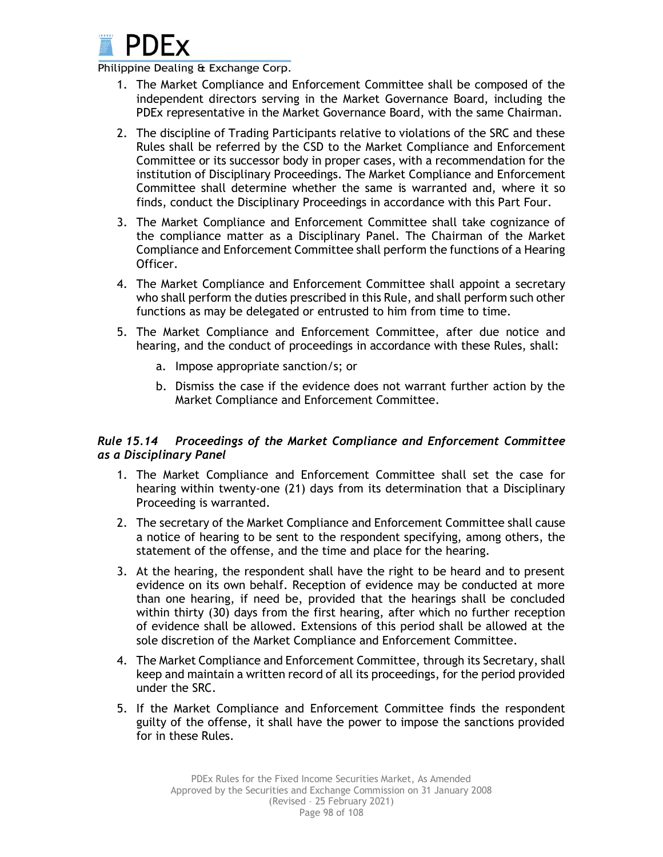

- 1. The Market Compliance and Enforcement Committee shall be composed of the independent directors serving in the Market Governance Board, including the PDEx representative in the Market Governance Board, with the same Chairman.
- 2. The discipline of Trading Participants relative to violations of the SRC and these Rules shall be referred by the CSD to the Market Compliance and Enforcement Committee or its successor body in proper cases, with a recommendation for the institution of Disciplinary Proceedings. The Market Compliance and Enforcement Committee shall determine whether the same is warranted and, where it so finds, conduct the Disciplinary Proceedings in accordance with this Part Four.
- 3. The Market Compliance and Enforcement Committee shall take cognizance of the compliance matter as a Disciplinary Panel. The Chairman of the Market Compliance and Enforcement Committee shall perform the functions of a Hearing Officer.
- 4. The Market Compliance and Enforcement Committee shall appoint a secretary who shall perform the duties prescribed in this Rule, and shall perform such other functions as may be delegated or entrusted to him from time to time.
- 5. The Market Compliance and Enforcement Committee, after due notice and hearing, and the conduct of proceedings in accordance with these Rules, shall:
	- a. Impose appropriate sanction/s; or
	- b. Dismiss the case if the evidence does not warrant further action by the Market Compliance and Enforcement Committee.

# *Rule 15.14 Proceedings of the Market Compliance and Enforcement Committee as a Disciplinary Panel*

- 1. The Market Compliance and Enforcement Committee shall set the case for hearing within twenty-one (21) days from its determination that a Disciplinary Proceeding is warranted.
- 2. The secretary of the Market Compliance and Enforcement Committee shall cause a notice of hearing to be sent to the respondent specifying, among others, the statement of the offense, and the time and place for the hearing.
- 3. At the hearing, the respondent shall have the right to be heard and to present evidence on its own behalf. Reception of evidence may be conducted at more than one hearing, if need be, provided that the hearings shall be concluded within thirty (30) days from the first hearing, after which no further reception of evidence shall be allowed. Extensions of this period shall be allowed at the sole discretion of the Market Compliance and Enforcement Committee.
- 4. The Market Compliance and Enforcement Committee, through its Secretary, shall keep and maintain a written record of all its proceedings, for the period provided under the SRC.
- 5. If the Market Compliance and Enforcement Committee finds the respondent guilty of the offense, it shall have the power to impose the sanctions provided for in these Rules.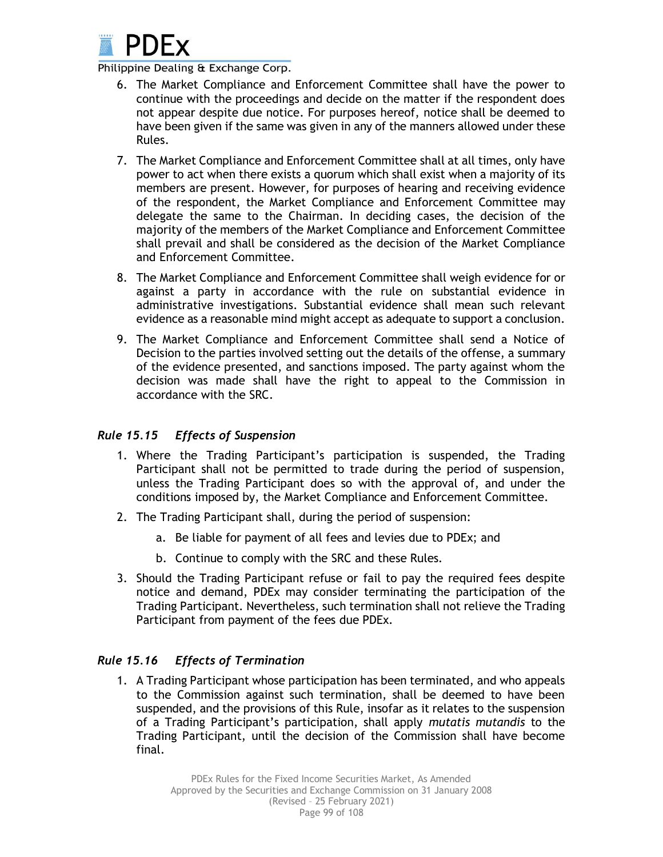

- 6. The Market Compliance and Enforcement Committee shall have the power to continue with the proceedings and decide on the matter if the respondent does not appear despite due notice. For purposes hereof, notice shall be deemed to have been given if the same was given in any of the manners allowed under these Rules.
- 7. The Market Compliance and Enforcement Committee shall at all times, only have power to act when there exists a quorum which shall exist when a majority of its members are present. However, for purposes of hearing and receiving evidence of the respondent, the Market Compliance and Enforcement Committee may delegate the same to the Chairman. In deciding cases, the decision of the majority of the members of the Market Compliance and Enforcement Committee shall prevail and shall be considered as the decision of the Market Compliance and Enforcement Committee.
- 8. The Market Compliance and Enforcement Committee shall weigh evidence for or against a party in accordance with the rule on substantial evidence in administrative investigations. Substantial evidence shall mean such relevant evidence as a reasonable mind might accept as adequate to support a conclusion.
- 9. The Market Compliance and Enforcement Committee shall send a Notice of Decision to the parties involved setting out the details of the offense, a summary of the evidence presented, and sanctions imposed. The party against whom the decision was made shall have the right to appeal to the Commission in accordance with the SRC.

# *Rule 15.15 Effects of Suspension*

- 1. Where the Trading Participant's participation is suspended, the Trading Participant shall not be permitted to trade during the period of suspension, unless the Trading Participant does so with the approval of, and under the conditions imposed by, the Market Compliance and Enforcement Committee.
- 2. The Trading Participant shall, during the period of suspension:
	- a. Be liable for payment of all fees and levies due to PDEx; and
	- b. Continue to comply with the SRC and these Rules.
- 3. Should the Trading Participant refuse or fail to pay the required fees despite notice and demand, PDEx may consider terminating the participation of the Trading Participant. Nevertheless, such termination shall not relieve the Trading Participant from payment of the fees due PDEx.

# *Rule 15.16 Effects of Termination*

1. A Trading Participant whose participation has been terminated, and who appeals to the Commission against such termination, shall be deemed to have been suspended, and the provisions of this Rule, insofar as it relates to the suspension of a Trading Participant's participation, shall apply *mutatis mutandis* to the Trading Participant, until the decision of the Commission shall have become final.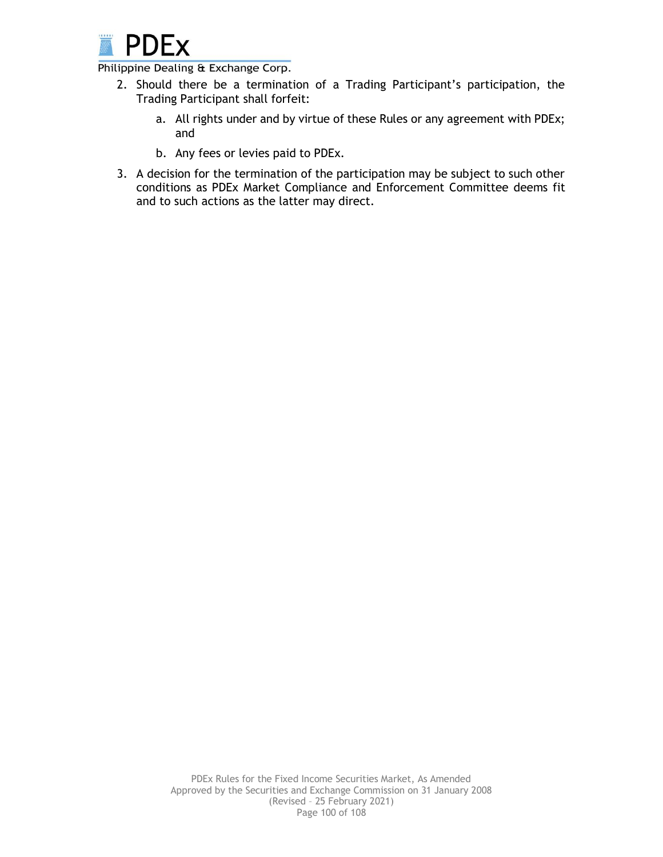

- 2. Should there be a termination of a Trading Participant's participation, the Trading Participant shall forfeit:
	- a. All rights under and by virtue of these Rules or any agreement with PDEx; and
	- b. Any fees or levies paid to PDEx.
- 3. A decision for the termination of the participation may be subject to such other conditions as PDEx Market Compliance and Enforcement Committee deems fit and to such actions as the latter may direct.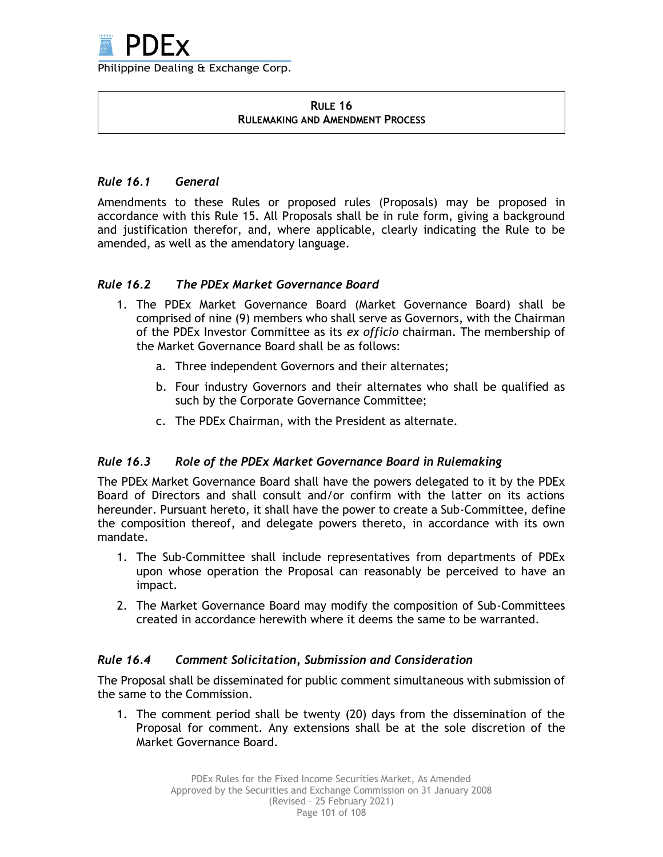

#### **RULE 16 RULEMAKING AND AMENDMENT PROCESS**

# *Rule 16.1 General*

Amendments to these Rules or proposed rules (Proposals) may be proposed in accordance with this Rule 15. All Proposals shall be in rule form, giving a background and justification therefor, and, where applicable, clearly indicating the Rule to be amended, as well as the amendatory language.

# *Rule 16.2 The PDEx Market Governance Board*

- 1. The PDEx Market Governance Board (Market Governance Board) shall be comprised of nine (9) members who shall serve as Governors, with the Chairman of the PDEx Investor Committee as its *ex officio* chairman. The membership of the Market Governance Board shall be as follows:
	- a. Three independent Governors and their alternates;
	- b. Four industry Governors and their alternates who shall be qualified as such by the Corporate Governance Committee;
	- c. The PDEx Chairman, with the President as alternate.

# *Rule 16.3 Role of the PDEx Market Governance Board in Rulemaking*

The PDEx Market Governance Board shall have the powers delegated to it by the PDEx Board of Directors and shall consult and/or confirm with the latter on its actions hereunder. Pursuant hereto, it shall have the power to create a Sub-Committee, define the composition thereof, and delegate powers thereto, in accordance with its own mandate.

- 1. The Sub-Committee shall include representatives from departments of PDEx upon whose operation the Proposal can reasonably be perceived to have an impact.
- 2. The Market Governance Board may modify the composition of Sub-Committees created in accordance herewith where it deems the same to be warranted.

# *Rule 16.4 Comment Solicitation, Submission and Consideration*

The Proposal shall be disseminated for public comment simultaneous with submission of the same to the Commission.

1. The comment period shall be twenty (20) days from the dissemination of the Proposal for comment. Any extensions shall be at the sole discretion of the Market Governance Board.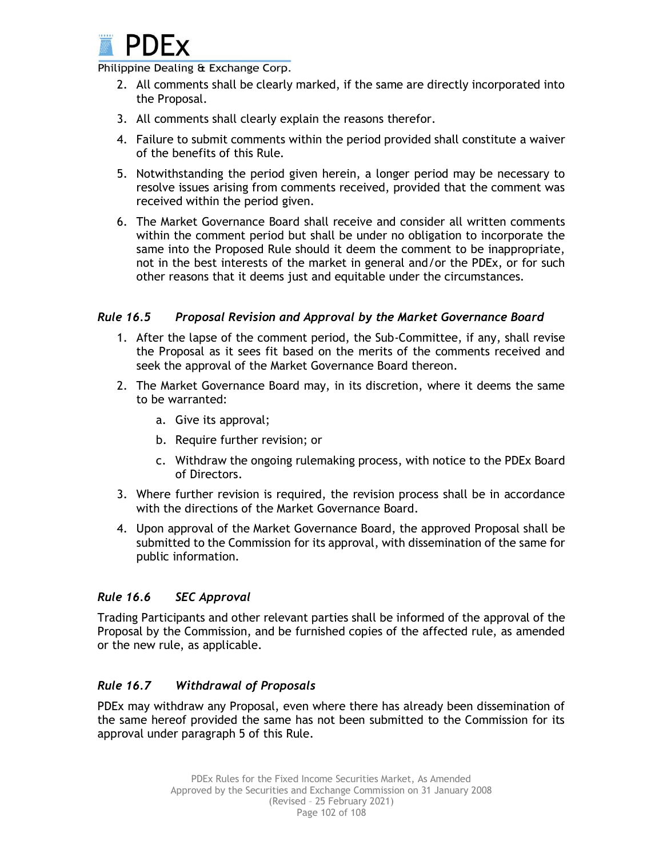

- 2. All comments shall be clearly marked, if the same are directly incorporated into the Proposal.
- 3. All comments shall clearly explain the reasons therefor.
- 4. Failure to submit comments within the period provided shall constitute a waiver of the benefits of this Rule.
- 5. Notwithstanding the period given herein, a longer period may be necessary to resolve issues arising from comments received, provided that the comment was received within the period given.
- 6. The Market Governance Board shall receive and consider all written comments within the comment period but shall be under no obligation to incorporate the same into the Proposed Rule should it deem the comment to be inappropriate, not in the best interests of the market in general and/or the PDEx, or for such other reasons that it deems just and equitable under the circumstances.

# *Rule 16.5 Proposal Revision and Approval by the Market Governance Board*

- 1. After the lapse of the comment period, the Sub-Committee, if any, shall revise the Proposal as it sees fit based on the merits of the comments received and seek the approval of the Market Governance Board thereon.
- 2. The Market Governance Board may, in its discretion, where it deems the same to be warranted:
	- a. Give its approval;
	- b. Require further revision; or
	- c. Withdraw the ongoing rulemaking process, with notice to the PDEx Board of Directors.
- 3. Where further revision is required, the revision process shall be in accordance with the directions of the Market Governance Board.
- 4. Upon approval of the Market Governance Board, the approved Proposal shall be submitted to the Commission for its approval, with dissemination of the same for public information.

# *Rule 16.6 SEC Approval*

Trading Participants and other relevant parties shall be informed of the approval of the Proposal by the Commission, and be furnished copies of the affected rule, as amended or the new rule, as applicable.

# *Rule 16.7 Withdrawal of Proposals*

PDEx may withdraw any Proposal, even where there has already been dissemination of the same hereof provided the same has not been submitted to the Commission for its approval under paragraph 5 of this Rule.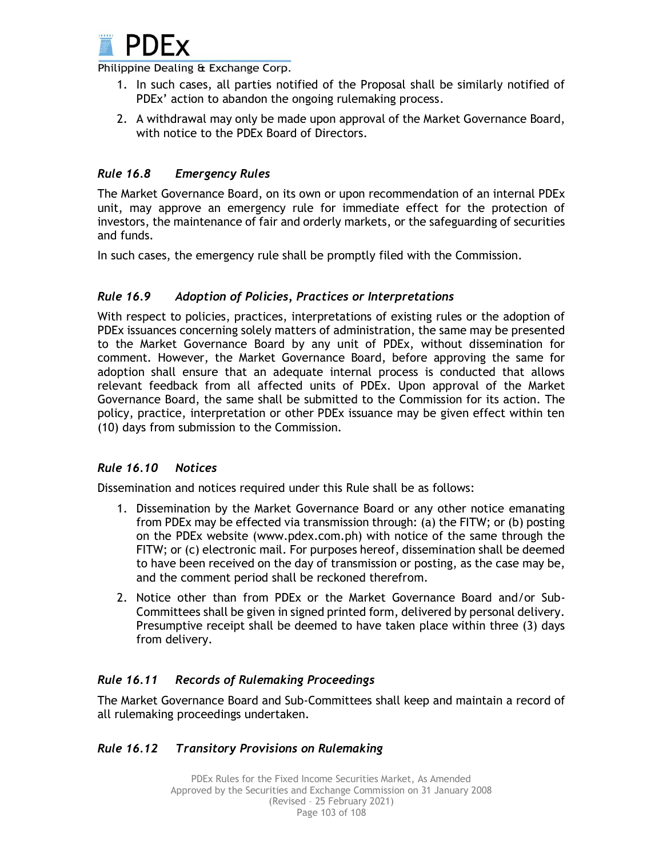

- 1. In such cases, all parties notified of the Proposal shall be similarly notified of PDEx' action to abandon the ongoing rulemaking process.
- 2. A withdrawal may only be made upon approval of the Market Governance Board, with notice to the PDEx Board of Directors.

# *Rule 16.8 Emergency Rules*

The Market Governance Board, on its own or upon recommendation of an internal PDEx unit, may approve an emergency rule for immediate effect for the protection of investors, the maintenance of fair and orderly markets, or the safeguarding of securities and funds.

In such cases, the emergency rule shall be promptly filed with the Commission.

# *Rule 16.9 Adoption of Policies, Practices or Interpretations*

With respect to policies, practices, interpretations of existing rules or the adoption of PDEx issuances concerning solely matters of administration, the same may be presented to the Market Governance Board by any unit of PDEx, without dissemination for comment. However, the Market Governance Board, before approving the same for adoption shall ensure that an adequate internal process is conducted that allows relevant feedback from all affected units of PDEx. Upon approval of the Market Governance Board, the same shall be submitted to the Commission for its action. The policy, practice, interpretation or other PDEx issuance may be given effect within ten (10) days from submission to the Commission.

# *Rule 16.10 Notices*

Dissemination and notices required under this Rule shall be as follows:

- 1. Dissemination by the Market Governance Board or any other notice emanating from PDEx may be effected via transmission through: (a) the FITW; or (b) posting on the PDEx website (www.pdex.com.ph) with notice of the same through the FITW; or (c) electronic mail. For purposes hereof, dissemination shall be deemed to have been received on the day of transmission or posting, as the case may be, and the comment period shall be reckoned therefrom.
- 2. Notice other than from PDEx or the Market Governance Board and/or Sub-Committees shall be given in signed printed form, delivered by personal delivery. Presumptive receipt shall be deemed to have taken place within three (3) days from delivery.

# *Rule 16.11 Records of Rulemaking Proceedings*

The Market Governance Board and Sub-Committees shall keep and maintain a record of all rulemaking proceedings undertaken.

# *Rule 16.12 Transitory Provisions on Rulemaking*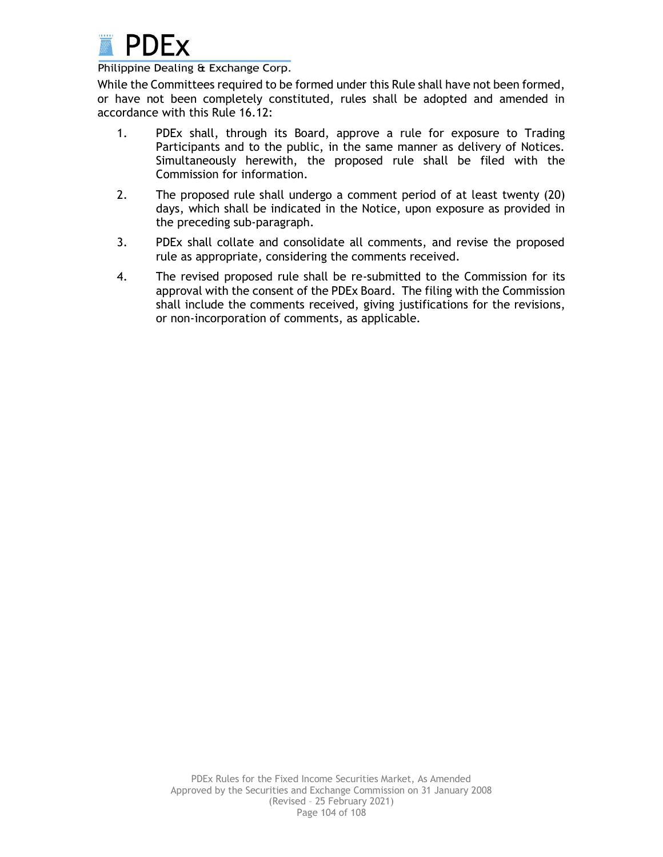

While the Committees required to be formed under this Rule shall have not been formed, or have not been completely constituted, rules shall be adopted and amended in accordance with this Rule 16.12:

- 1. PDEx shall, through its Board, approve a rule for exposure to Trading Participants and to the public, in the same manner as delivery of Notices. Simultaneously herewith, the proposed rule shall be filed with the Commission for information.
- 2. The proposed rule shall undergo a comment period of at least twenty (20) days, which shall be indicated in the Notice, upon exposure as provided in the preceding sub-paragraph.
- 3. PDEx shall collate and consolidate all comments, and revise the proposed rule as appropriate, considering the comments received.
- 4. The revised proposed rule shall be re-submitted to the Commission for its approval with the consent of the PDEx Board. The filing with the Commission shall include the comments received, giving justifications for the revisions, or non-incorporation of comments, as applicable.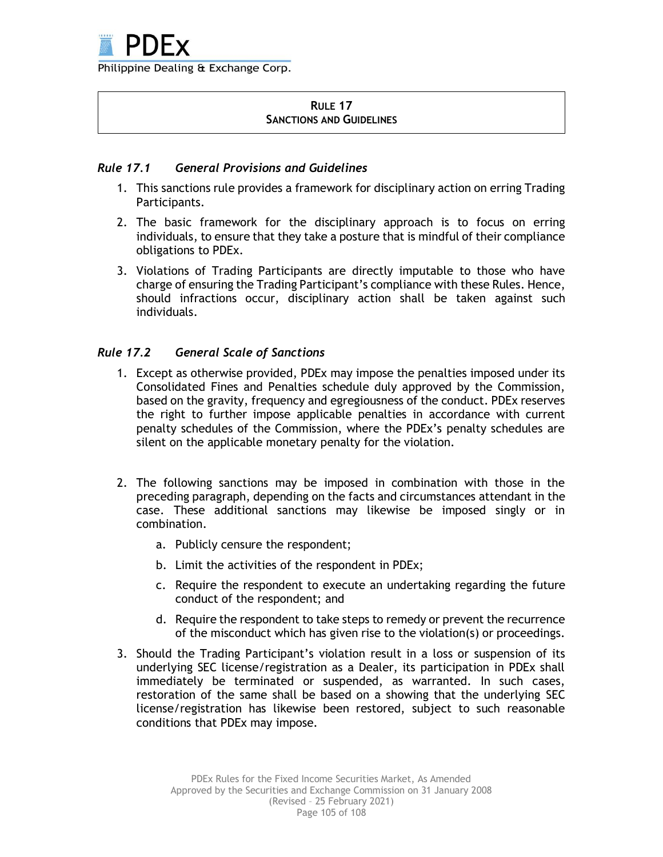### **RULE 17 SANCTIONS AND GUIDELINES**

# *Rule 17.1 General Provisions and Guidelines*

- 1. This sanctions rule provides a framework for disciplinary action on erring Trading Participants.
- 2. The basic framework for the disciplinary approach is to focus on erring individuals, to ensure that they take a posture that is mindful of their compliance obligations to PDEx.
- 3. Violations of Trading Participants are directly imputable to those who have charge of ensuring the Trading Participant's compliance with these Rules. Hence, should infractions occur, disciplinary action shall be taken against such individuals.

# *Rule 17.2 General Scale of Sanctions*

- 1. Except as otherwise provided, PDEx may impose the penalties imposed under its Consolidated Fines and Penalties schedule duly approved by the Commission, based on the gravity, frequency and egregiousness of the conduct. PDEx reserves the right to further impose applicable penalties in accordance with current penalty schedules of the Commission, where the PDEx's penalty schedules are silent on the applicable monetary penalty for the violation.
- 2. The following sanctions may be imposed in combination with those in the preceding paragraph, depending on the facts and circumstances attendant in the case. These additional sanctions may likewise be imposed singly or in combination.
	- a. Publicly censure the respondent;
	- b. Limit the activities of the respondent in PDEx;
	- c. Require the respondent to execute an undertaking regarding the future conduct of the respondent; and
	- d. Require the respondent to take steps to remedy or prevent the recurrence of the misconduct which has given rise to the violation(s) or proceedings.
- 3. Should the Trading Participant's violation result in a loss or suspension of its underlying SEC license/registration as a Dealer, its participation in PDEx shall immediately be terminated or suspended, as warranted. In such cases, restoration of the same shall be based on a showing that the underlying SEC license/registration has likewise been restored, subject to such reasonable conditions that PDEx may impose.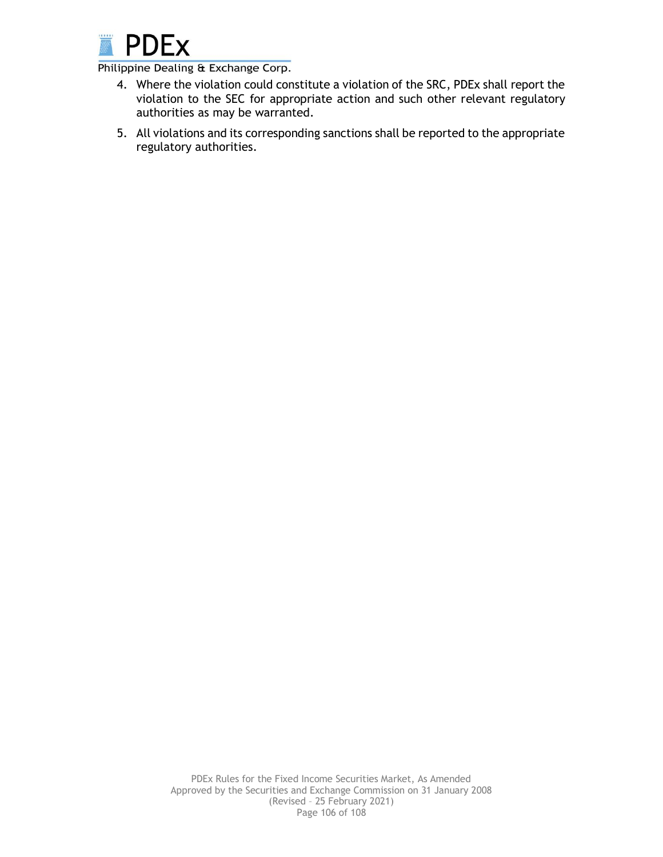

- 4. Where the violation could constitute a violation of the SRC, PDEx shall report the violation to the SEC for appropriate action and such other relevant regulatory authorities as may be warranted.
- 5. All violations and its corresponding sanctions shall be reported to the appropriate regulatory authorities.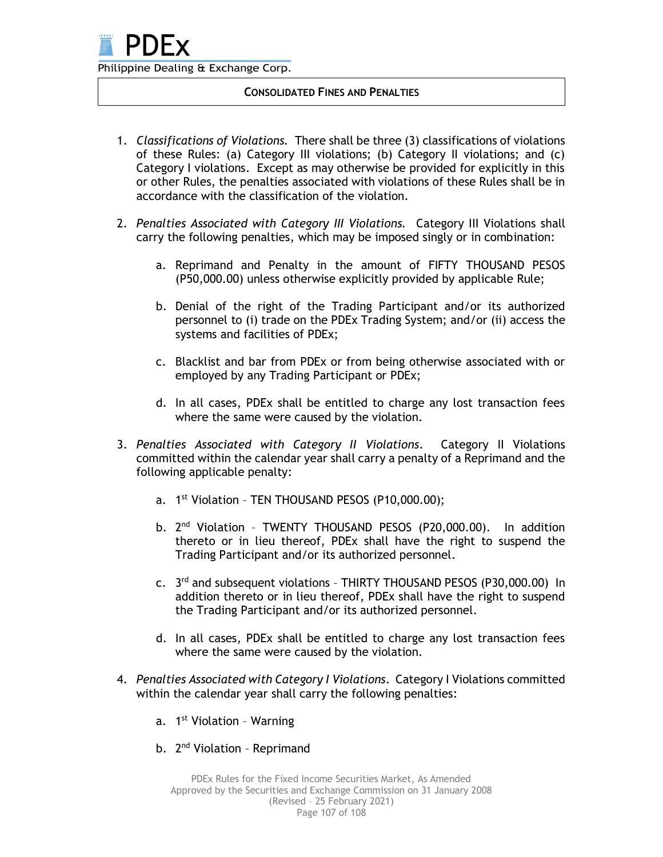### **CONSOLIDATED FINES AND PENALTIES**

- 1. *Classifications of Violations.* There shall be three (3) classifications of violations of these Rules: (a) Category III violations; (b) Category II violations; and (c) Category I violations. Except as may otherwise be provided for explicitly in this or other Rules, the penalties associated with violations of these Rules shall be in accordance with the classification of the violation.
- 2. *Penalties Associated with Category III Violations.* Category III Violations shall carry the following penalties, which may be imposed singly or in combination:
	- a. Reprimand and Penalty in the amount of FIFTY THOUSAND PESOS (P50,000.00) unless otherwise explicitly provided by applicable Rule;
	- b. Denial of the right of the Trading Participant and/or its authorized personnel to (i) trade on the PDEx Trading System; and/or (ii) access the systems and facilities of PDEx;
	- c. Blacklist and bar from PDEx or from being otherwise associated with or employed by any Trading Participant or PDEx;
	- d. In all cases, PDEx shall be entitled to charge any lost transaction fees where the same were caused by the violation.
- 3. *Penalties Associated with Category II Violations*. Category II Violations committed within the calendar year shall carry a penalty of a Reprimand and the following applicable penalty:
	- a. 1<sup>st</sup> Violation TEN THOUSAND PESOS (P10,000.00);
	- b. 2<sup>nd</sup> Violation TWENTY THOUSAND PESOS (P20,000.00). In addition thereto or in lieu thereof, PDEx shall have the right to suspend the Trading Participant and/or its authorized personnel.
	- c. 3<sup>rd</sup> and subsequent violations THIRTY THOUSAND PESOS (P30,000.00) In addition thereto or in lieu thereof, PDEx shall have the right to suspend the Trading Participant and/or its authorized personnel.
	- d. In all cases, PDEx shall be entitled to charge any lost transaction fees where the same were caused by the violation.
- 4. *Penalties Associated with Category I Violations*. Category I Violations committed within the calendar year shall carry the following penalties:
	- a. 1<sup>st</sup> Violation Warning
	- b. 2<sup>nd</sup> Violation Reprimand